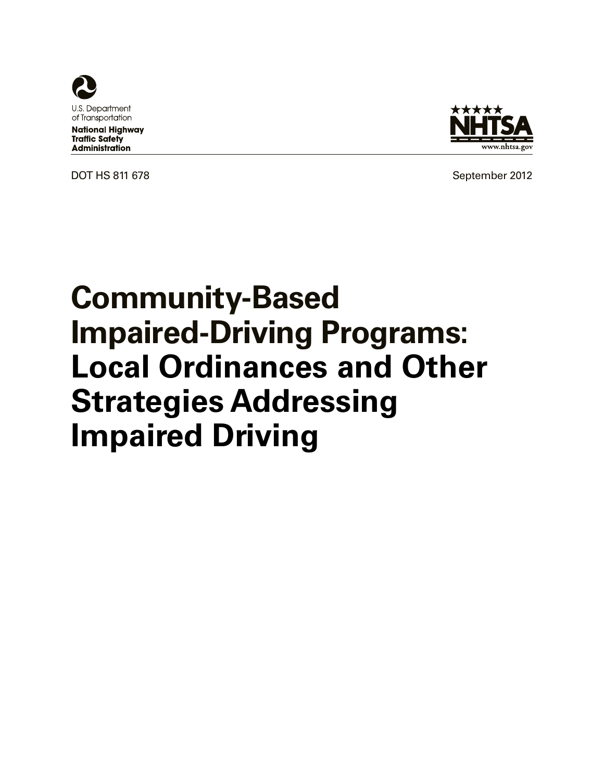

**National Highway Traffic Safety Administration** 



DOT HS 811 678 September 2012

# **Community-Based Impaired-Driving Programs: Local Ordinances and Other Strategies Addressing Impaired Driving**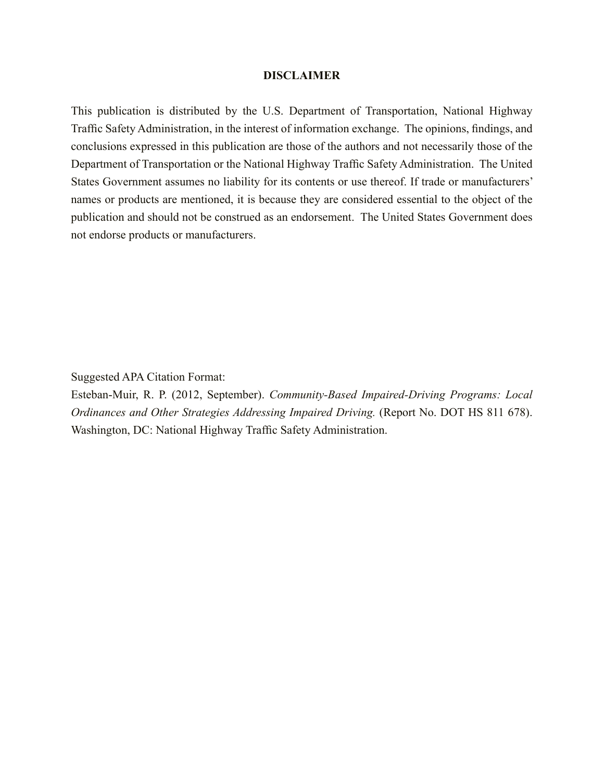#### **DISCLAIMER**

This publication is distributed by the U.S. Department of Transportation, National Highway Traffic Safety Administration, in the interest of information exchange. The opinions, findings, and conclusions expressed in this publication are those of the authors and not necessarily those of the Department of Transportation or the National Highway Traffic Safety Administration. The United States Government assumes no liability for its contents or use thereof. If trade or manufacturers' names or products are mentioned, it is because they are considered essential to the object of the publication and should not be construed as an endorsement. The United States Government does not endorse products or manufacturers.

Suggested APA Citation Format:

Esteban-Muir, R. P. (2012, September). *Community-Based Impaired-Driving Programs: Local Ordinances and Other Strategies Addressing Impaired Driving.* (Report No. DOT HS 811 678). Washington, DC: National Highway Traffic Safety Administration.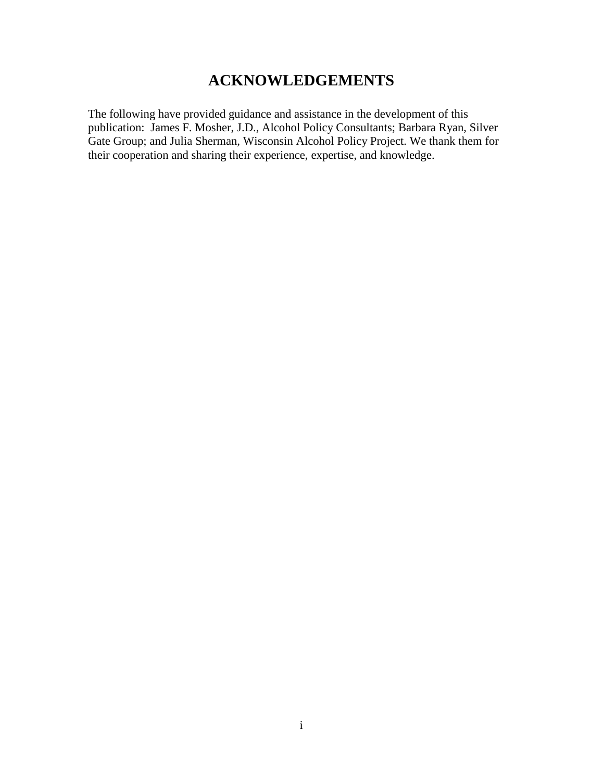# **ACKNOWLEDGEMENTS**

The following have provided guidance and assistance in the development of this publication: James F. Mosher, J.D., Alcohol Policy Consultants; Barbara Ryan, Silver Gate Group; and Julia Sherman, Wisconsin Alcohol Policy Project. We thank them for their cooperation and sharing their experience, expertise, and knowledge.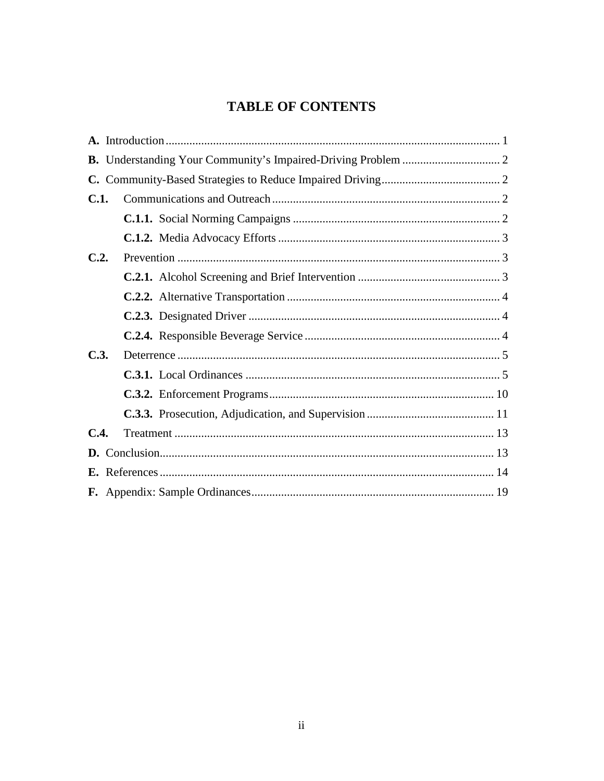# **TABLE OF CONTENTS**

| C.   |  |  |  |  |  |
|------|--|--|--|--|--|
| C.1. |  |  |  |  |  |
|      |  |  |  |  |  |
|      |  |  |  |  |  |
| C.2. |  |  |  |  |  |
|      |  |  |  |  |  |
|      |  |  |  |  |  |
|      |  |  |  |  |  |
|      |  |  |  |  |  |
| C.3. |  |  |  |  |  |
|      |  |  |  |  |  |
|      |  |  |  |  |  |
|      |  |  |  |  |  |
| C.4. |  |  |  |  |  |
| D.   |  |  |  |  |  |
|      |  |  |  |  |  |
|      |  |  |  |  |  |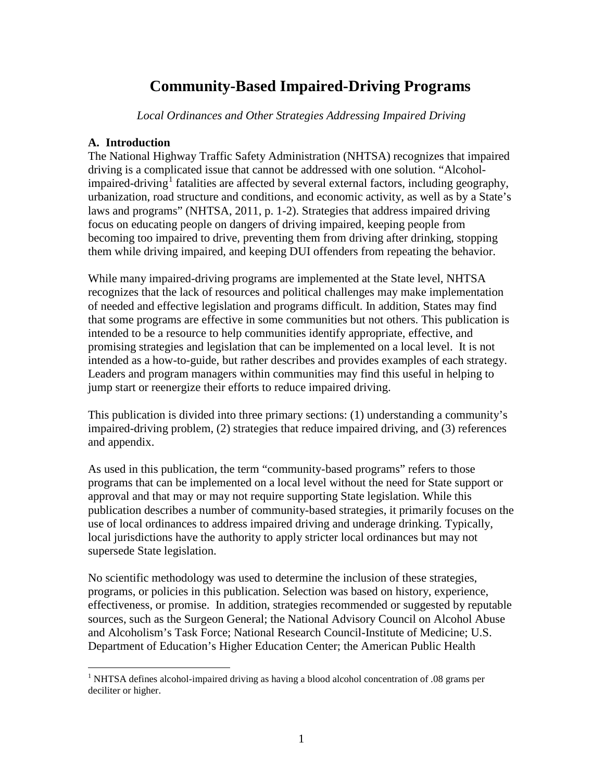# **Community-Based Impaired-Driving Programs**

*Local Ordinances and Other Strategies Addressing Impaired Driving* 

## **A. Introduction**

 $\overline{a}$ 

The National Highway Traffic Safety Administration (NHTSA) recognizes that impaired driving is a complicated issue that cannot be addressed with one solution. "Alcohol-impaired-driving<sup>[1](#page-4-0)</sup> fatalities are affected by several external factors, including geography, urbanization, road structure and conditions, and economic activity, as well as by a State's laws and programs" (NHTSA, 2011, p. 1-2). Strategies that address impaired driving focus on educating people on dangers of driving impaired, keeping people from becoming too impaired to drive, preventing them from driving after drinking, stopping them while driving impaired, and keeping DUI offenders from repeating the behavior.

While many impaired-driving programs are implemented at the State level, NHTSA recognizes that the lack of resources and political challenges may make implementation of needed and effective legislation and programs difficult. In addition, States may find that some programs are effective in some communities but not others. This publication is intended to be a resource to help communities identify appropriate, effective, and promising strategies and legislation that can be implemented on a local level. It is not intended as a how-to-guide, but rather describes and provides examples of each strategy. Leaders and program managers within communities may find this useful in helping to jump start or reenergize their efforts to reduce impaired driving.

This publication is divided into three primary sections: (1) understanding a community's impaired-driving problem, (2) strategies that reduce impaired driving, and (3) references and appendix.

As used in this publication, the term "community-based programs" refers to those programs that can be implemented on a local level without the need for State support or approval and that may or may not require supporting State legislation. While this publication describes a number of community-based strategies, it primarily focuses on the use of local ordinances to address impaired driving and underage drinking. Typically, local jurisdictions have the authority to apply stricter local ordinances but may not supersede State legislation.

No scientific methodology was used to determine the inclusion of these strategies, programs, or policies in this publication. Selection was based on history, experience, effectiveness, or promise. In addition, strategies recommended or suggested by reputable sources, such as the Surgeon General; the National Advisory Council on Alcohol Abuse and Alcoholism's Task Force; National Research Council-Institute of Medicine; U.S. Department of Education's Higher Education Center; the American Public Health

<span id="page-4-0"></span><sup>&</sup>lt;sup>1</sup> NHTSA defines alcohol-impaired driving as having a blood alcohol concentration of .08 grams per deciliter or higher.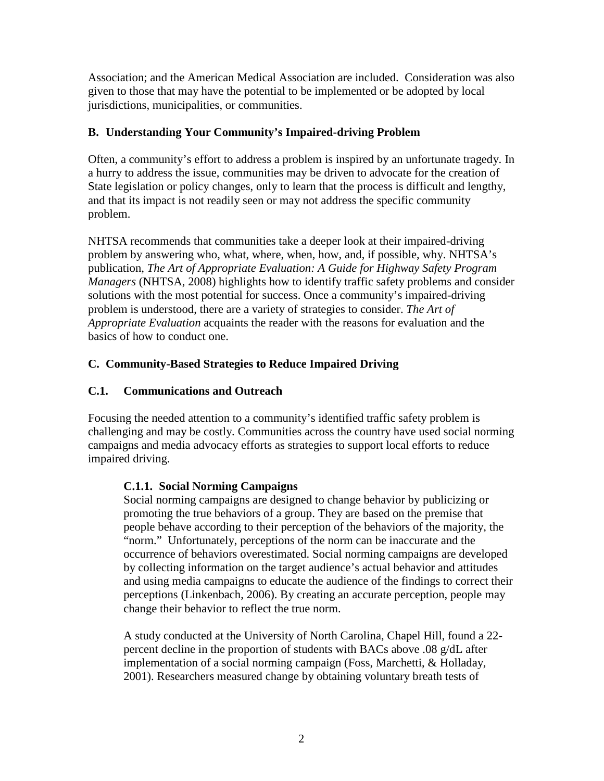Association; and the American Medical Association are included. Consideration was also given to those that may have the potential to be implemented or be adopted by local jurisdictions, municipalities, or communities.

# **B. Understanding Your Community's Impaired-driving Problem**

Often, a community's effort to address a problem is inspired by an unfortunate tragedy. In a hurry to address the issue, communities may be driven to advocate for the creation of State legislation or policy changes, only to learn that the process is difficult and lengthy, and that its impact is not readily seen or may not address the specific community problem.

NHTSA recommends that communities take a deeper look at their impaired-driving problem by answering who, what, where, when, how, and, if possible, why. NHTSA's publication, *The Art of Appropriate Evaluation: A Guide for Highway Safety Program Managers* (NHTSA, 2008) highlights how to identify traffic safety problems and consider solutions with the most potential for success. Once a community's impaired-driving problem is understood, there are a variety of strategies to consider. *The [Art of](http://www.nhtsa.gov/people/injury/research/ArtofAppEvWeb/index.htm)  [Appropriate Evaluation](http://www.nhtsa.gov/people/injury/research/ArtofAppEvWeb/index.htm)* acquaints the reader with the reasons for evaluation and the basics of how to conduct one.

# **C. Community-Based Strategies to Reduce Impaired Driving**

# **C.1. Communications and Outreach**

Focusing the needed attention to a community's identified traffic safety problem is challenging and may be costly. Communities across the country have used social norming campaigns and media advocacy efforts as strategies to support local efforts to reduce impaired driving.

## **C.1.1. Social Norming Campaigns**

Social norming campaigns are designed to change behavior by publicizing or promoting the true behaviors of a group. They are based on the premise that people behave according to their perception of the behaviors of the majority, the "norm." Unfortunately, perceptions of the norm can be inaccurate and the occurrence of behaviors overestimated. Social norming campaigns are developed by collecting information on the target audience's actual behavior and attitudes and using media campaigns to educate the audience of the findings to correct their perceptions (Linkenbach, 2006). By creating an accurate perception, people may change their behavior to reflect the true norm.

A study conducted at the University of North Carolina, Chapel Hill, found a 22 percent decline in the proportion of students with BACs above .08 g/dL after implementation of a social norming campaign (Foss, Marchetti, & Holladay, 2001). Researchers measured change by obtaining voluntary breath tests of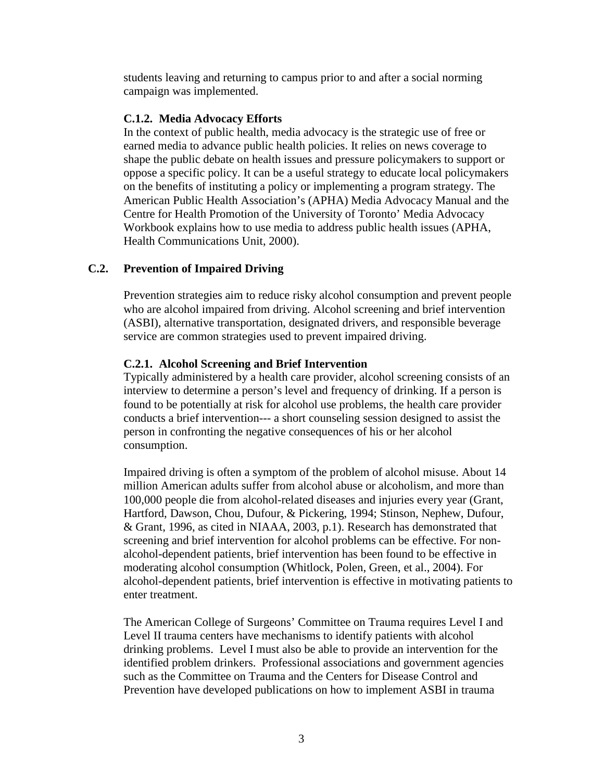students leaving and returning to campus prior to and after a social norming campaign was implemented.

## **C.1.2. Media Advocacy Efforts**

In the context of public health, media advocacy is the strategic use of free or earned media to advance public health policies. It relies on news coverage to shape the public debate on health issues and pressure policymakers to support or oppose a specific policy. It can be a useful strategy to educate local policymakers on the benefits of instituting a policy or implementing a program strategy. The American Public Health Association's (APHA) Media Advocacy Manual and the Centre for Health Promotion of the University of Toronto' Media Advocacy Workbook explains how to use media to address public health issues (APHA, Health Communications Unit, 2000).

# **C.2. Prevention of Impaired Driving**

Prevention strategies aim to reduce risky alcohol consumption and prevent people who are alcohol impaired from driving. Alcohol screening and brief intervention (ASBI), alternative transportation, designated drivers, and responsible beverage service are common strategies used to prevent impaired driving.

## **C.2.1. Alcohol Screening and Brief Intervention**

Typically administered by a health care provider, alcohol screening consists of an interview to determine a person's level and frequency of drinking. If a person is found to be potentially at risk for alcohol use problems, the health care provider conducts a brief intervention--- a short counseling session designed to assist the person in confronting the negative consequences of his or her alcohol consumption.

Impaired driving is often a symptom of the problem of alcohol misuse. About 14 million American adults suffer from alcohol abuse or alcoholism, and more than 100,000 people die from alcohol-related diseases and injuries every year (Grant, Hartford, Dawson, Chou, Dufour, & Pickering, 1994; Stinson, Nephew, Dufour, & Grant, 1996, as cited in NIAAA, 2003, p.1). Research has demonstrated that screening and brief intervention for alcohol problems can be effective. For nonalcohol-dependent patients, brief intervention has been found to be effective in moderating alcohol consumption (Whitlock, Polen, Green, et al., 2004). For alcohol-dependent patients, brief intervention is effective in motivating patients to enter treatment.

The American College of Surgeons' Committee on Trauma requires Level I and Level II trauma centers have mechanisms to identify patients with alcohol drinking problems. Level I must also be able to provide an intervention for the identified problem drinkers. Professional associations and government agencies such as the Committee on Trauma and the Centers for Disease Control and Prevention have developed publications on how to implement ASBI in trauma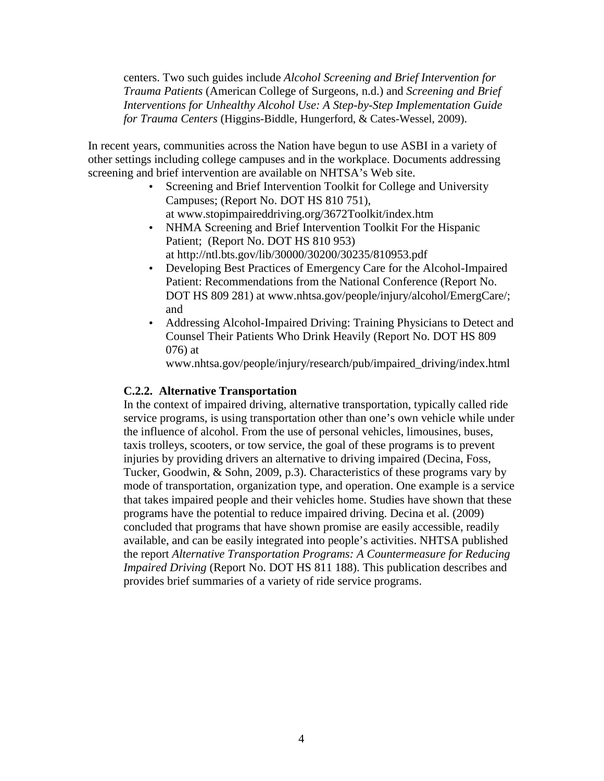centers. Two such guides include *Alcohol Screening and Brief Intervention for Trauma Patients* (American College of Surgeons, n.d.) and *Screening and Brief Interventions for Unhealthy Alcohol Use: A Step-by-Step Implementation Guide for Trauma Centers* (Higgins-Biddle, Hungerford, & Cates-Wessel, 2009).

In recent years, communities across the Nation have begun to use ASBI in a variety of other settings including college campuses and in the workplace. Documents addressing screening and brief intervention are available on NHTSA's Web site.

- Screening and Brief Intervention [Toolkit for College and University](http://www.stopimpaireddriving.org/3672Toolkit/index.htm)  [Campuses;](http://www.stopimpaireddriving.org/3672Toolkit/index.htm) (Report No. DOT HS 810 751), at www.stopimpaireddriving.org/3672Toolkit/index.htm
- NHMA Screening and Brief Intervention [Toolkit For the Hispanic](http://www.nhtsa.gov/DOT/NHTSA/Traffic%20Injury%20Control/Articles/Associated%20Files/810953.pdf)  [Patient;](http://www.nhtsa.gov/DOT/NHTSA/Traffic%20Injury%20Control/Articles/Associated%20Files/810953.pdf) (Report No. DOT HS 810 953) at http://ntl.bts.gov/lib/30000/30200/30235/810953.pdf
- Developing Best Practices of Emergency Care for the Alcohol-Impaired Patient: Recommendations from the National Conference (Report No. DOT HS 809 281) at www.nhtsa.gov/people/injury/alcohol/EmergCare/; and
- Addressing Alcohol-Impaired Driving: [Training Physicians to Detect and](http://www.nhtsa.gov/people/injury/alcohol/impaired_driving/content.html)  [Counsel Their Patients](http://www.nhtsa.gov/people/injury/alcohol/impaired_driving/content.html) Who Drink Heavily (Report No. DOT HS 809 076) at

www.nhtsa.gov/people/injury/research/pub/impaired\_driving/index.html

#### **C.2.2. Alternative Transportation**

In the context of impaired driving, alternative transportation, typically called ride service programs, is using transportation other than one's own vehicle while under the influence of alcohol. From the use of personal vehicles, limousines, buses, taxis trolleys, scooters, or tow service, the goal of these programs is to prevent injuries by providing drivers an alternative to driving impaired (Decina, Foss, Tucker, Goodwin, & Sohn, 2009, p.3). Characteristics of these programs vary by mode of transportation, organization type, and operation. One example is a service that takes impaired people and their vehicles home. Studies have shown that these programs have the potential to reduce impaired driving. Decina et al. (2009) concluded that programs that have shown promise are easily accessible, readily available, and can be easily integrated into people's activities. NHTSA published the report *[Alternative Transportation Programs: A Countermeasure for Reducing](http://www.nhtsa.gov/DOT/NHTSA/Traffic%20Injury%20Control/Articles/Associated%20Files/811188.pdf)  [Impaired Driving](http://www.nhtsa.gov/DOT/NHTSA/Traffic%20Injury%20Control/Articles/Associated%20Files/811188.pdf)* (Report No. DOT HS 811 188). This publication describes and provides brief summaries of a variety of ride service programs.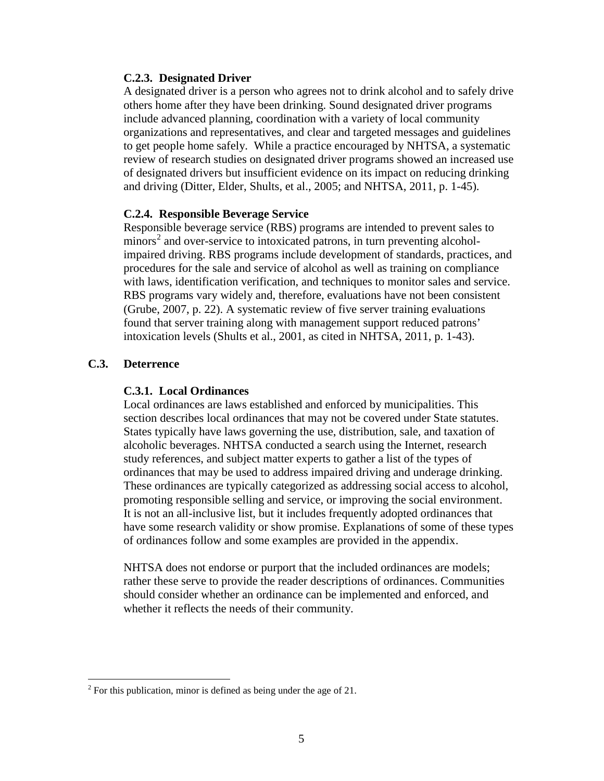## **C.2.3. Designated Driver**

A designated driver is a person who agrees not to drink alcohol and to safely drive others home after they have been drinking. Sound designated driver programs include advanced planning, coordination with a variety of local community organizations and representatives, and clear and targeted messages and guidelines to get people home safely. While a practice encouraged by NHTSA, a systematic review of research studies on designated driver programs showed an increased use of designated drivers but insufficient evidence on its impact on reducing drinking and driving (Ditter, Elder, Shults, et al., 2005; and NHTSA, 2011, p. 1-45).

## **C.2.4. Responsible Beverage Service**

Responsible beverage service (RBS) programs are intended to prevent sales to minors<sup>[2](#page-8-0)</sup> and over-service to intoxicated patrons, in turn preventing alcoholimpaired driving. RBS programs include development of standards, practices, and procedures for the sale and service of alcohol as well as training on compliance with laws, identification verification, and techniques to monitor sales and service. RBS programs vary widely and, therefore, evaluations have not been consistent (Grube, 2007, p. 22). A systematic review of five server training evaluations found that server training along with management support reduced patrons' intoxication levels (Shults et al., 2001, as cited in NHTSA, 2011, p. 1-43).

## **C.3. Deterrence**

## **C.3.1. Local Ordinances**

Local ordinances are laws established and enforced by municipalities. This section describes local ordinances that may not be covered under State statutes. States typically have laws governing the use, distribution, sale, and taxation of alcoholic beverages. NHTSA conducted a search using the Internet, research study references, and subject matter experts to gather a list of the types of ordinances that may be used to address impaired driving and underage drinking. These ordinances are typically categorized as addressing social access to alcohol, promoting responsible selling and service, or improving the social environment. It is not an all-inclusive list, but it includes frequently adopted ordinances that have some research validity or show promise. Explanations of some of these types of ordinances follow and some examples are provided in the appendix.

NHTSA does not endorse or purport that the included ordinances are models; rather these serve to provide the reader descriptions of ordinances. Communities should consider whether an ordinance can be implemented and enforced, and whether it reflects the needs of their community.

<span id="page-8-0"></span> $2^2$  For this publication, minor is defined as being under the age of 21.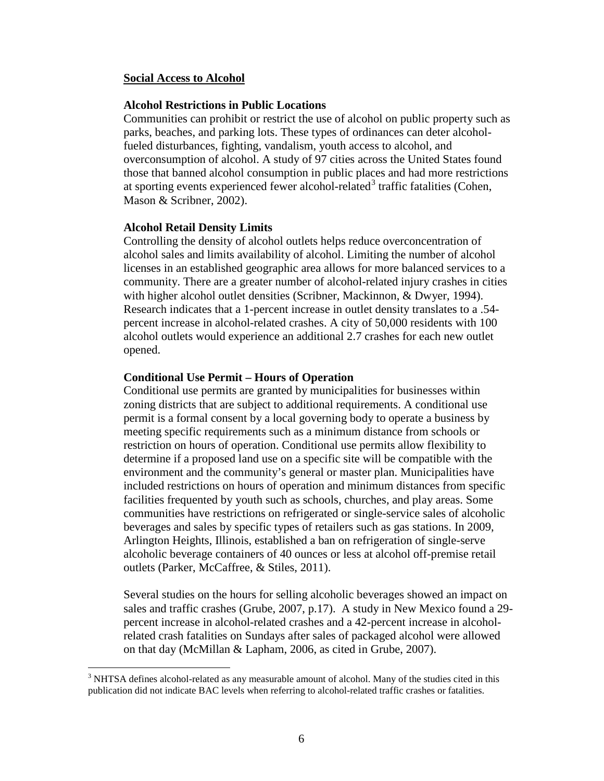#### **Social Access to Alcohol**

#### **[Alcohol Restrictions in Public Locations](http://www.epi.umn.edu/alcohol/sample/restrict.shtm)**

Communities can prohibit or restrict the use of alcohol on public property such as parks, beaches, and parking lots. These types of ordinances can deter alcoholfueled disturbances, fighting, vandalism, youth access to alcohol, and overconsumption of alcohol. A study of 97 cities across the United States found those that banned alcohol consumption in public places and had more restrictions at sporting events experienced fewer alcohol-related<sup>[3](#page-9-0)</sup> traffic fatalities (Cohen, Mason & Scribner, 2002).

#### **Alcohol Retail Density Limits**

Controlling the density of alcohol outlets helps reduce overconcentration of alcohol sales and limits availability of alcohol. Limiting the number of alcohol licenses in an established geographic area allows for more balanced services to a community. There are a greater number of alcohol-related injury crashes in cities with higher alcohol outlet densities (Scribner, Mackinnon, & Dwyer, 1994). Research indicates that a 1-percent increase in outlet density translates to a .54 percent increase in alcohol-related crashes. A city of 50,000 residents with 100 alcohol outlets would experience an additional 2.7 crashes for each new outlet opened.

#### **Conditional Use Permit – Hours of Operation**

Conditional use permits are granted by municipalities for businesses within zoning districts that are subject to additional requirements. A conditional use permit is a formal consent by a local governing body to operate a business by meeting specific requirements such as a minimum distance from schools or restriction on hours of operation. Conditional use permits allow flexibility to determine if a proposed land use on a specific site will be compatible with the environment and the community's general or master plan. Municipalities have included restrictions on hours of operation and minimum distances from specific facilities frequented by youth such as schools, churches, and play areas. Some communities have restrictions on refrigerated or single-service sales of alcoholic beverages and sales by specific types of retailers such as gas stations. In 2009, Arlington Heights, Illinois, established a ban on refrigeration of single-serve alcoholic beverage containers of 40 ounces or less at alcohol off-premise retail outlets (Parker, McCaffree, & Stiles, 2011).

Several studies on the hours for selling alcoholic beverages showed an impact on sales and traffic crashes (Grube, 2007, p.17). A study in New Mexico found a 29 percent increase in alcohol-related crashes and a 42-percent increase in alcoholrelated crash fatalities on Sundays after sales of packaged alcohol were allowed on that day (McMillan & Lapham, 2006, as cited in Grube, 2007).

<span id="page-9-0"></span> $3$  NHTSA defines alcohol-related as any measurable amount of alcohol. Many of the studies cited in this publication did not indicate BAC levels when referring to alcohol-related traffic crashes or fatalities.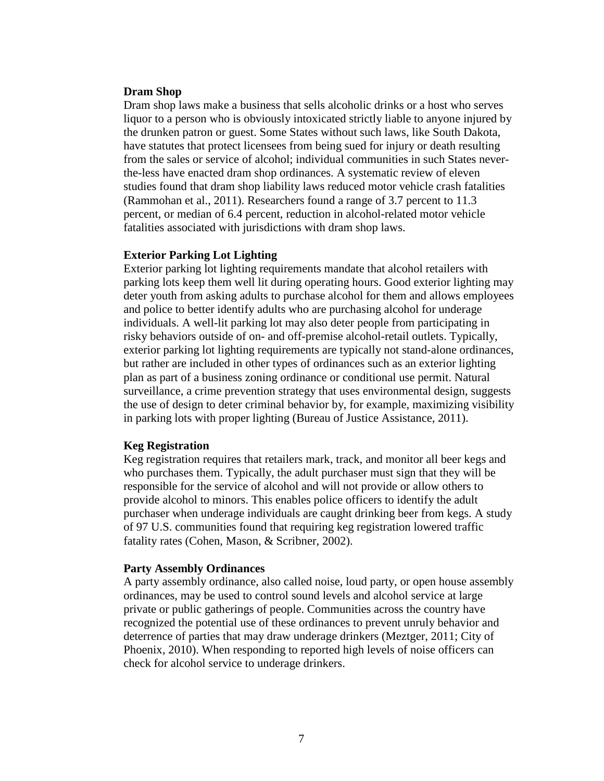#### **Dram Shop**

Dram shop laws make a business that sells alcoholic drinks or a host who serves liquor to a person who is obviously intoxicated strictly liable to anyone injured by the drunken patron or guest. Some States without such laws, like South Dakota, have statutes that protect licensees from being sued for injury or death resulting from the sales or service of alcohol; individual communities in such States neverthe-less have enacted dram shop ordinances. A systematic review of eleven studies found that dram shop liability laws reduced motor vehicle crash fatalities (Rammohan et al., 2011). Researchers found a range of 3.7 percent to 11.3 percent, or median of 6.4 percent, reduction in alcohol-related motor vehicle fatalities associated with jurisdictions with dram shop laws.

#### **[Exterior Parking Lot Lighting](http://www.epi.umn.edu/alcohol/sample/parklot.shtm)**

Exterior parking lot lighting requirements mandate that alcohol retailers with parking lots keep them well lit during operating hours. Good exterior lighting may deter youth from asking adults to purchase alcohol for them and allows employees and police to better identify adults who are purchasing alcohol for underage individuals. A well-lit parking lot may also deter people from participating in risky behaviors outside of on- and off-premise alcohol-retail outlets. Typically, exterior parking lot lighting requirements are typically not stand-alone ordinances, but rather are included in other types of ordinances such as an exterior lighting plan as part of a business zoning ordinance or conditional use permit. Natural surveillance, a crime prevention strategy that uses environmental design, suggests the use of design to deter criminal behavior by, for example, maximizing visibility in parking lots with proper lighting (Bureau of Justice Assistance, 2011).

#### **[Keg Registration](http://www.epi.umn.edu/alcohol/sample/kegord.shtm)**

Keg registration requires that retailers mark, track, and monitor all beer kegs and who purchases them. Typically, the adult purchaser must sign that they will be responsible for the service of alcohol and will not provide or allow others to provide alcohol to minors. This enables police officers to identify the adult purchaser when underage individuals are caught drinking beer from kegs. A study of 97 U.S. communities found that requiring keg registration lowered traffic fatality rates (Cohen, Mason, & Scribner, 2002).

#### **[Party Assembly Ordinances](http://www.epi.umn.edu/alcohol/sample/noisyord.shtm)**

A party assembly ordinance, also called noise, loud party, or open house assembly ordinances, may be used to control sound levels and alcohol service at large private or public gatherings of people. Communities across the country have recognized the potential use of these ordinances to prevent unruly behavior and deterrence of parties that may draw underage drinkers (Meztger, 2011; City of Phoenix, 2010). When responding to reported high levels of noise officers can check for alcohol service to underage drinkers.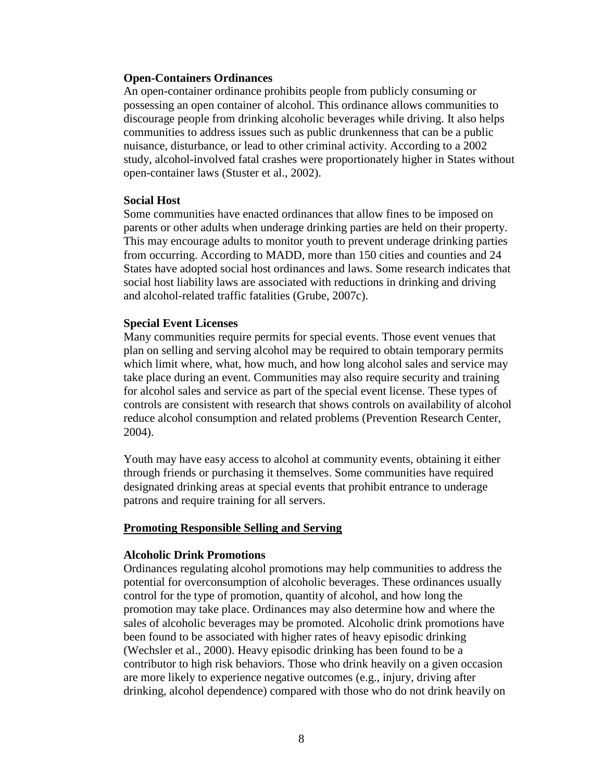#### **Open-Containers Ordinances**

An open-container ordinance prohibits people from publicly consuming or possessing an open container of alcohol. This ordinance allows communities to discourage people from drinking alcoholic beverages while driving. It also helps communities to address issues such as public drunkenness that can be a public nuisance, disturbance, or lead to other criminal activity. According to a 2002 study, alcohol-involved fatal crashes were proportionately higher in States without open-container laws (Stuster et al., 2002).

#### **Social Host**

Some communities have enacted ordinances that allow fines to be imposed on parents or other adults when underage drinking parties are held on their property. This may encourage adults to monitor youth to prevent underage drinking parties from occurring. According to MADD, more than 150 cities and counties and 24 States have adopted social host ordinances and laws. Some research indicates that social host liability laws are associated with reductions in drinking and driving and alcohol-related traffic fatalities (Grube, 2007c).

#### **[Special Event Licenses](http://www.epi.umn.edu/alcohol/sample/liqord.shtm)**

Many communities require permits for special events. Those event venues that plan on selling and serving alcohol may be required to obtain temporary permits which limit where, what, how much, and how long alcohol sales and service may take place during an event. Communities may also require security and training for alcohol sales and service as part of the special event license. These types of controls are consistent with research that shows controls on availability of alcohol reduce alcohol consumption and related problems (Prevention Research Center, 2004).

Youth may have easy access to alcohol at community events, obtaining it either through friends or purchasing it themselves. Some communities have required designated drinking areas at special events that prohibit entrance to underage patrons and require training for all servers.

#### **Promoting Responsible Selling and Serving**

#### **[Alcoholic Drink](http://www.epi.umn.edu/alcohol/sample/delivord.shtm) Promotions**

Ordinances regulating alcohol promotions may help communities to address the potential for overconsumption of alcoholic beverages. These ordinances usually control for the type of promotion, quantity of alcohol, and how long the promotion may take place. Ordinances may also determine how and where the sales of alcoholic beverages may be promoted. Alcoholic drink promotions have been found to be associated with higher rates of heavy episodic drinking (Wechsler et al., 2000). Heavy episodic drinking has been found to be a contributor to high risk behaviors. Those who drink heavily on a given occasion are more likely to experience negative outcomes (e.g., injury, driving after drinking, alcohol dependence) compared with those who do not drink heavily on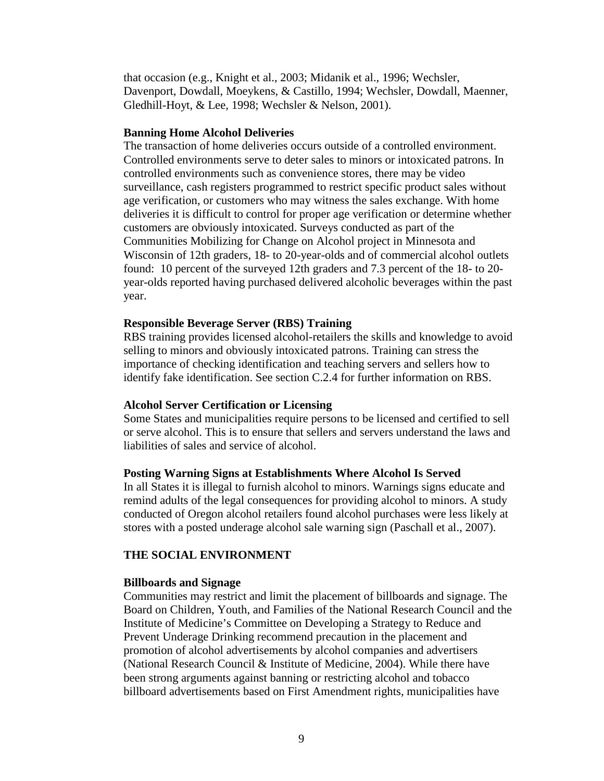that occasion (e.g., Knight et al., 2003; Midanik et al., 1996; Wechsler, Davenport, Dowdall, Moeykens, & Castillo, 1994; Wechsler, Dowdall, Maenner, Gledhill-Hoyt, & Lee, 1998; Wechsler & Nelson, 2001).

#### **[Banning Home Alcohol Deliveries](http://www.epi.umn.edu/alcohol/sample/delivord.shtm)**

The transaction of home deliveries occurs outside of a controlled environment. Controlled environments serve to deter sales to minors or intoxicated patrons. In controlled environments such as convenience stores, there may be video surveillance, cash registers programmed to restrict specific product sales without age verification, or customers who may witness the sales exchange. With home deliveries it is difficult to control for proper age verification or determine whether customers are obviously intoxicated. Surveys conducted as part of the Communities Mobilizing for Change on Alcohol project in Minnesota and Wisconsin of 12th graders, 18- to 20-year-olds and of commercial alcohol outlets found: 10 percent of the surveyed 12th graders and 7.3 percent of the 18- to 20 year-olds reported having purchased delivered alcoholic beverages within the past year.

#### **[Responsible Beverage Server](http://www.epi.umn.edu/alcohol/sample/servord.shtm) (RBS) Training**

RBS training provides licensed alcohol-retailers the skills and knowledge to avoid selling to minors and obviously intoxicated patrons. Training can stress the importance of checking identification and teaching servers and sellers how to identify fake identification. See section C.2.4 for further information on RBS.

#### **[Alcohol Server Certification or Licensing](http://www.epi.umn.edu/alcohol/sample/svrlicen.shtm)**

Some States and municipalities require persons to be licensed and certified to sell or serve alcohol. This is to ensure that sellers and servers understand the laws and liabilities of sales and service of alcohol.

#### **[Posting](http://www.epi.umn.edu/alcohol/sample/warnsign.shtm) Warning Signs at Establishments Where Alcohol Is Served**

In all States it is illegal to furnish alcohol to minors. Warnings signs educate and remind adults of the legal consequences for providing alcohol to minors. A study conducted of Oregon alcohol retailers found alcohol purchases were less likely at stores with a posted underage alcohol sale warning sign (Paschall et al., 2007).

#### **THE SOCIAL ENVIRONMENT**

#### **[Billboards and Signage](http://www.epi.umn.edu/alcohol/sample/billbrd.shtm)**

Communities may restrict and limit the placement of billboards and signage. The Board on Children, Youth, and Families of the National Research Council and the Institute of Medicine's Committee on Developing a Strategy to Reduce and Prevent Underage Drinking recommend precaution in the placement and promotion of alcohol advertisements by alcohol companies and advertisers (National Research Council & Institute of Medicine, 2004). While there have been strong arguments against banning or restricting alcohol and tobacco billboard advertisements based on First Amendment rights, municipalities have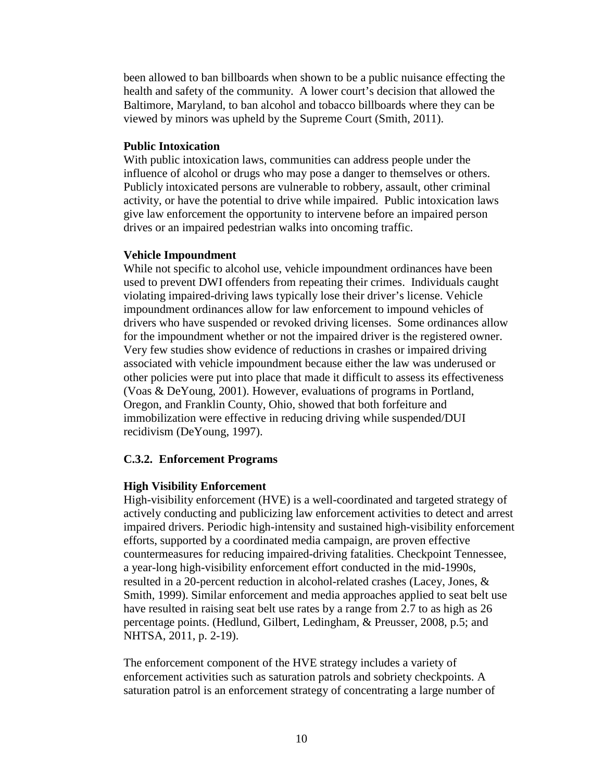been allowed to ban billboards when shown to be a public nuisance effecting the health and safety of the community. A lower court's decision that allowed the Baltimore, Maryland, to ban alcohol and tobacco billboards where they can be viewed by minors was upheld by the Supreme Court (Smith, 2011).

#### **Public Intoxication**

With public intoxication laws, communities can address people under the influence of alcohol or drugs who may pose a danger to themselves or others. Publicly intoxicated persons are vulnerable to robbery, assault, other criminal activity, or have the potential to drive while impaired. Public intoxication laws give law enforcement the opportunity to intervene before an impaired person drives or an impaired pedestrian walks into oncoming traffic.

#### **Vehicle Impoundment**

While not specific to alcohol use, vehicle impoundment ordinances have been used to prevent DWI offenders from repeating their crimes. Individuals caught violating impaired-driving laws typically lose their driver's license. Vehicle impoundment ordinances allow for law enforcement to impound vehicles of drivers who have suspended or revoked driving licenses. Some ordinances allow for the impoundment whether or not the impaired driver is the registered owner. Very few studies show evidence of reductions in crashes or impaired driving associated with vehicle impoundment because either the law was underused or other policies were put into place that made it difficult to assess its effectiveness (Voas & DeYoung, 2001). However, evaluations of programs in Portland, Oregon, and Franklin County, Ohio, showed that both forfeiture and immobilization were effective in reducing driving while suspended/DUI recidivism (DeYoung, 1997).

## **C.3.2. Enforcement Programs**

## **High Visibility Enforcement**

High-visibility enforcement (HVE) is a well-coordinated and targeted strategy of actively conducting and publicizing law enforcement activities to detect and arrest impaired drivers. Periodic high-intensity and sustained high-visibility enforcement efforts, supported by a coordinated media campaign, are proven effective countermeasures for reducing impaired-driving fatalities. Checkpoint Tennessee, a year-long high-visibility enforcement effort conducted in the mid-1990s, resulted in a 20-percent reduction in alcohol-related crashes (Lacey, Jones, & Smith, 1999). Similar enforcement and media approaches applied to seat belt use have resulted in raising seat belt use rates by a range from 2.7 to as high as 26 percentage points. (Hedlund, Gilbert, Ledingham, & Preusser, 2008, p.5; and NHTSA, 2011, p. 2-19).

The enforcement component of the HVE strategy includes a variety of enforcement activities such as saturation patrols and sobriety checkpoints. A saturation patrol is an enforcement strategy of concentrating a large number of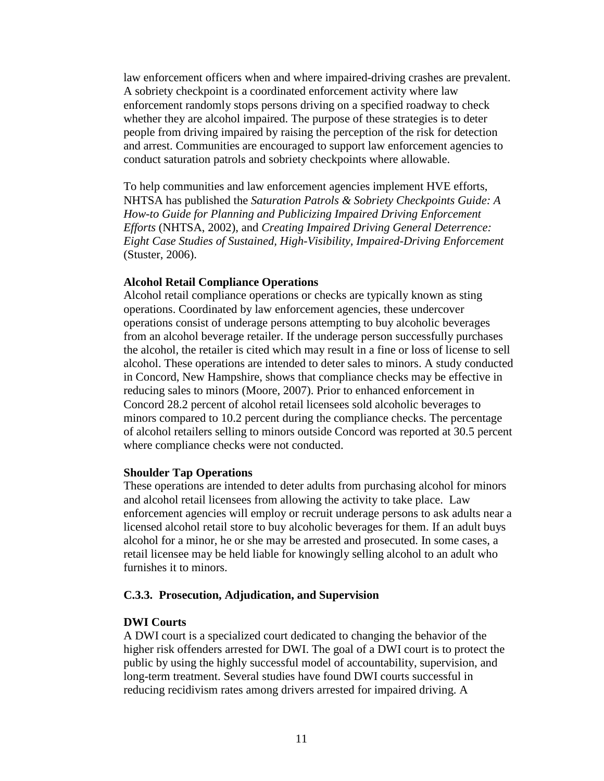law enforcement officers when and where impaired-driving crashes are prevalent. A sobriety checkpoint is a coordinated enforcement activity where law enforcement randomly stops persons driving on a specified roadway to check whether they are alcohol impaired. The purpose of these strategies is to deter people from driving impaired by raising the perception of the risk for detection and arrest. Communities are encouraged to support law enforcement agencies to conduct saturation patrols and sobriety checkpoints where allowable.

To help communities and law enforcement agencies implement HVE efforts, NHTSA has published the *[Saturation Patrols & Sobriety Checkpoints Guide: A](http://www.nhtsa.gov/people/injury/alcohol/saturation_patrols/index.html)  [How-to Guide for Planning and Publicizing Impaired Driving Enforcement](http://www.nhtsa.gov/people/injury/alcohol/saturation_patrols/index.html)  [Efforts](http://www.nhtsa.gov/people/injury/alcohol/saturation_patrols/index.html)* (NHTSA, 2002), and *[Creating Impaired Driving General Deterrence:](http://www.stopimpaireddriving.org/Creating_ImpairedDriving/index.html)  [Eight Case Studies of Sustained, High-Visibility, Impaired-Driving Enforcement](http://www.stopimpaireddriving.org/Creating_ImpairedDriving/index.html)* (Stuster, 2006).

#### **Alcohol Retail Compliance Operations**

Alcohol retail compliance operations or checks are typically known as sting operations. Coordinated by law enforcement agencies, these undercover operations consist of underage persons attempting to buy alcoholic beverages from an alcohol beverage retailer. If the underage person successfully purchases the alcohol, the retailer is cited which may result in a fine or loss of license to sell alcohol. These operations are intended to deter sales to minors. A study conducted in Concord, New Hampshire, shows that compliance checks may be effective in reducing sales to minors (Moore, 2007). Prior to enhanced enforcement in Concord 28.2 percent of alcohol retail licensees sold alcoholic beverages to minors compared to 10.2 percent during the compliance checks. The percentage of alcohol retailers selling to minors outside Concord was reported at 30.5 percent where compliance checks were not conducted.

#### **Shoulder Tap Operations**

These operations are intended to deter adults from purchasing alcohol for minors and alcohol retail licensees from allowing the activity to take place. Law enforcement agencies will employ or recruit underage persons to ask adults near a licensed alcohol retail store to buy alcoholic beverages for them. If an adult buys alcohol for a minor, he or she may be arrested and prosecuted. In some cases, a retail licensee may be held liable for knowingly selling alcohol to an adult who furnishes it to minors.

## **C.3.3. Prosecution, Adjudication, and Supervision**

## **DWI Courts**

A DWI court is a specialized court dedicated to changing the behavior of the higher risk offenders arrested for DWI. The goal of a DWI court is to protect the public by using the highly successful model of accountability, supervision, and long-term treatment. Several studies have found DWI courts successful in reducing recidivism rates among drivers arrested for impaired driving. A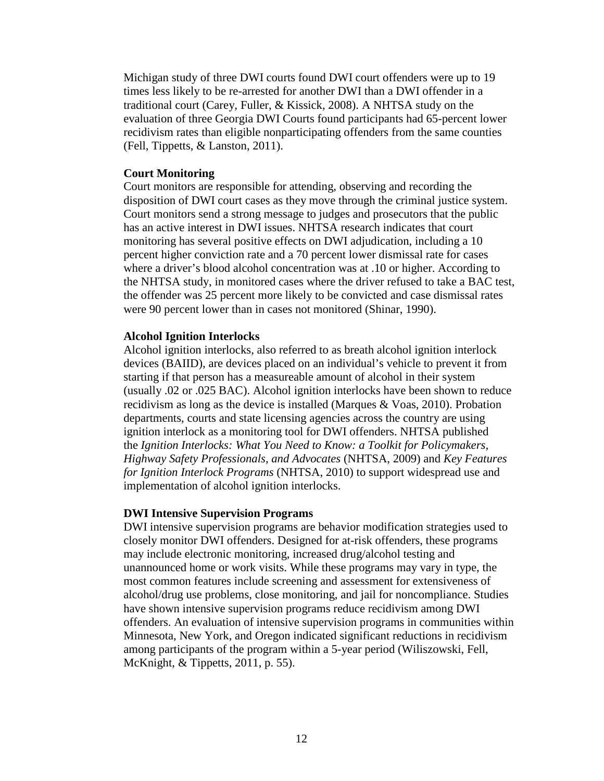Michigan study of three DWI courts found DWI court offenders were up to 19 times less likely to be re-arrested for another DWI than a DWI offender in a traditional court (Carey, Fuller, & Kissick, 2008). A NHTSA study on the evaluation of three Georgia DWI Courts found participants had 65-percent lower recidivism rates than eligible nonparticipating offenders from the same counties (Fell, Tippetts, & Lanston, 2011).

#### **Court Monitoring**

Court monitors are responsible for attending, observing and recording the disposition of DWI court cases as they move through the criminal justice system. Court monitors send a strong message to judges and prosecutors that the public has an active interest in DWI issues. NHTSA research indicates that court monitoring has several positive effects on DWI adjudication, including a 10 percent higher conviction rate and a 70 percent lower dismissal rate for cases where a driver's blood alcohol concentration was at .10 or higher. According to the NHTSA study, in monitored cases where the driver refused to take a BAC test, the offender was 25 percent more likely to be convicted and case dismissal rates were 90 percent lower than in cases not monitored (Shinar, 1990).

## **Alcohol Ignition Interlocks**

Alcohol ignition interlocks, also referred to as breath alcohol ignition interlock devices (BAIID), are devices placed on an individual's vehicle to prevent it from starting if that person has a measureable amount of alcohol in their system (usually .02 or .025 BAC). Alcohol ignition interlocks have been shown to reduce recidivism as long as the device is installed (Marques & Voas, 2010). Probation departments, courts and state licensing agencies across the country are using ignition interlock as a monitoring tool for DWI offenders. NHTSA published the *[Ignition Interlocks: What You Need to Know: a Toolkit for Policymakers,](http://www.nhtsa.gov/staticfiles/nti/impaired_driving/pdf/811246.pdf)  [Highway Safety Professionals, and Advocates](http://www.nhtsa.gov/staticfiles/nti/impaired_driving/pdf/811246.pdf)* (NHTSA, 2009) and *[Key Features](http://www.nhtsa.gov/staticfiles/nti/impaired_driving/pdf/811262.pdf)  [for Ignition Interlock Programs](http://www.nhtsa.gov/staticfiles/nti/impaired_driving/pdf/811262.pdf)* (NHTSA, 2010) to support widespread use and implementation of alcohol ignition interlocks.

## **DWI Intensive Supervision Programs**

DWI intensive supervision programs are behavior modification strategies used to closely monitor DWI offenders. Designed for at-risk offenders, these programs may include electronic monitoring, increased drug/alcohol testing and unannounced home or work visits. While these programs may vary in type, the most common features include screening and assessment for extensiveness of alcohol/drug use problems, close monitoring, and jail for noncompliance. Studies have shown intensive supervision programs reduce recidivism among DWI offenders. An evaluation of intensive supervision programs in communities within Minnesota, New York, and Oregon indicated significant reductions in recidivism among participants of the program within a 5-year period (Wiliszowski, Fell, McKnight, & Tippetts, 2011, p. 55).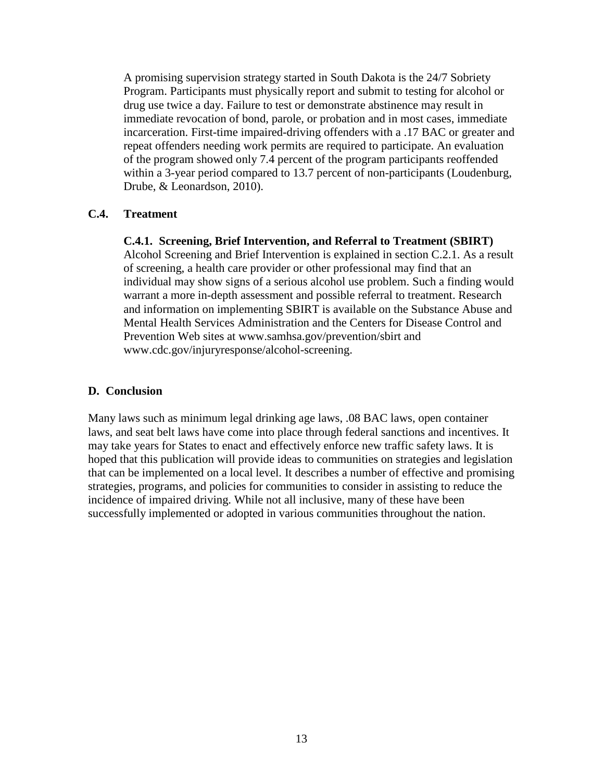A promising supervision strategy started in South Dakota is the 24/7 Sobriety Program. Participants must physically report and submit to testing for alcohol or drug use twice a day. Failure to test or demonstrate abstinence may result in immediate revocation of bond, parole, or probation and in most cases, immediate incarceration. First-time impaired-driving offenders with a .17 BAC or greater and repeat offenders needing work permits are required to participate. An evaluation of the program showed only 7.4 percent of the program participants reoffended within a 3-year period compared to 13.7 percent of non-participants (Loudenburg, Drube, & Leonardson, 2010).

## **C.4. Treatment**

**C.4.1. Screening, Brief Intervention, and Referral to Treatment (SBIRT)**

Alcohol Screening and Brief Intervention is explained in section C.2.1. As a result of screening, a health care provider or other professional may find that an individual may show signs of a serious alcohol use problem. Such a finding would warrant a more in-depth assessment and possible referral to treatment. Research and information on implementing SBIRT is available on the Substance Abuse and Mental Health Services Administration and the Centers for Disease Control and Prevention Web sites at [www.samhsa.gov/prevention/sbirt](http://www.samhsa.gov/prevention/sbirt) and www.cdc.gov/injuryresponse/alcohol-screening.

## **D. Conclusion**

Many laws such as minimum legal drinking age laws, .08 BAC laws, open container laws, and seat belt laws have come into place through federal sanctions and incentives. It may take years for States to enact and effectively enforce new traffic safety laws. It is hoped that this publication will provide ideas to communities on strategies and legislation that can be implemented on a local level. It describes a number of effective and promising strategies, programs, and policies for communities to consider in assisting to reduce the incidence of impaired driving. While not all inclusive, many of these have been successfully implemented or adopted in various communities throughout the nation.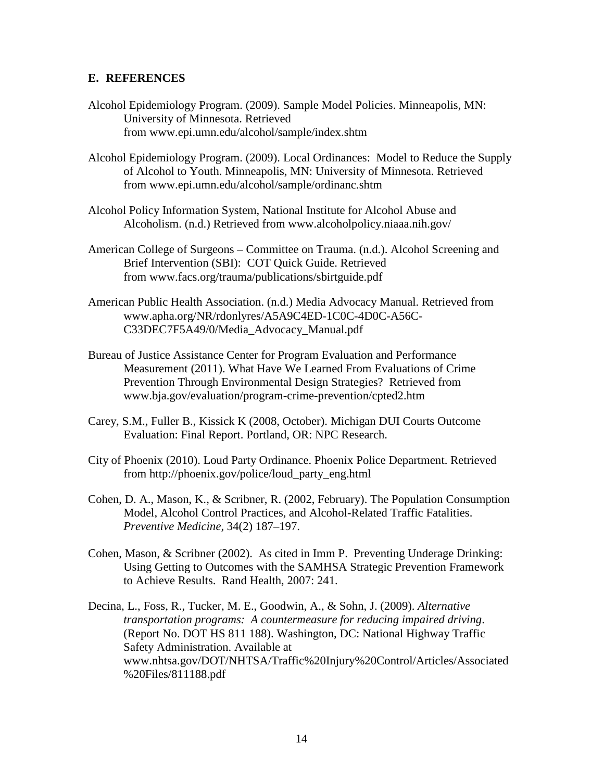## **E. REFERENCES**

- Alcohol Epidemiology Program. (2009). Sample Model Policies. Minneapolis, MN: University of Minnesota. Retrieved from [www.epi.umn.edu/alcohol/sample/index.shtm](http://www.epi.umn.edu/alcohol/sample/index.shtm)
- Alcohol Epidemiology Program. (2009). Local Ordinances: Model to Reduce the Supply of Alcohol to Youth. Minneapolis, MN: University of Minnesota. Retrieved from [www.epi.umn.edu/alcohol/sample/ordinanc.shtm](http://www.epi.umn.edu/alcohol/sample/ordinanc.shtm)
- Alcohol Policy Information System, National Institute for Alcohol Abuse and Alcoholism. (n.d.) Retrieved from [www.alcoholpolicy.niaaa.nih.gov/](http://www.alcoholpolicy.niaaa.nih.gov/)
- American College of Surgeons Committee on Trauma. (n.d.). Alcohol Screening and Brief Intervention (SBI): COT Quick Guide. Retrieved from [www.facs.org/trauma/publications/sbirtguide.pdf](http://www.facs.org/trauma/publications/sbirtguide.pdf)
- American Public Health Association. (n.d.) Media Advocacy Manual. Retrieved from www.apha.org/NR/rdonlyres/A5A9C4ED-1C0C-4D0C-A56C-C33DEC7F5A49/0/Media\_Advocacy\_Manual.pdf
- Bureau of Justice Assistance Center for Program Evaluation and Performance Measurement (2011). What Have We Learned From Evaluations of Crime Prevention Through Environmental Design Strategies? Retrieved from www.bja.gov/evaluation/program-crime-prevention/cpted2.htm
- Carey, S.M., Fuller B., Kissick K (2008, October). Michigan DUI Courts Outcome Evaluation: Final Report. Portland, OR: NPC Research.
- City of Phoenix (2010). Loud Party Ordinance. Phoenix Police Department. Retrieved from http://phoenix.gov/police/loud\_party\_eng.html
- Cohen, D. A., Mason, K., & Scribner, R. (2002, February). The Population Consumption Model, Alcohol Control Practices, and Alcohol-Related Traffic Fatalities. *Preventive Medicine,* 34(2) 187–197.
- Cohen, Mason, & Scribner (2002). As cited in Imm P. Preventing Underage Drinking: Using Getting to Outcomes with the SAMHSA Strategic Prevention Framework to Achieve Results. Rand Health, 2007: 241.
- Decina, L., Foss, R., Tucker, M. E., Goodwin, A., & Sohn, J. (2009). *Alternative transportation programs: A countermeasure for reducing impaired driving*. (Report No. DOT HS 811 188). Washington, DC: National Highway Traffic Safety Administration. Available at www.nhtsa.gov/DOT/NHTSA/Traffic%20Injury%20Control/Articles/Associated %20Files/811188.pdf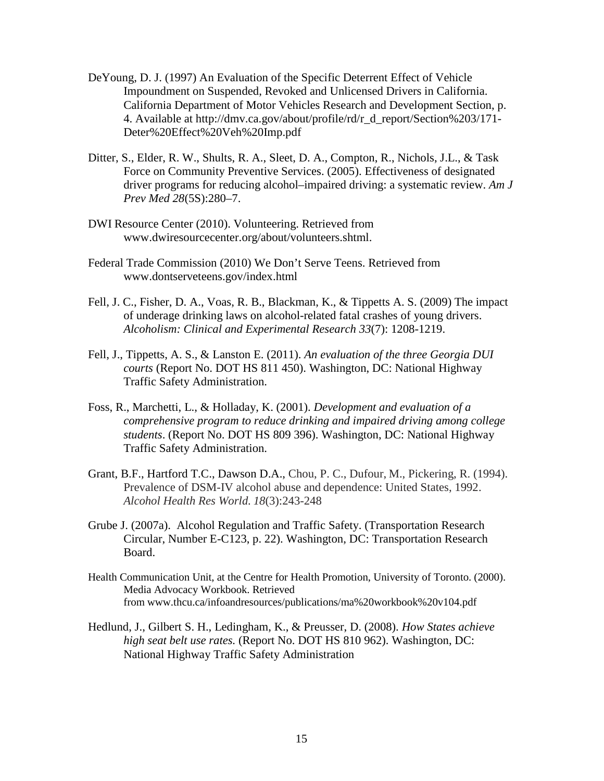- DeYoung, D. J. (1997) An Evaluation of the Specific Deterrent Effect of Vehicle Impoundment on Suspended, Revoked and Unlicensed Drivers in California. California Department of Motor Vehicles Research and Development Section, p. 4. Available at http://dmv.ca.gov/about/profile/rd/r\_d\_report/Section%203/171- Deter%20Effect%20Veh%20Imp.pdf
- Ditter, S., Elder, R. W., Shults, R. A., Sleet, D. A., Compton, R., Nichols, J.L., & Task Force on Community Preventive Services. (2005). Effectiveness of designated driver programs for reducing alcohol–impaired driving: a systematic review. *Am J Prev Med 28*(5S):280–7.
- DWI Resource Center (2010). Volunteering. Retrieved from www.dwiresourcecenter.org/about/volunteers.shtml.
- Federal Trade Commission (2010) We Don't Serve Teens. Retrieved from www.dontserveteens.gov/index.html
- Fell, J. C., Fisher, D. A., Voas, R. B., Blackman, K., & Tippetts A. S. (2009) The impact of underage drinking laws on alcohol-related fatal crashes of young drivers. *Alcoholism: Clinical and Experimental Research 33*(7): 1208-1219.
- Fell, J., Tippetts, A. S., & Lanston E. (2011). *An evaluation of the three Georgia DUI courts* (Report No. DOT HS 811 450). Washington, DC: National Highway Traffic Safety Administration.
- Foss, R., Marchetti, L., & Holladay, K. (2001). *Development and evaluation of a comprehensive program to reduce drinking and impaired driving among college students*. (Report No. DOT HS 809 396). Washington, DC: National Highway Traffic Safety Administration.
- Grant, B.F., Hartford T.C., Dawson D.A., Chou, P. C., Dufour, M., Pickering, R. (1994). Prevalence of DSM-IV alcohol abuse and dependence: United States, 1992. *Alcohol Health Res World. 18*(3):243-248
- Grube J. (2007a). Alcohol Regulation and Traffic Safety. (Transportation Research Circular, Number E-C123, p. 22). Washington, DC: Transportation Research Board.
- Health Communication Unit, at the Centre for Health Promotion, University of Toronto. (2000). Media Advocacy Workbook. Retrieved from [www.thcu.ca/infoandresources/publications/ma%20workbook%20v104.pdf](http://www.thcu.ca/infoandresources/publications/ma%20workbook%20v104.pdf)
- Hedlund, J., Gilbert S. H., Ledingham, K., & Preusser, D. (2008). *How States achieve high seat belt use rates.* (Report No. DOT HS 810 962). Washington, DC: National Highway Traffic Safety Administration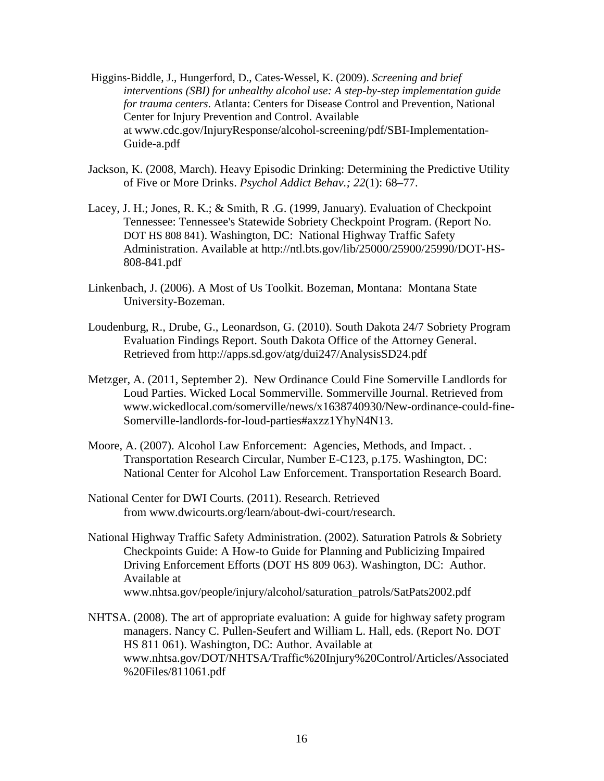- Higgins-Biddle, J., Hungerford, D., Cates-Wessel, K. (2009). *Screening and brief interventions (SBI) for unhealthy alcohol use: A step-by-step implementation guide for trauma centers*. Atlanta: Centers for Disease Control and Prevention, National Center for Injury Prevention and Control. Available at www.cdc.gov/InjuryResponse/alcohol-screening/pdf/SBI-Implementation-Guide-a.pdf
- Jackson, K. (2008, March). Heavy Episodic Drinking: Determining the Predictive Utility of Five or More Drinks. *Psychol Addict Behav.; 22*(1): 68–77.
- Lacey, J. H.; Jones, R. K.; & Smith, R .G. (1999, January). Evaluation of Checkpoint Tennessee: Tennessee's Statewide Sobriety Checkpoint Program. (Report No. DOT HS 808 841). Washington, DC: National Highway Traffic Safety Administration. Available at http://ntl.bts.gov/lib/25000/25900/25990/DOT-HS-808-841.pdf
- Linkenbach, J. (2006). A Most of Us Toolkit. Bozeman, Montana: Montana State University-Bozeman.
- Loudenburg, R., Drube, G., Leonardson, G. (2010). South Dakota 24/7 Sobriety Program Evaluation Findings Report. South Dakota Office of the Attorney General. Retrieved from http://apps.sd.gov/atg/dui247/AnalysisSD24.pdf
- Metzger, A. (2011, September 2). New Ordinance Could Fine Somerville Landlords for Loud Parties. Wicked Local Sommerville. Sommerville Journal. Retrieved from www.wickedlocal.com/somerville/news/x1638740930/New-ordinance-could-fine-Somerville-landlords-for-loud-parties#axzz1YhyN4N13.
- Moore, A. (2007). Alcohol Law Enforcement: Agencies, Methods, and Impact. . Transportation Research Circular, Number E-C123, p.175. Washington, DC: National Center for Alcohol Law Enforcement. Transportation Research Board.
- National Center for DWI Courts. (2011). Research. Retrieved from [www.dwicourts.org/learn/about-dwi-court/research.](http://www.dwicourts.org/learn/about-dwi-court/research)
- National Highway Traffic Safety Administration. (2002). Saturation Patrols & Sobriety Checkpoints Guide: A How-to Guide for Planning and Publicizing Impaired Driving Enforcement Efforts (DOT HS 809 063). Washington, DC: Author. Available at www.nhtsa.gov/people/injury/alcohol/saturation\_patrols/SatPats2002.pdf
- NHTSA. (2008). The art of appropriate evaluation: A guide for highway safety program managers. Nancy C. Pullen-Seufert and William L. Hall, eds. (Report No. DOT HS 811 061). Washington, DC: Author. Available at www.nhtsa.gov/DOT/NHTSA/Traffic%20Injury%20Control/Articles/Associated %20Files/811061.pdf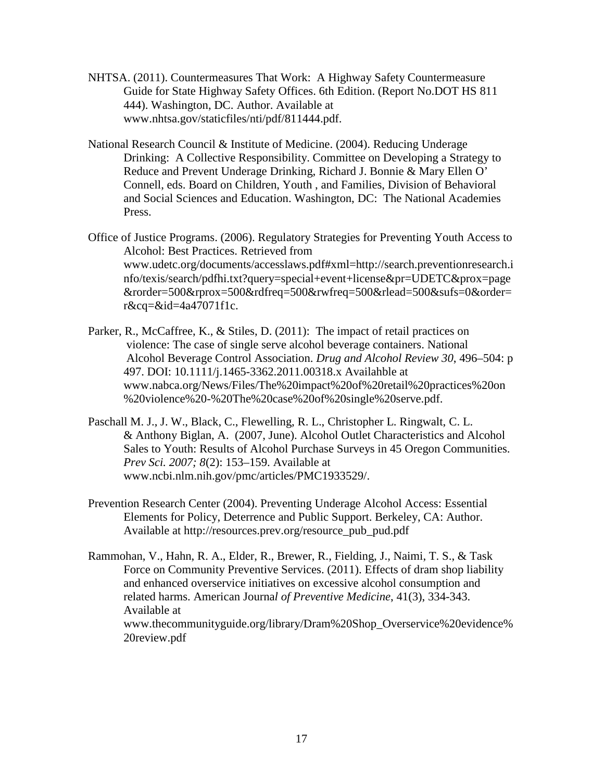- NHTSA. (2011). Countermeasures That Work: A Highway Safety Countermeasure Guide for State Highway Safety Offices. 6th Edition. (Report No.DOT HS 811 444). Washington, DC. Author. Available at www.nhtsa.gov/staticfiles/nti/pdf/811444.pdf.
- National Research Council & Institute of Medicine. (2004). Reducing Underage Drinking: A Collective Responsibility. Committee on Developing a Strategy to Reduce and Prevent Underage Drinking, Richard J. Bonnie & Mary Ellen O' Connell, eds. Board on Children, Youth , and Families, Division of Behavioral and Social Sciences and Education. Washington, DC: The National Academies Press.
- Office of Justice Programs. (2006). Regulatory Strategies for Preventing Youth Access to Alcohol: Best Practices. Retrieved from www.udetc.org/documents/accesslaws.pdf#xml=http://search.preventionresearch.i nfo/texis/search/pdfhi.txt?query=special+event+license&pr=UDETC&prox=page &rorder=500&rprox=500&rdfreq=500&rwfreq=500&rlead=500&sufs=0&order= r&cq=&id=4a47071f1c.
- Parker, R., McCaffree, K., & Stiles, D. (2011): The impact of retail practices on violence: The case of single serve alcohol beverage containers. National Alcohol Beverage Control Association. *Drug and Alcohol Review 30*, 496–504: p 497. DOI: 10.1111/j.1465-3362.2011.00318.x Availahble at www.nabca.org/News/Files/The%20impact%20of%20retail%20practices%20on %20violence%20-%20The%20case%20of%20single%20serve.pdf.
- Paschall M. J., J. W., [Black,](http://www.ncbi.nlm.nih.gov/sites/entrez?cmd=search&db=PubMed&term=%20Black%2BC%5bauth%5d) C., [Flewelling,](http://www.ncbi.nlm.nih.gov/sites/entrez?cmd=search&db=PubMed&term=%20Flewelling%2BRL%5bauth%5d) R. L., [Christopher L. Ringwalt,](http://www.ncbi.nlm.nih.gov/sites/entrez?cmd=search&db=PubMed&term=%20Ringwalt%2BCL%5bauth%5d) C. L. & [Anthony Biglan,](http://www.ncbi.nlm.nih.gov/sites/entrez?cmd=search&db=PubMed&term=%20Biglan%2BA%5bauth%5d) A. (2007, June). Alcohol Outlet Characteristics and Alcohol Sales to Youth: Results of Alcohol Purchase Surveys in 45 Oregon Communities. *Prev Sci. 2007; 8*(2): 153–159. Available at www.ncbi.nlm.nih.gov/pmc/articles/PMC1933529/.
- Prevention Research Center (2004). Preventing Underage Alcohol Access: Essential Elements for Policy, Deterrence and Public Support. Berkeley, CA: Author. Available at http://resources.prev.org/resource\_pub\_pud.pdf
- Rammohan, V., Hahn, R. A., Elder, R., Brewer, R., Fielding, J., Naimi, T. S., & Task Force on Community Preventive Services. (2011). Effects of dram shop liability and enhanced overservice initiatives on excessive alcohol consumption and related harms. American Journa*l of Preventive Medicine*, 41(3), 334-343. Available at www.thecommunityguide.org/library/Dram%20Shop\_Overservice%20evidence% 20review.pdf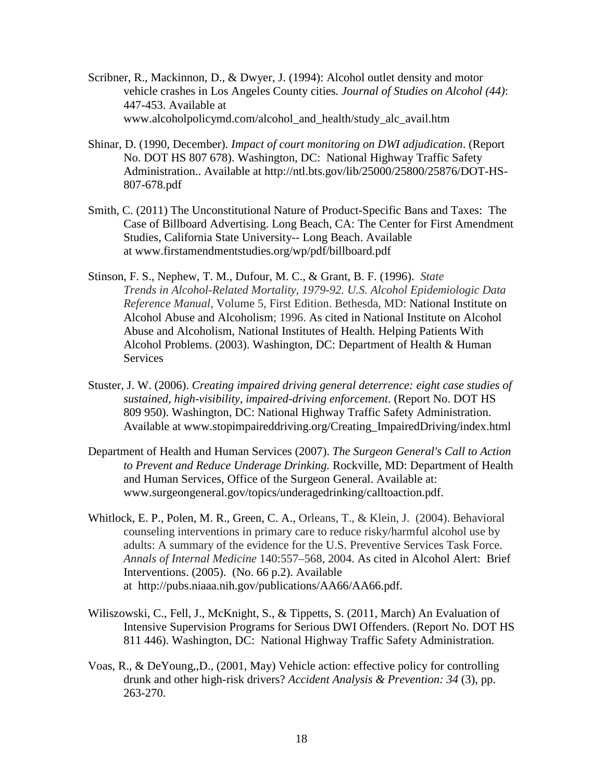- Scribner, R., Mackinnon, D., & Dwyer, J. (1994): Alcohol outlet density and motor vehicle crashes in Los Angeles County cities*. Journal of Studies on Alcohol (44)*: 447-453. Available at www.alcoholpolicymd.com/alcohol\_and\_health/study\_alc\_avail.htm
- Shinar, D. (1990, December). *Impact of court monitoring on DWI adjudication*. (Report No. DOT HS 807 678). Washington, DC: National Highway Traffic Safety Administration.. Available at http://ntl.bts.gov/lib/25000/25800/25876/DOT-HS-807-678.pdf
- Smith, C. (2011) The Unconstitutional Nature of Product-Specific Bans and Taxes: The Case of Billboard Advertising. Long Beach, CA: The Center for First Amendment Studies, California State University-- Long Beach. Available at [www.firstamendmentstudies.org/wp/pdf/billboard.pdf](http://www.firstamendmentstudies.org/wp/pdf/billboard.pdf)
- Stinson, F. S., Nephew, T. M., Dufour, M. C., & Grant, B. F. (1996). *State Trends in Alcohol-Related Mortality, 1979-92. U.S. Alcohol Epidemiologic Data Reference Manual,* Volume 5, First Edition. Bethesda, MD: National Institute on Alcohol Abuse and Alcoholism; 1996. As cited in National Institute on Alcohol Abuse and Alcoholism, National Institutes of Health. Helping Patients With Alcohol Problems. (2003). Washington, DC: Department of Health & Human Services
- Stuster, J. W. (2006). *Creating impaired driving general deterrence: eight case studies of sustained, high-visibility, impaired-driving enforcement*. (Report No. DOT HS 809 950). Washington, DC: National Highway Traffic Safety Administration. Available at www.stopimpaireddriving.org/Creating\_ImpairedDriving/index.html
- Department of Health and Human Services (2007). *The Surgeon General's Call to Action to Prevent and Reduce Underage Drinking.* Rockville, MD: Department of Health and Human Services, Office of the Surgeon General. Available at: www.surgeongeneral.gov/topics/underagedrinking/calltoaction.pdf.
- Whitlock, E. P., Polen, M. R., Green, C. A., Orleans, T., & Klein, J. (2004). Behavioral counseling interventions in primary care to reduce risky/harmful alcohol use by adults: A summary of the evidence for the U.S. Preventive Services Task Force. *Annals of Internal Medicine* 140:557–568, 2004. As cited in Alcohol Alert: Brief Interventions. (2005). (No. 66 p.2). Available at [http://pubs.niaaa.nih.gov/publications/AA66/AA66.pdf.](http://pubs.niaaa.nih.gov/publications/AA66/AA66.pdf)
- Wiliszowski, C., Fell, J., McKnight, S., & Tippetts, S. (2011, March) An Evaluation of Intensive Supervision Programs for Serious DWI Offenders. (Report No. DOT HS 811 446). Washington, DC: National Highway Traffic Safety Administration.
- Voas, R., & DeYoung,,D., (2001, May) Vehicle action: effective policy for controlling drunk and other high-risk drivers? *Accident Analysis & Prevention: 34* (3), pp. 263-270.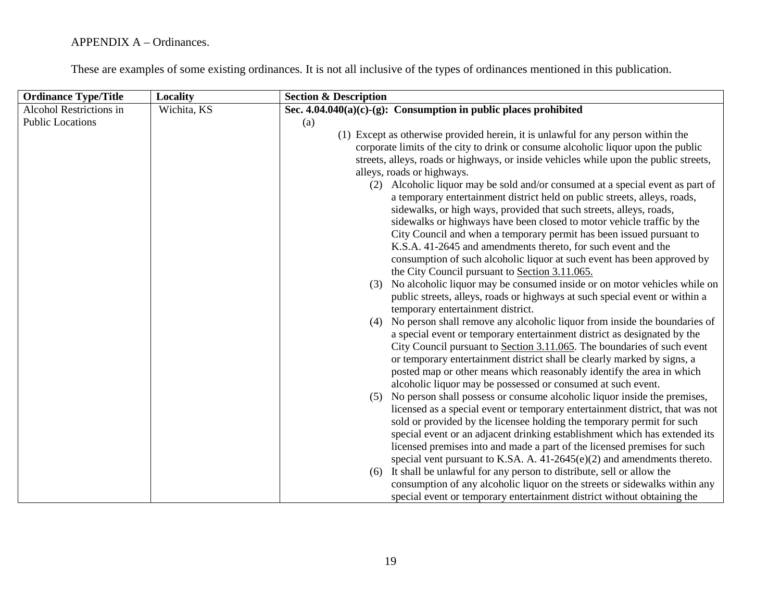| <b>Ordinance Type/Title</b> | <b>Locality</b> | <b>Section &amp; Description</b>                                                      |
|-----------------------------|-----------------|---------------------------------------------------------------------------------------|
| Alcohol Restrictions in     | Wichita, KS     | Sec. $4.04.040(a)(c)-(g)$ : Consumption in public places prohibited                   |
| <b>Public Locations</b>     |                 | (a)                                                                                   |
|                             |                 | (1) Except as otherwise provided herein, it is unlawful for any person within the     |
|                             |                 | corporate limits of the city to drink or consume alcoholic liquor upon the public     |
|                             |                 | streets, alleys, roads or highways, or inside vehicles while upon the public streets, |
|                             |                 | alleys, roads or highways.                                                            |
|                             |                 | (2) Alcoholic liquor may be sold and/or consumed at a special event as part of        |
|                             |                 | a temporary entertainment district held on public streets, alleys, roads,             |
|                             |                 | sidewalks, or high ways, provided that such streets, alleys, roads,                   |
|                             |                 | sidewalks or highways have been closed to motor vehicle traffic by the                |
|                             |                 | City Council and when a temporary permit has been issued pursuant to                  |
|                             |                 | K.S.A. 41-2645 and amendments thereto, for such event and the                         |
|                             |                 | consumption of such alcoholic liquor at such event has been approved by               |
|                             |                 | the City Council pursuant to Section 3.11.065.                                        |
|                             |                 | (3) No alcoholic liquor may be consumed inside or on motor vehicles while on          |
|                             |                 | public streets, alleys, roads or highways at such special event or within a           |
|                             |                 | temporary entertainment district.                                                     |
|                             |                 | (4) No person shall remove any alcoholic liquor from inside the boundaries of         |
|                             |                 | a special event or temporary entertainment district as designated by the              |
|                             |                 | City Council pursuant to Section 3.11.065. The boundaries of such event               |
|                             |                 | or temporary entertainment district shall be clearly marked by signs, a               |
|                             |                 | posted map or other means which reasonably identify the area in which                 |
|                             |                 | alcoholic liquor may be possessed or consumed at such event.                          |
|                             |                 | No person shall possess or consume alcoholic liquor inside the premises,<br>(5)       |
|                             |                 | licensed as a special event or temporary entertainment district, that was not         |
|                             |                 | sold or provided by the licensee holding the temporary permit for such                |
|                             |                 | special event or an adjacent drinking establishment which has extended its            |
|                             |                 | licensed premises into and made a part of the licensed premises for such              |
|                             |                 | special vent pursuant to K.SA. A. $41-2645(e)(2)$ and amendments thereto.             |
|                             |                 | It shall be unlawful for any person to distribute, sell or allow the<br>(6)           |
|                             |                 | consumption of any alcoholic liquor on the streets or sidewalks within any            |
|                             |                 | special event or temporary entertainment district without obtaining the               |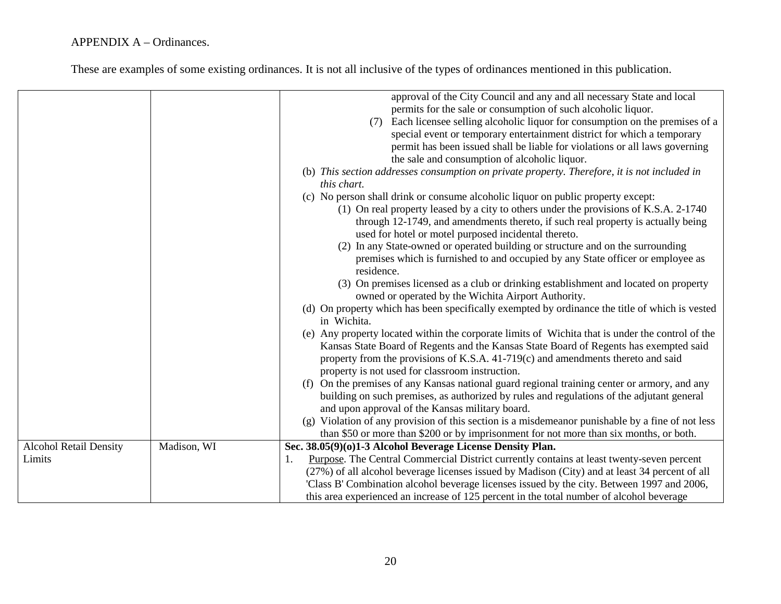|                                         |             | approval of the City Council and any and all necessary State and local<br>permits for the sale or consumption of such alcoholic liquor.<br>Each licensee selling alcoholic liquor for consumption on the premises of a<br>(7)<br>special event or temporary entertainment district for which a temporary<br>permit has been issued shall be liable for violations or all laws governing<br>the sale and consumption of alcoholic liquor.<br>(b) This section addresses consumption on private property. Therefore, it is not included in<br>this chart.<br>(c) No person shall drink or consume alcoholic liquor on public property except:<br>(1) On real property leased by a city to others under the provisions of K.S.A. 2-1740<br>through 12-1749, and amendments thereto, if such real property is actually being |
|-----------------------------------------|-------------|--------------------------------------------------------------------------------------------------------------------------------------------------------------------------------------------------------------------------------------------------------------------------------------------------------------------------------------------------------------------------------------------------------------------------------------------------------------------------------------------------------------------------------------------------------------------------------------------------------------------------------------------------------------------------------------------------------------------------------------------------------------------------------------------------------------------------|
|                                         |             | used for hotel or motel purposed incidental thereto.<br>(2) In any State-owned or operated building or structure and on the surrounding<br>premises which is furnished to and occupied by any State officer or employee as                                                                                                                                                                                                                                                                                                                                                                                                                                                                                                                                                                                               |
|                                         |             | residence.<br>(3) On premises licensed as a club or drinking establishment and located on property<br>owned or operated by the Wichita Airport Authority.                                                                                                                                                                                                                                                                                                                                                                                                                                                                                                                                                                                                                                                                |
|                                         |             | (d) On property which has been specifically exempted by ordinance the title of which is vested<br>in Wichita.<br>(e) Any property located within the corporate limits of Wichita that is under the control of the                                                                                                                                                                                                                                                                                                                                                                                                                                                                                                                                                                                                        |
|                                         |             | Kansas State Board of Regents and the Kansas State Board of Regents has exempted said<br>property from the provisions of K.S.A. 41-719(c) and amendments thereto and said<br>property is not used for classroom instruction.                                                                                                                                                                                                                                                                                                                                                                                                                                                                                                                                                                                             |
|                                         |             | (f) On the premises of any Kansas national guard regional training center or armory, and any<br>building on such premises, as authorized by rules and regulations of the adjutant general<br>and upon approval of the Kansas military board.                                                                                                                                                                                                                                                                                                                                                                                                                                                                                                                                                                             |
|                                         |             | (g) Violation of any provision of this section is a misdemeanor punishable by a fine of not less<br>than \$50 or more than \$200 or by imprisonment for not more than six months, or both.                                                                                                                                                                                                                                                                                                                                                                                                                                                                                                                                                                                                                               |
| <b>Alcohol Retail Density</b><br>Limits | Madison, WI | Sec. 38.05(9)(0)1-3 Alcohol Beverage License Density Plan.<br>Purpose. The Central Commercial District currently contains at least twenty-seven percent<br>1.<br>(27%) of all alcohol beverage licenses issued by Madison (City) and at least 34 percent of all<br>'Class B' Combination alcohol beverage licenses issued by the city. Between 1997 and 2006,<br>this area experienced an increase of 125 percent in the total number of alcohol beverage                                                                                                                                                                                                                                                                                                                                                                |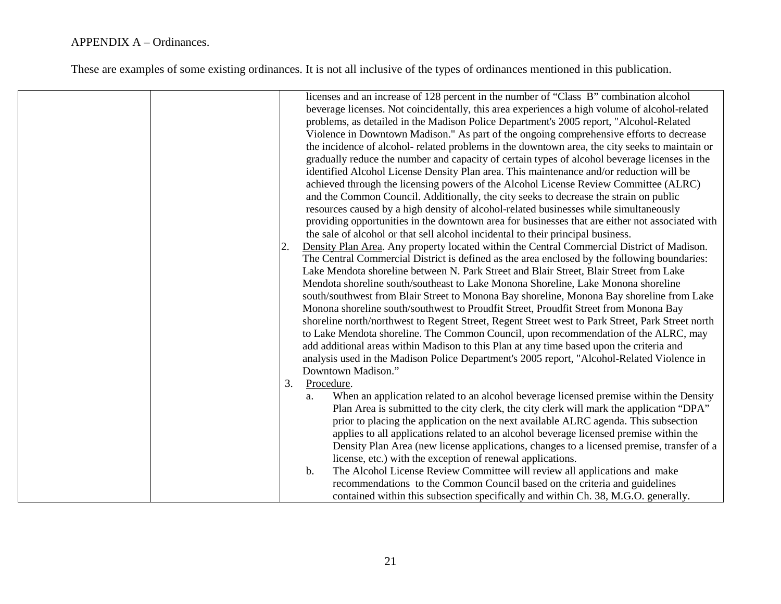|  |    | licenses and an increase of 128 percent in the number of "Class B" combination alcohol           |
|--|----|--------------------------------------------------------------------------------------------------|
|  |    | beverage licenses. Not coincidentally, this area experiences a high volume of alcohol-related    |
|  |    | problems, as detailed in the Madison Police Department's 2005 report, "Alcohol-Related           |
|  |    | Violence in Downtown Madison." As part of the ongoing comprehensive efforts to decrease          |
|  |    | the incidence of alcohol- related problems in the downtown area, the city seeks to maintain or   |
|  |    | gradually reduce the number and capacity of certain types of alcohol beverage licenses in the    |
|  |    | identified Alcohol License Density Plan area. This maintenance and/or reduction will be          |
|  |    | achieved through the licensing powers of the Alcohol License Review Committee (ALRC)             |
|  |    | and the Common Council. Additionally, the city seeks to decrease the strain on public            |
|  |    | resources caused by a high density of alcohol-related businesses while simultaneously            |
|  |    | providing opportunities in the downtown area for businesses that are either not associated with  |
|  |    | the sale of alcohol or that sell alcohol incidental to their principal business.                 |
|  | 2. | Density Plan Area. Any property located within the Central Commercial District of Madison.       |
|  |    | The Central Commercial District is defined as the area enclosed by the following boundaries:     |
|  |    | Lake Mendota shoreline between N. Park Street and Blair Street, Blair Street from Lake           |
|  |    | Mendota shoreline south/southeast to Lake Monona Shoreline, Lake Monona shoreline                |
|  |    | south/southwest from Blair Street to Monona Bay shoreline, Monona Bay shoreline from Lake        |
|  |    | Monona shoreline south/southwest to Proudfit Street, Proudfit Street from Monona Bay             |
|  |    | shoreline north/northwest to Regent Street, Regent Street west to Park Street, Park Street north |
|  |    | to Lake Mendota shoreline. The Common Council, upon recommendation of the ALRC, may              |
|  |    | add additional areas within Madison to this Plan at any time based upon the criteria and         |
|  |    | analysis used in the Madison Police Department's 2005 report, "Alcohol-Related Violence in       |
|  |    | Downtown Madison."                                                                               |
|  | 3. | Procedure.                                                                                       |
|  |    | When an application related to an alcohol beverage licensed premise within the Density<br>a.     |
|  |    | Plan Area is submitted to the city clerk, the city clerk will mark the application "DPA"         |
|  |    | prior to placing the application on the next available ALRC agenda. This subsection              |
|  |    | applies to all applications related to an alcohol beverage licensed premise within the           |
|  |    | Density Plan Area (new license applications, changes to a licensed premise, transfer of a        |
|  |    | license, etc.) with the exception of renewal applications.                                       |
|  |    | The Alcohol License Review Committee will review all applications and make<br>b.                 |
|  |    | recommendations to the Common Council based on the criteria and guidelines                       |
|  |    | contained within this subsection specifically and within Ch. 38, M.G.O. generally.               |
|  |    |                                                                                                  |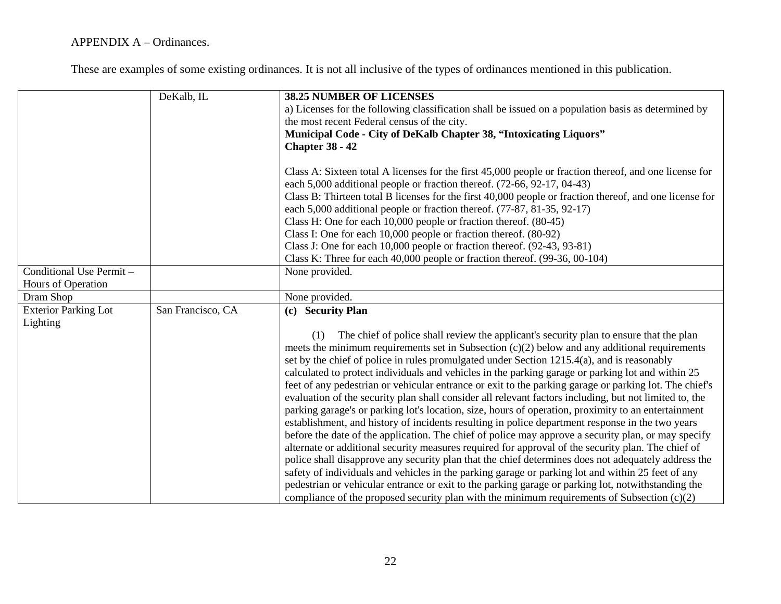|                             | DeKalb, IL        | 38.25 NUMBER OF LICENSES<br>a) Licenses for the following classification shall be issued on a population basis as determined by<br>the most recent Federal census of the city.<br>Municipal Code - City of DeKalb Chapter 38, "Intoxicating Liquors"<br><b>Chapter 38 - 42</b>                                                                                                                                                                                                                                                                                                                                                                                                                                                                                                                                                                                                                                                                                                                                                                                                                                                                                                                                                                                                                                                                                                                                                                                     |
|-----------------------------|-------------------|--------------------------------------------------------------------------------------------------------------------------------------------------------------------------------------------------------------------------------------------------------------------------------------------------------------------------------------------------------------------------------------------------------------------------------------------------------------------------------------------------------------------------------------------------------------------------------------------------------------------------------------------------------------------------------------------------------------------------------------------------------------------------------------------------------------------------------------------------------------------------------------------------------------------------------------------------------------------------------------------------------------------------------------------------------------------------------------------------------------------------------------------------------------------------------------------------------------------------------------------------------------------------------------------------------------------------------------------------------------------------------------------------------------------------------------------------------------------|
|                             |                   | Class A: Sixteen total A licenses for the first 45,000 people or fraction thereof, and one license for<br>each 5,000 additional people or fraction thereof. (72-66, 92-17, 04-43)<br>Class B: Thirteen total B licenses for the first 40,000 people or fraction thereof, and one license for<br>each 5,000 additional people or fraction thereof. (77-87, 81-35, 92-17)<br>Class H: One for each 10,000 people or fraction thereof. (80-45)                                                                                                                                                                                                                                                                                                                                                                                                                                                                                                                                                                                                                                                                                                                                                                                                                                                                                                                                                                                                                        |
|                             |                   | Class I: One for each 10,000 people or fraction thereof. (80-92)                                                                                                                                                                                                                                                                                                                                                                                                                                                                                                                                                                                                                                                                                                                                                                                                                                                                                                                                                                                                                                                                                                                                                                                                                                                                                                                                                                                                   |
|                             |                   | Class J: One for each 10,000 people or fraction thereof. (92-43, 93-81)                                                                                                                                                                                                                                                                                                                                                                                                                                                                                                                                                                                                                                                                                                                                                                                                                                                                                                                                                                                                                                                                                                                                                                                                                                                                                                                                                                                            |
|                             |                   | Class K: Three for each $40,000$ people or fraction thereof. $(99-36, 00-104)$                                                                                                                                                                                                                                                                                                                                                                                                                                                                                                                                                                                                                                                                                                                                                                                                                                                                                                                                                                                                                                                                                                                                                                                                                                                                                                                                                                                     |
| Conditional Use Permit -    |                   | None provided.                                                                                                                                                                                                                                                                                                                                                                                                                                                                                                                                                                                                                                                                                                                                                                                                                                                                                                                                                                                                                                                                                                                                                                                                                                                                                                                                                                                                                                                     |
| Hours of Operation          |                   |                                                                                                                                                                                                                                                                                                                                                                                                                                                                                                                                                                                                                                                                                                                                                                                                                                                                                                                                                                                                                                                                                                                                                                                                                                                                                                                                                                                                                                                                    |
| Dram Shop                   |                   | None provided.                                                                                                                                                                                                                                                                                                                                                                                                                                                                                                                                                                                                                                                                                                                                                                                                                                                                                                                                                                                                                                                                                                                                                                                                                                                                                                                                                                                                                                                     |
| <b>Exterior Parking Lot</b> | San Francisco, CA | (c) Security Plan                                                                                                                                                                                                                                                                                                                                                                                                                                                                                                                                                                                                                                                                                                                                                                                                                                                                                                                                                                                                                                                                                                                                                                                                                                                                                                                                                                                                                                                  |
| Lighting                    |                   | The chief of police shall review the applicant's security plan to ensure that the plan<br>(1)<br>meets the minimum requirements set in Subsection $(c)(2)$ below and any additional requirements<br>set by the chief of police in rules promulgated under Section 1215.4(a), and is reasonably<br>calculated to protect individuals and vehicles in the parking garage or parking lot and within 25<br>feet of any pedestrian or vehicular entrance or exit to the parking garage or parking lot. The chief's<br>evaluation of the security plan shall consider all relevant factors including, but not limited to, the<br>parking garage's or parking lot's location, size, hours of operation, proximity to an entertainment<br>establishment, and history of incidents resulting in police department response in the two years<br>before the date of the application. The chief of police may approve a security plan, or may specify<br>alternate or additional security measures required for approval of the security plan. The chief of<br>police shall disapprove any security plan that the chief determines does not adequately address the<br>safety of individuals and vehicles in the parking garage or parking lot and within 25 feet of any<br>pedestrian or vehicular entrance or exit to the parking garage or parking lot, notwithstanding the<br>compliance of the proposed security plan with the minimum requirements of Subsection $(c)(2)$ |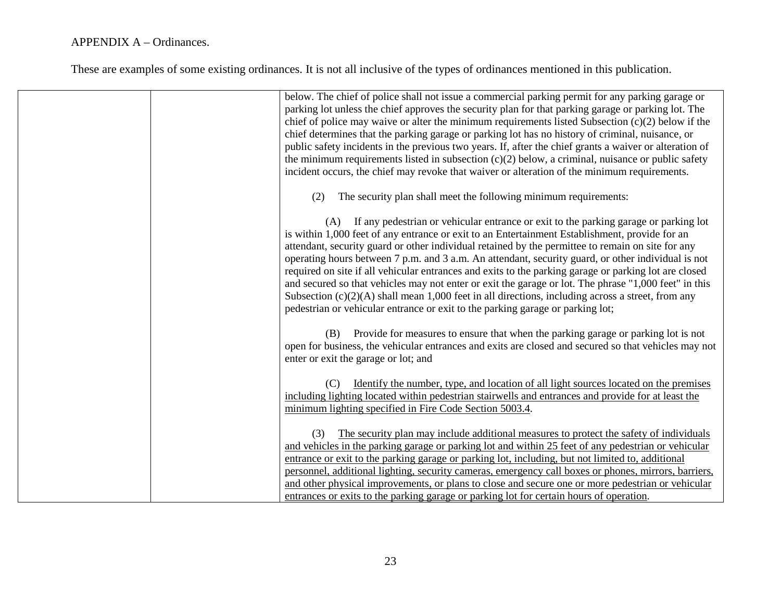| below. The chief of police shall not issue a commercial parking permit for any parking garage or<br>parking lot unless the chief approves the security plan for that parking garage or parking lot. The<br>chief of police may waive or alter the minimum requirements listed Subsection (c)(2) below if the<br>chief determines that the parking garage or parking lot has no history of criminal, nuisance, or<br>public safety incidents in the previous two years. If, after the chief grants a waiver or alteration of<br>the minimum requirements listed in subsection $(c)(2)$ below, a criminal, nuisance or public safety<br>incident occurs, the chief may revoke that waiver or alteration of the minimum requirements.                                                                               |
|------------------------------------------------------------------------------------------------------------------------------------------------------------------------------------------------------------------------------------------------------------------------------------------------------------------------------------------------------------------------------------------------------------------------------------------------------------------------------------------------------------------------------------------------------------------------------------------------------------------------------------------------------------------------------------------------------------------------------------------------------------------------------------------------------------------|
| The security plan shall meet the following minimum requirements:<br>(2)                                                                                                                                                                                                                                                                                                                                                                                                                                                                                                                                                                                                                                                                                                                                          |
| (A) If any pedestrian or vehicular entrance or exit to the parking garage or parking lot<br>is within 1,000 feet of any entrance or exit to an Entertainment Establishment, provide for an<br>attendant, security guard or other individual retained by the permittee to remain on site for any<br>operating hours between 7 p.m. and 3 a.m. An attendant, security guard, or other individual is not<br>required on site if all vehicular entrances and exits to the parking garage or parking lot are closed<br>and secured so that vehicles may not enter or exit the garage or lot. The phrase "1,000 feet" in this<br>Subsection $(c)(2)(A)$ shall mean 1,000 feet in all directions, including across a street, from any<br>pedestrian or vehicular entrance or exit to the parking garage or parking lot; |
| (B) Provide for measures to ensure that when the parking garage or parking lot is not<br>open for business, the vehicular entrances and exits are closed and secured so that vehicles may not<br>enter or exit the garage or lot; and                                                                                                                                                                                                                                                                                                                                                                                                                                                                                                                                                                            |
| Identify the number, type, and location of all light sources located on the premises<br>(C)<br>including lighting located within pedestrian stairwells and entrances and provide for at least the<br>minimum lighting specified in Fire Code Section 5003.4.                                                                                                                                                                                                                                                                                                                                                                                                                                                                                                                                                     |
| The security plan may include additional measures to protect the safety of individuals<br>(3)<br>and vehicles in the parking garage or parking lot and within 25 feet of any pedestrian or vehicular<br>entrance or exit to the parking garage or parking lot, including, but not limited to, additional<br>personnel, additional lighting, security cameras, emergency call boxes or phones, mirrors, barriers,<br>and other physical improvements, or plans to close and secure one or more pedestrian or vehicular<br>entrances or exits to the parking garage or parking lot for certain hours of operation.                                                                                                                                                                                                 |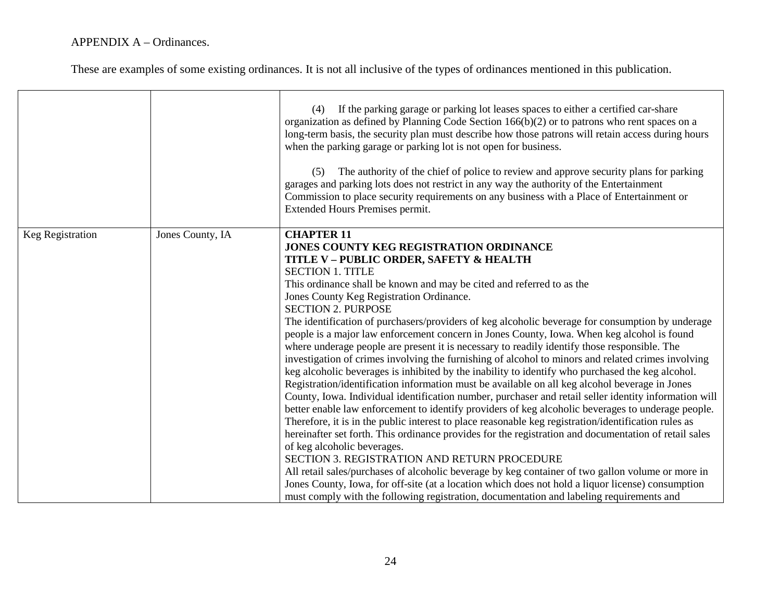|                  |                  | If the parking garage or parking lot leases spaces to either a certified car-share<br>(4)<br>organization as defined by Planning Code Section $166(b)(2)$ or to patrons who rent spaces on a<br>long-term basis, the security plan must describe how those patrons will retain access during hours<br>when the parking garage or parking lot is not open for business.<br>(5) The authority of the chief of police to review and approve security plans for parking<br>garages and parking lots does not restrict in any way the authority of the Entertainment<br>Commission to place security requirements on any business with a Place of Entertainment or<br><b>Extended Hours Premises permit.</b>                                                                                                                                                                                                                                                                                                                                                                                                                                                                                                                                                                                                                                                                                                                                                                                                                                                                                                                                                                                                                 |
|------------------|------------------|-------------------------------------------------------------------------------------------------------------------------------------------------------------------------------------------------------------------------------------------------------------------------------------------------------------------------------------------------------------------------------------------------------------------------------------------------------------------------------------------------------------------------------------------------------------------------------------------------------------------------------------------------------------------------------------------------------------------------------------------------------------------------------------------------------------------------------------------------------------------------------------------------------------------------------------------------------------------------------------------------------------------------------------------------------------------------------------------------------------------------------------------------------------------------------------------------------------------------------------------------------------------------------------------------------------------------------------------------------------------------------------------------------------------------------------------------------------------------------------------------------------------------------------------------------------------------------------------------------------------------------------------------------------------------------------------------------------------------|
| Keg Registration | Jones County, IA | <b>CHAPTER 11</b><br>JONES COUNTY KEG REGISTRATION ORDINANCE<br>TITLE V - PUBLIC ORDER, SAFETY & HEALTH<br><b>SECTION 1. TITLE</b><br>This ordinance shall be known and may be cited and referred to as the<br>Jones County Keg Registration Ordinance.<br><b>SECTION 2. PURPOSE</b><br>The identification of purchasers/providers of keg alcoholic beverage for consumption by underage<br>people is a major law enforcement concern in Jones County, Iowa. When keg alcohol is found<br>where underage people are present it is necessary to readily identify those responsible. The<br>investigation of crimes involving the furnishing of alcohol to minors and related crimes involving<br>keg alcoholic beverages is inhibited by the inability to identify who purchased the keg alcohol.<br>Registration/identification information must be available on all keg alcohol beverage in Jones<br>County, Iowa. Individual identification number, purchaser and retail seller identity information will<br>better enable law enforcement to identify providers of keg alcoholic beverages to underage people.<br>Therefore, it is in the public interest to place reasonable keg registration/identification rules as<br>hereinafter set forth. This ordinance provides for the registration and documentation of retail sales<br>of keg alcoholic beverages.<br>SECTION 3. REGISTRATION AND RETURN PROCEDURE<br>All retail sales/purchases of alcoholic beverage by keg container of two gallon volume or more in<br>Jones County, Iowa, for off-site (at a location which does not hold a liquor license) consumption<br>must comply with the following registration, documentation and labeling requirements and |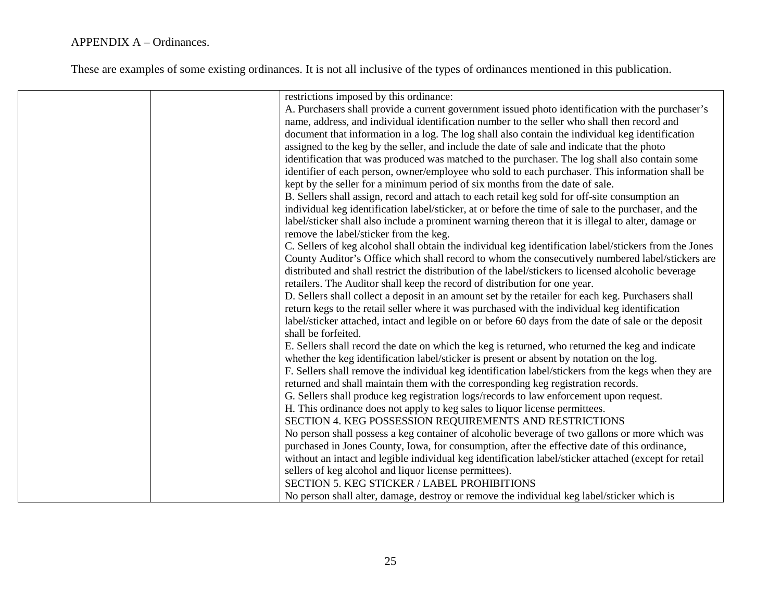| restrictions imposed by this ordinance:                                                                |
|--------------------------------------------------------------------------------------------------------|
| A. Purchasers shall provide a current government issued photo identification with the purchaser's      |
| name, address, and individual identification number to the seller who shall then record and            |
| document that information in a log. The log shall also contain the individual keg identification       |
| assigned to the keg by the seller, and include the date of sale and indicate that the photo            |
| identification that was produced was matched to the purchaser. The log shall also contain some         |
| identifier of each person, owner/employee who sold to each purchaser. This information shall be        |
| kept by the seller for a minimum period of six months from the date of sale.                           |
| B. Sellers shall assign, record and attach to each retail keg sold for off-site consumption an         |
| individual keg identification label/sticker, at or before the time of sale to the purchaser, and the   |
| label/sticker shall also include a prominent warning thereon that it is illegal to alter, damage or    |
|                                                                                                        |
| remove the label/sticker from the keg.                                                                 |
| C. Sellers of keg alcohol shall obtain the individual keg identification label/stickers from the Jones |
| County Auditor's Office which shall record to whom the consecutively numbered label/stickers are       |
| distributed and shall restrict the distribution of the label/stickers to licensed alcoholic beverage   |
| retailers. The Auditor shall keep the record of distribution for one year.                             |
| D. Sellers shall collect a deposit in an amount set by the retailer for each keg. Purchasers shall     |
| return kegs to the retail seller where it was purchased with the individual keg identification         |
| label/sticker attached, intact and legible on or before 60 days from the date of sale or the deposit   |
| shall be forfeited.                                                                                    |
| E. Sellers shall record the date on which the keg is returned, who returned the keg and indicate       |
| whether the keg identification label/sticker is present or absent by notation on the log.              |
| F. Sellers shall remove the individual keg identification label/stickers from the kegs when they are   |
| returned and shall maintain them with the corresponding keg registration records.                      |
| G. Sellers shall produce keg registration logs/records to law enforcement upon request.                |
| H. This ordinance does not apply to keg sales to liquor license permittees.                            |
| SECTION 4. KEG POSSESSION REQUIREMENTS AND RESTRICTIONS                                                |
| No person shall possess a keg container of alcoholic beverage of two gallons or more which was         |
| purchased in Jones County, Iowa, for consumption, after the effective date of this ordinance,          |
| without an intact and legible individual keg identification label/sticker attached (except for retail  |
| sellers of keg alcohol and liquor license permittees).                                                 |
| <b>SECTION 5. KEG STICKER / LABEL PROHIBITIONS</b>                                                     |
| No person shall alter, damage, destroy or remove the individual keg label/sticker which is             |
|                                                                                                        |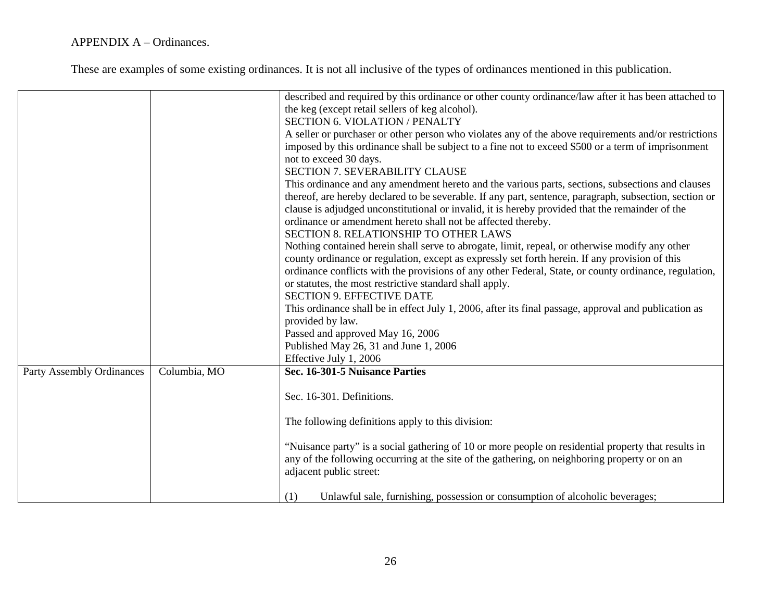| <b>Party Assembly Ordinances</b> | Columbia, MO | described and required by this ordinance or other county ordinance/law after it has been attached to<br>the keg (except retail sellers of keg alcohol).<br><b>SECTION 6. VIOLATION / PENALTY</b><br>A seller or purchaser or other person who violates any of the above requirements and/or restrictions<br>imposed by this ordinance shall be subject to a fine not to exceed \$500 or a term of imprisonment<br>not to exceed 30 days.<br><b>SECTION 7. SEVERABILITY CLAUSE</b><br>This ordinance and any amendment hereto and the various parts, sections, subsections and clauses<br>thereof, are hereby declared to be severable. If any part, sentence, paragraph, subsection, section or<br>clause is adjudged unconstitutional or invalid, it is hereby provided that the remainder of the<br>ordinance or amendment hereto shall not be affected thereby.<br>SECTION 8. RELATIONSHIP TO OTHER LAWS<br>Nothing contained herein shall serve to abrogate, limit, repeal, or otherwise modify any other<br>county ordinance or regulation, except as expressly set forth herein. If any provision of this<br>ordinance conflicts with the provisions of any other Federal, State, or county ordinance, regulation,<br>or statutes, the most restrictive standard shall apply.<br><b>SECTION 9. EFFECTIVE DATE</b><br>This ordinance shall be in effect July 1, 2006, after its final passage, approval and publication as<br>provided by law.<br>Passed and approved May 16, 2006<br>Published May 26, 31 and June 1, 2006<br>Effective July 1, 2006<br>Sec. 16-301-5 Nuisance Parties<br>Sec. 16-301. Definitions.<br>The following definitions apply to this division: |
|----------------------------------|--------------|--------------------------------------------------------------------------------------------------------------------------------------------------------------------------------------------------------------------------------------------------------------------------------------------------------------------------------------------------------------------------------------------------------------------------------------------------------------------------------------------------------------------------------------------------------------------------------------------------------------------------------------------------------------------------------------------------------------------------------------------------------------------------------------------------------------------------------------------------------------------------------------------------------------------------------------------------------------------------------------------------------------------------------------------------------------------------------------------------------------------------------------------------------------------------------------------------------------------------------------------------------------------------------------------------------------------------------------------------------------------------------------------------------------------------------------------------------------------------------------------------------------------------------------------------------------------------------------------------------------------------------------------------------------------------------|
|                                  |              |                                                                                                                                                                                                                                                                                                                                                                                                                                                                                                                                                                                                                                                                                                                                                                                                                                                                                                                                                                                                                                                                                                                                                                                                                                                                                                                                                                                                                                                                                                                                                                                                                                                                                |
|                                  |              | "Nuisance party" is a social gathering of 10 or more people on residential property that results in<br>any of the following occurring at the site of the gathering, on neighboring property or on an<br>adjacent public street:                                                                                                                                                                                                                                                                                                                                                                                                                                                                                                                                                                                                                                                                                                                                                                                                                                                                                                                                                                                                                                                                                                                                                                                                                                                                                                                                                                                                                                                |
|                                  |              | Unlawful sale, furnishing, possession or consumption of alcoholic beverages;<br>(1)                                                                                                                                                                                                                                                                                                                                                                                                                                                                                                                                                                                                                                                                                                                                                                                                                                                                                                                                                                                                                                                                                                                                                                                                                                                                                                                                                                                                                                                                                                                                                                                            |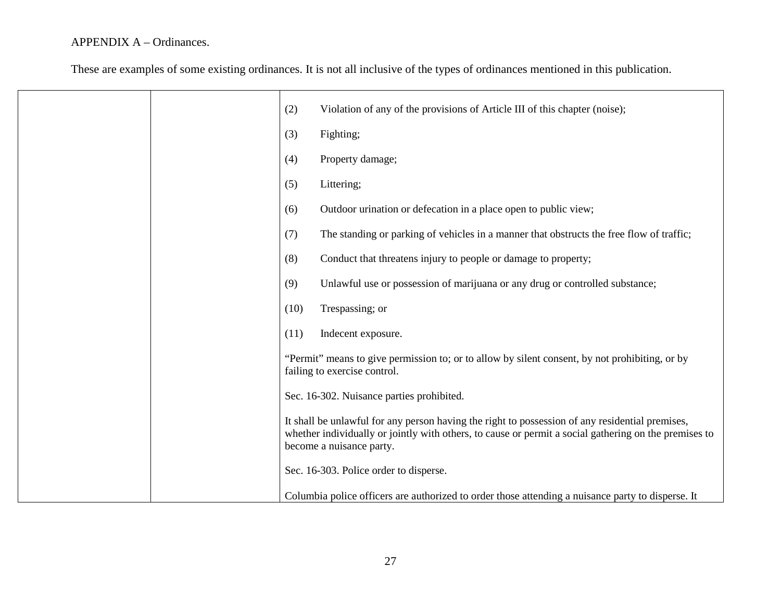|  | (2)  | Violation of any of the provisions of Article III of this chapter (noise);                                                                                                                                                           |
|--|------|--------------------------------------------------------------------------------------------------------------------------------------------------------------------------------------------------------------------------------------|
|  | (3)  | Fighting;                                                                                                                                                                                                                            |
|  | (4)  | Property damage;                                                                                                                                                                                                                     |
|  | (5)  | Littering;                                                                                                                                                                                                                           |
|  | (6)  | Outdoor urination or defecation in a place open to public view;                                                                                                                                                                      |
|  | (7)  | The standing or parking of vehicles in a manner that obstructs the free flow of traffic;                                                                                                                                             |
|  | (8)  | Conduct that threatens injury to people or damage to property;                                                                                                                                                                       |
|  | (9)  | Unlawful use or possession of marijuana or any drug or controlled substance;                                                                                                                                                         |
|  | (10) | Trespassing; or                                                                                                                                                                                                                      |
|  | (11) | Indecent exposure.                                                                                                                                                                                                                   |
|  |      | "Permit" means to give permission to; or to allow by silent consent, by not prohibiting, or by<br>failing to exercise control.                                                                                                       |
|  |      | Sec. 16-302. Nuisance parties prohibited.                                                                                                                                                                                            |
|  |      | It shall be unlawful for any person having the right to possession of any residential premises,<br>whether individually or jointly with others, to cause or permit a social gathering on the premises to<br>become a nuisance party. |
|  |      | Sec. 16-303. Police order to disperse.                                                                                                                                                                                               |
|  |      | Columbia police officers are authorized to order those attending a nuisance party to disperse. It                                                                                                                                    |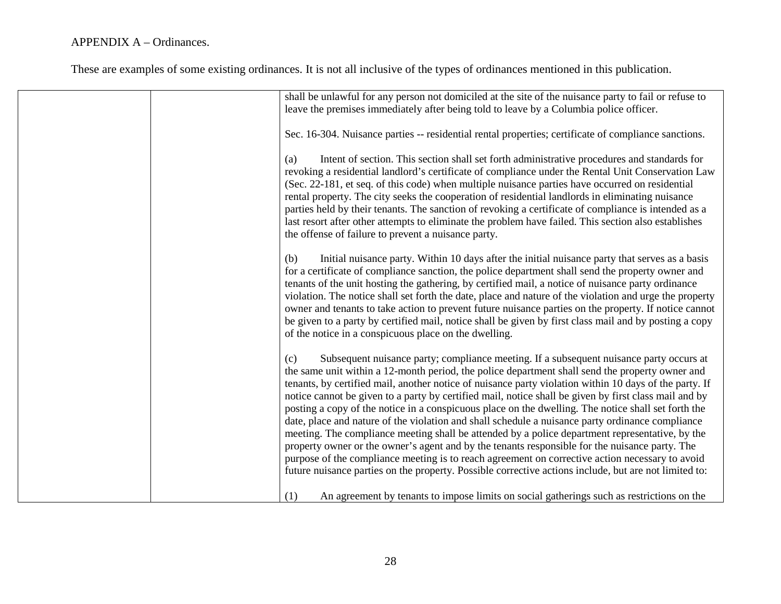| shall be unlawful for any person not domiciled at the site of the nuisance party to fail or refuse to<br>leave the premises immediately after being told to leave by a Columbia police officer.                                                                                                                                                                                                                                                                                                                                                                                                                                                                                                                                                                                                                                                                                                                                                                                                                                                  |
|--------------------------------------------------------------------------------------------------------------------------------------------------------------------------------------------------------------------------------------------------------------------------------------------------------------------------------------------------------------------------------------------------------------------------------------------------------------------------------------------------------------------------------------------------------------------------------------------------------------------------------------------------------------------------------------------------------------------------------------------------------------------------------------------------------------------------------------------------------------------------------------------------------------------------------------------------------------------------------------------------------------------------------------------------|
| Sec. 16-304. Nuisance parties -- residential rental properties; certificate of compliance sanctions.                                                                                                                                                                                                                                                                                                                                                                                                                                                                                                                                                                                                                                                                                                                                                                                                                                                                                                                                             |
| Intent of section. This section shall set forth administrative procedures and standards for<br>(a)<br>revoking a residential landlord's certificate of compliance under the Rental Unit Conservation Law<br>(Sec. 22-181, et seq. of this code) when multiple nuisance parties have occurred on residential<br>rental property. The city seeks the cooperation of residential landlords in eliminating nuisance<br>parties held by their tenants. The sanction of revoking a certificate of compliance is intended as a<br>last resort after other attempts to eliminate the problem have failed. This section also establishes<br>the offense of failure to prevent a nuisance party.                                                                                                                                                                                                                                                                                                                                                           |
| Initial nuisance party. Within 10 days after the initial nuisance party that serves as a basis<br>(b)<br>for a certificate of compliance sanction, the police department shall send the property owner and<br>tenants of the unit hosting the gathering, by certified mail, a notice of nuisance party ordinance<br>violation. The notice shall set forth the date, place and nature of the violation and urge the property<br>owner and tenants to take action to prevent future nuisance parties on the property. If notice cannot<br>be given to a party by certified mail, notice shall be given by first class mail and by posting a copy<br>of the notice in a conspicuous place on the dwelling.                                                                                                                                                                                                                                                                                                                                          |
| Subsequent nuisance party; compliance meeting. If a subsequent nuisance party occurs at<br>(c)<br>the same unit within a 12-month period, the police department shall send the property owner and<br>tenants, by certified mail, another notice of nuisance party violation within 10 days of the party. If<br>notice cannot be given to a party by certified mail, notice shall be given by first class mail and by<br>posting a copy of the notice in a conspicuous place on the dwelling. The notice shall set forth the<br>date, place and nature of the violation and shall schedule a nuisance party ordinance compliance<br>meeting. The compliance meeting shall be attended by a police department representative, by the<br>property owner or the owner's agent and by the tenants responsible for the nuisance party. The<br>purpose of the compliance meeting is to reach agreement on corrective action necessary to avoid<br>future nuisance parties on the property. Possible corrective actions include, but are not limited to: |
| An agreement by tenants to impose limits on social gatherings such as restrictions on the<br>(1)                                                                                                                                                                                                                                                                                                                                                                                                                                                                                                                                                                                                                                                                                                                                                                                                                                                                                                                                                 |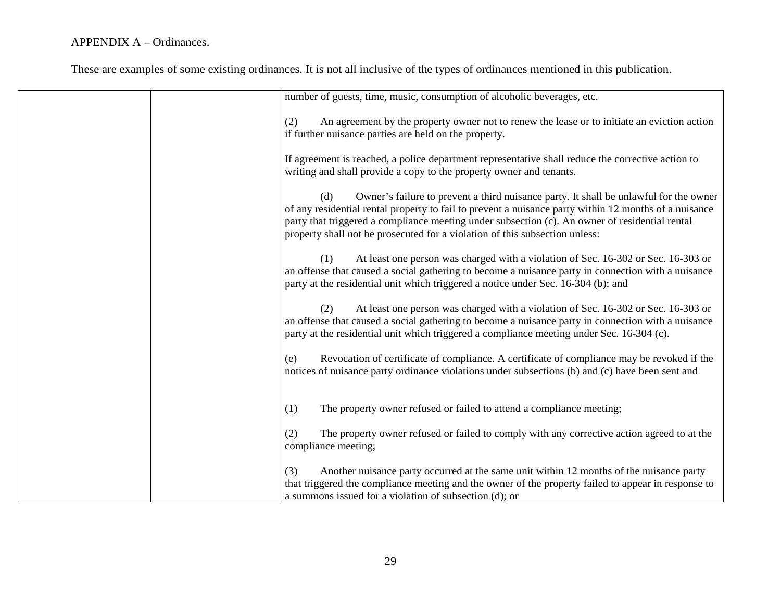| number of guests, time, music, consumption of alcoholic beverages, etc.                                                                                                                                                                                                                                                                                                                |
|----------------------------------------------------------------------------------------------------------------------------------------------------------------------------------------------------------------------------------------------------------------------------------------------------------------------------------------------------------------------------------------|
| (2)<br>An agreement by the property owner not to renew the lease or to initiate an eviction action<br>if further nuisance parties are held on the property.                                                                                                                                                                                                                            |
| If agreement is reached, a police department representative shall reduce the corrective action to<br>writing and shall provide a copy to the property owner and tenants.                                                                                                                                                                                                               |
| Owner's failure to prevent a third nuisance party. It shall be unlawful for the owner<br>(d)<br>of any residential rental property to fail to prevent a nuisance party within 12 months of a nuisance<br>party that triggered a compliance meeting under subsection (c). An owner of residential rental<br>property shall not be prosecuted for a violation of this subsection unless: |
| At least one person was charged with a violation of Sec. 16-302 or Sec. 16-303 or<br>(1)<br>an offense that caused a social gathering to become a nuisance party in connection with a nuisance<br>party at the residential unit which triggered a notice under Sec. 16-304 (b); and                                                                                                    |
| At least one person was charged with a violation of Sec. 16-302 or Sec. 16-303 or<br>(2)<br>an offense that caused a social gathering to become a nuisance party in connection with a nuisance<br>party at the residential unit which triggered a compliance meeting under Sec. 16-304 (c).                                                                                            |
| Revocation of certificate of compliance. A certificate of compliance may be revoked if the<br>(e)<br>notices of nuisance party ordinance violations under subsections (b) and (c) have been sent and                                                                                                                                                                                   |
| The property owner refused or failed to attend a compliance meeting;<br>(1)                                                                                                                                                                                                                                                                                                            |
| The property owner refused or failed to comply with any corrective action agreed to at the<br>(2)<br>compliance meeting;                                                                                                                                                                                                                                                               |
| Another nuisance party occurred at the same unit within 12 months of the nuisance party<br>(3)<br>that triggered the compliance meeting and the owner of the property failed to appear in response to<br>a summons issued for a violation of subsection (d); or                                                                                                                        |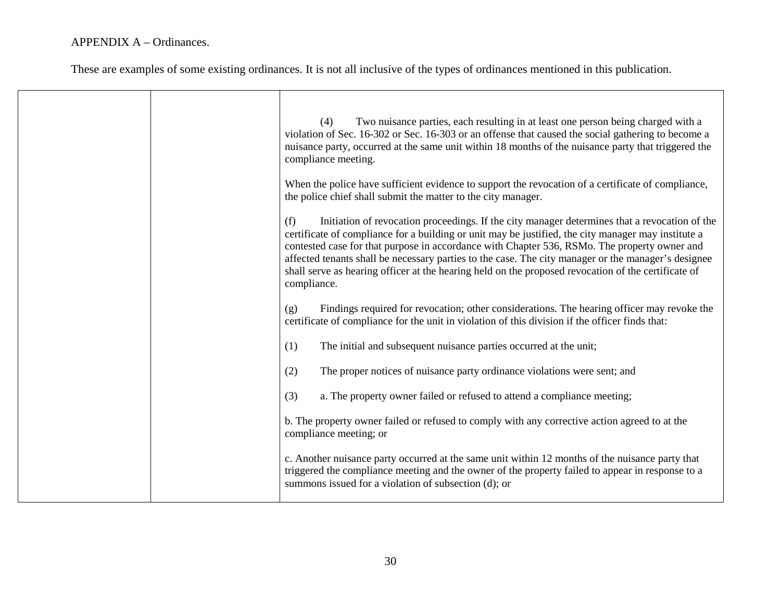|  | Two nuisance parties, each resulting in at least one person being charged with a<br>(4)<br>violation of Sec. 16-302 or Sec. 16-303 or an offense that caused the social gathering to become a<br>nuisance party, occurred at the same unit within 18 months of the nuisance party that triggered the<br>compliance meeting.                                                                                                                                                                                                              |
|--|------------------------------------------------------------------------------------------------------------------------------------------------------------------------------------------------------------------------------------------------------------------------------------------------------------------------------------------------------------------------------------------------------------------------------------------------------------------------------------------------------------------------------------------|
|  | When the police have sufficient evidence to support the revocation of a certificate of compliance,<br>the police chief shall submit the matter to the city manager.                                                                                                                                                                                                                                                                                                                                                                      |
|  | Initiation of revocation proceedings. If the city manager determines that a revocation of the<br>(f)<br>certificate of compliance for a building or unit may be justified, the city manager may institute a<br>contested case for that purpose in accordance with Chapter 536, RSMo. The property owner and<br>affected tenants shall be necessary parties to the case. The city manager or the manager's designee<br>shall serve as hearing officer at the hearing held on the proposed revocation of the certificate of<br>compliance. |
|  | Findings required for revocation; other considerations. The hearing officer may revoke the<br>(g)<br>certificate of compliance for the unit in violation of this division if the officer finds that:                                                                                                                                                                                                                                                                                                                                     |
|  | The initial and subsequent nuisance parties occurred at the unit;<br>(1)                                                                                                                                                                                                                                                                                                                                                                                                                                                                 |
|  | The proper notices of nuisance party ordinance violations were sent; and<br>(2)                                                                                                                                                                                                                                                                                                                                                                                                                                                          |
|  | (3)<br>a. The property owner failed or refused to attend a compliance meeting;                                                                                                                                                                                                                                                                                                                                                                                                                                                           |
|  | b. The property owner failed or refused to comply with any corrective action agreed to at the<br>compliance meeting; or                                                                                                                                                                                                                                                                                                                                                                                                                  |
|  | c. Another nuisance party occurred at the same unit within 12 months of the nuisance party that<br>triggered the compliance meeting and the owner of the property failed to appear in response to a<br>summons issued for a violation of subsection (d); or                                                                                                                                                                                                                                                                              |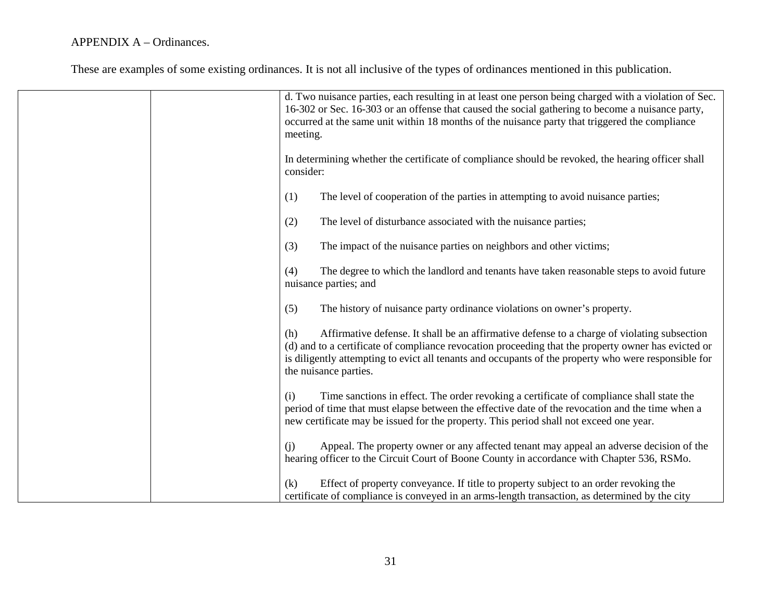| d. Two nuisance parties, each resulting in at least one person being charged with a violation of Sec.<br>16-302 or Sec. 16-303 or an offense that caused the social gathering to become a nuisance party,<br>occurred at the same unit within 18 months of the nuisance party that triggered the compliance<br>meeting.                    |
|--------------------------------------------------------------------------------------------------------------------------------------------------------------------------------------------------------------------------------------------------------------------------------------------------------------------------------------------|
| In determining whether the certificate of compliance should be revoked, the hearing officer shall<br>consider:                                                                                                                                                                                                                             |
| The level of cooperation of the parties in attempting to avoid nuisance parties;<br>(1)                                                                                                                                                                                                                                                    |
| The level of disturbance associated with the nuisance parties;<br>(2)                                                                                                                                                                                                                                                                      |
| The impact of the nuisance parties on neighbors and other victims;<br>(3)                                                                                                                                                                                                                                                                  |
| The degree to which the landlord and tenants have taken reasonable steps to avoid future<br>(4)<br>nuisance parties; and                                                                                                                                                                                                                   |
| The history of nuisance party ordinance violations on owner's property.<br>(5)                                                                                                                                                                                                                                                             |
| Affirmative defense. It shall be an affirmative defense to a charge of violating subsection<br>(h)<br>(d) and to a certificate of compliance revocation proceeding that the property owner has evicted or<br>is diligently attempting to evict all tenants and occupants of the property who were responsible for<br>the nuisance parties. |
| Time sanctions in effect. The order revoking a certificate of compliance shall state the<br>(i)<br>period of time that must elapse between the effective date of the revocation and the time when a<br>new certificate may be issued for the property. This period shall not exceed one year.                                              |
| Appeal. The property owner or any affected tenant may appeal an adverse decision of the<br>(i)<br>hearing officer to the Circuit Court of Boone County in accordance with Chapter 536, RSMo.                                                                                                                                               |
| Effect of property conveyance. If title to property subject to an order revoking the<br>(k)<br>certificate of compliance is conveyed in an arms-length transaction, as determined by the city                                                                                                                                              |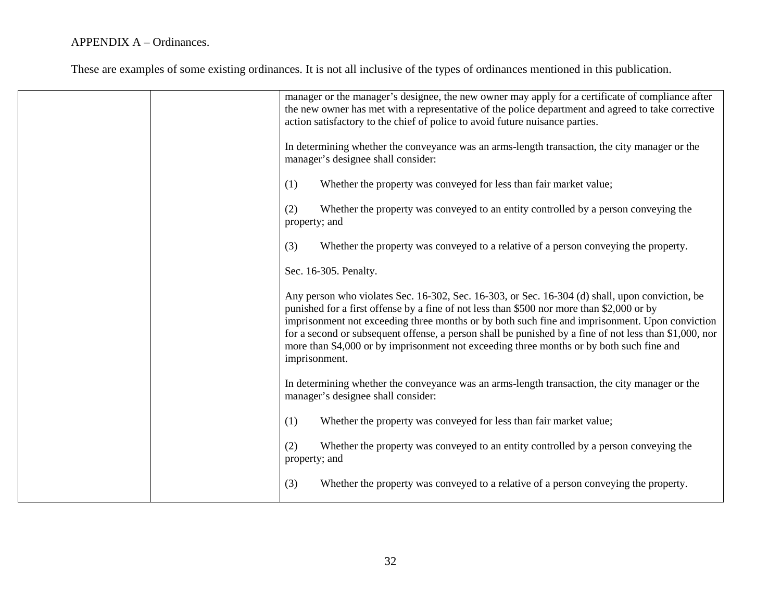| manager or the manager's designee, the new owner may apply for a certificate of compliance after<br>the new owner has met with a representative of the police department and agreed to take corrective<br>action satisfactory to the chief of police to avoid future nuisance parties.                                                                                                                                                                                                                                |
|-----------------------------------------------------------------------------------------------------------------------------------------------------------------------------------------------------------------------------------------------------------------------------------------------------------------------------------------------------------------------------------------------------------------------------------------------------------------------------------------------------------------------|
| In determining whether the conveyance was an arms-length transaction, the city manager or the<br>manager's designee shall consider:                                                                                                                                                                                                                                                                                                                                                                                   |
| (1)<br>Whether the property was conveyed for less than fair market value;                                                                                                                                                                                                                                                                                                                                                                                                                                             |
| Whether the property was conveyed to an entity controlled by a person conveying the<br>(2)<br>property; and                                                                                                                                                                                                                                                                                                                                                                                                           |
| (3)<br>Whether the property was conveyed to a relative of a person conveying the property.                                                                                                                                                                                                                                                                                                                                                                                                                            |
| Sec. 16-305. Penalty.                                                                                                                                                                                                                                                                                                                                                                                                                                                                                                 |
| Any person who violates Sec. 16-302, Sec. 16-303, or Sec. 16-304 (d) shall, upon conviction, be<br>punished for a first offense by a fine of not less than \$500 nor more than \$2,000 or by<br>imprisonment not exceeding three months or by both such fine and imprisonment. Upon conviction<br>for a second or subsequent offense, a person shall be punished by a fine of not less than \$1,000, nor<br>more than \$4,000 or by imprisonment not exceeding three months or by both such fine and<br>imprisonment. |
| In determining whether the conveyance was an arms-length transaction, the city manager or the<br>manager's designee shall consider:                                                                                                                                                                                                                                                                                                                                                                                   |
| (1)<br>Whether the property was conveyed for less than fair market value;                                                                                                                                                                                                                                                                                                                                                                                                                                             |
| Whether the property was conveyed to an entity controlled by a person conveying the<br>(2)<br>property; and                                                                                                                                                                                                                                                                                                                                                                                                           |
| (3)<br>Whether the property was conveyed to a relative of a person conveying the property.                                                                                                                                                                                                                                                                                                                                                                                                                            |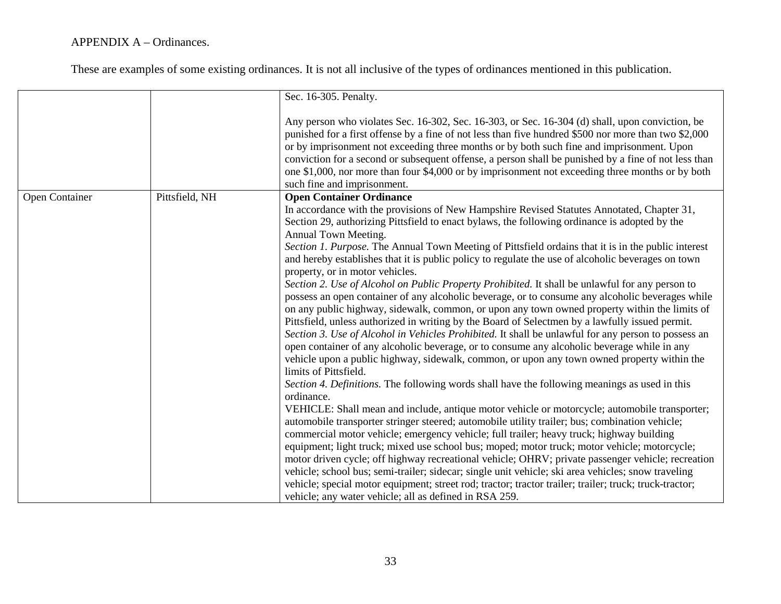|                |                | Sec. 16-305. Penalty.                                                                                                                                                                                                                                                                                                                                                                                                                                                                                                                                                                                                                                                                                                                                                                                                                                                                     |
|----------------|----------------|-------------------------------------------------------------------------------------------------------------------------------------------------------------------------------------------------------------------------------------------------------------------------------------------------------------------------------------------------------------------------------------------------------------------------------------------------------------------------------------------------------------------------------------------------------------------------------------------------------------------------------------------------------------------------------------------------------------------------------------------------------------------------------------------------------------------------------------------------------------------------------------------|
|                |                |                                                                                                                                                                                                                                                                                                                                                                                                                                                                                                                                                                                                                                                                                                                                                                                                                                                                                           |
|                |                | Any person who violates Sec. 16-302, Sec. 16-303, or Sec. 16-304 (d) shall, upon conviction, be<br>punished for a first offense by a fine of not less than five hundred \$500 nor more than two \$2,000<br>or by imprisonment not exceeding three months or by both such fine and imprisonment. Upon<br>conviction for a second or subsequent offense, a person shall be punished by a fine of not less than<br>one \$1,000, nor more than four \$4,000 or by imprisonment not exceeding three months or by both<br>such fine and imprisonment.                                                                                                                                                                                                                                                                                                                                           |
| Open Container | Pittsfield, NH | <b>Open Container Ordinance</b>                                                                                                                                                                                                                                                                                                                                                                                                                                                                                                                                                                                                                                                                                                                                                                                                                                                           |
|                |                | In accordance with the provisions of New Hampshire Revised Statutes Annotated, Chapter 31,<br>Section 29, authorizing Pittsfield to enact bylaws, the following ordinance is adopted by the<br>Annual Town Meeting.<br>Section 1. Purpose. The Annual Town Meeting of Pittsfield ordains that it is in the public interest<br>and hereby establishes that it is public policy to regulate the use of alcoholic beverages on town<br>property, or in motor vehicles.<br>Section 2. Use of Alcohol on Public Property Prohibited. It shall be unlawful for any person to                                                                                                                                                                                                                                                                                                                    |
|                |                | possess an open container of any alcoholic beverage, or to consume any alcoholic beverages while<br>on any public highway, sidewalk, common, or upon any town owned property within the limits of<br>Pittsfield, unless authorized in writing by the Board of Selectmen by a lawfully issued permit.<br>Section 3. Use of Alcohol in Vehicles Prohibited. It shall be unlawful for any person to possess an<br>open container of any alcoholic beverage, or to consume any alcoholic beverage while in any<br>vehicle upon a public highway, sidewalk, common, or upon any town owned property within the<br>limits of Pittsfield.                                                                                                                                                                                                                                                        |
|                |                | Section 4. Definitions. The following words shall have the following meanings as used in this<br>ordinance.<br>VEHICLE: Shall mean and include, antique motor vehicle or motorcycle; automobile transporter;<br>automobile transporter stringer steered; automobile utility trailer; bus; combination vehicle;<br>commercial motor vehicle; emergency vehicle; full trailer; heavy truck; highway building<br>equipment; light truck; mixed use school bus; moped; motor truck; motor vehicle; motorcycle;<br>motor driven cycle; off highway recreational vehicle; OHRV; private passenger vehicle; recreation<br>vehicle; school bus; semi-trailer; sidecar; single unit vehicle; ski area vehicles; snow traveling<br>vehicle; special motor equipment; street rod; tractor; tractor trailer; trailer; truck; truck-tractor;<br>vehicle; any water vehicle; all as defined in RSA 259. |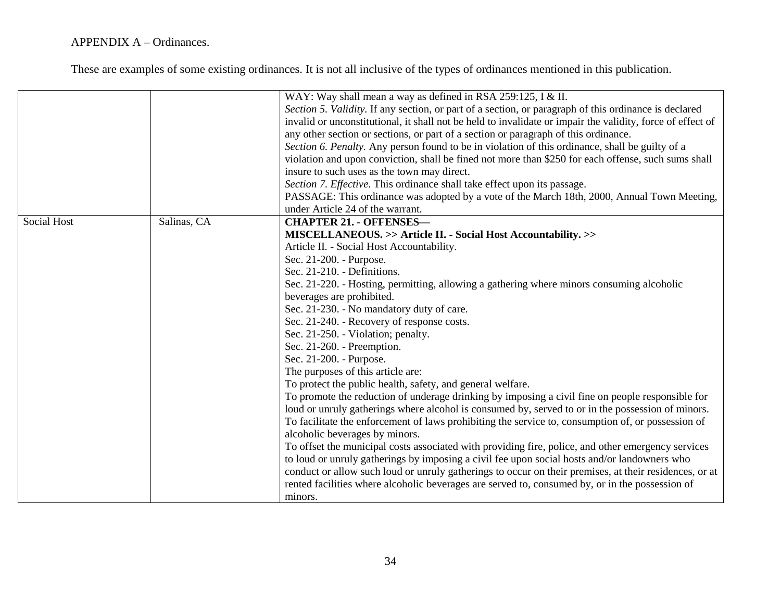|                    |             | WAY: Way shall mean a way as defined in RSA 259:125, I & II.                                               |
|--------------------|-------------|------------------------------------------------------------------------------------------------------------|
|                    |             | Section 5. Validity. If any section, or part of a section, or paragraph of this ordinance is declared      |
|                    |             | invalid or unconstitutional, it shall not be held to invalidate or impair the validity, force of effect of |
|                    |             | any other section or sections, or part of a section or paragraph of this ordinance.                        |
|                    |             | Section 6. Penalty. Any person found to be in violation of this ordinance, shall be guilty of a            |
|                    |             | violation and upon conviction, shall be fined not more than \$250 for each offense, such sums shall        |
|                    |             | insure to such uses as the town may direct.                                                                |
|                    |             | Section 7. Effective. This ordinance shall take effect upon its passage.                                   |
|                    |             | PASSAGE: This ordinance was adopted by a vote of the March 18th, 2000, Annual Town Meeting,                |
|                    |             | under Article 24 of the warrant.                                                                           |
| <b>Social Host</b> | Salinas, CA | <b>CHAPTER 21. - OFFENSES-</b>                                                                             |
|                    |             | MISCELLANEOUS. >> Article II. - Social Host Accountability. >>                                             |
|                    |             | Article II. - Social Host Accountability.                                                                  |
|                    |             | Sec. 21-200. - Purpose.                                                                                    |
|                    |             | Sec. 21-210. - Definitions.                                                                                |
|                    |             | Sec. 21-220. - Hosting, permitting, allowing a gathering where minors consuming alcoholic                  |
|                    |             | beverages are prohibited.                                                                                  |
|                    |             | Sec. 21-230. - No mandatory duty of care.                                                                  |
|                    |             | Sec. 21-240. - Recovery of response costs.                                                                 |
|                    |             | Sec. 21-250. - Violation; penalty.                                                                         |
|                    |             | Sec. 21-260. - Preemption.                                                                                 |
|                    |             | Sec. 21-200. - Purpose.                                                                                    |
|                    |             | The purposes of this article are:                                                                          |
|                    |             | To protect the public health, safety, and general welfare.                                                 |
|                    |             | To promote the reduction of underage drinking by imposing a civil fine on people responsible for           |
|                    |             | loud or unruly gatherings where alcohol is consumed by, served to or in the possession of minors.          |
|                    |             | To facilitate the enforcement of laws prohibiting the service to, consumption of, or possession of         |
|                    |             | alcoholic beverages by minors.                                                                             |
|                    |             | To offset the municipal costs associated with providing fire, police, and other emergency services         |
|                    |             | to loud or unruly gatherings by imposing a civil fee upon social hosts and/or landowners who               |
|                    |             | conduct or allow such loud or unruly gatherings to occur on their premises, at their residences, or at     |
|                    |             | rented facilities where alcoholic beverages are served to, consumed by, or in the possession of            |
|                    |             | minors.                                                                                                    |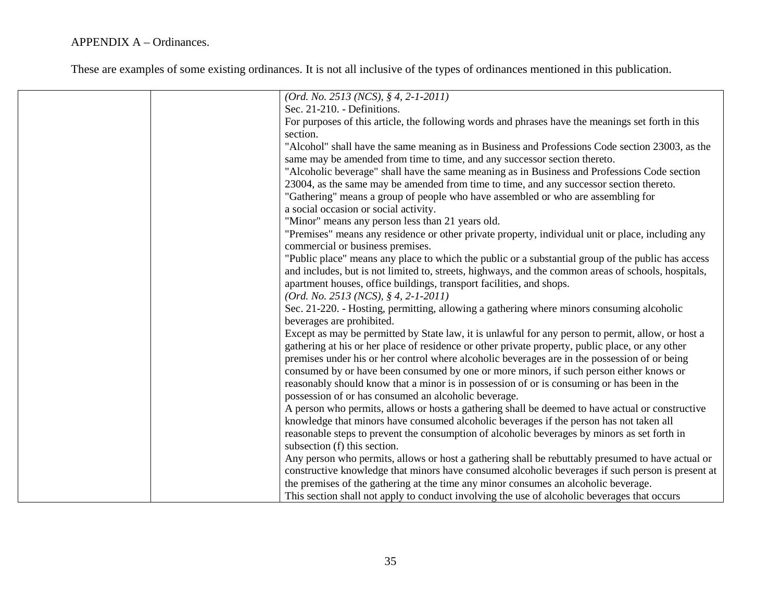| $(Ord. No. 2513 (NCS), § 4, 2-1-2011)$                                                              |
|-----------------------------------------------------------------------------------------------------|
| Sec. 21-210. - Definitions.                                                                         |
| For purposes of this article, the following words and phrases have the meanings set forth in this   |
| section.                                                                                            |
| "Alcohol" shall have the same meaning as in Business and Professions Code section 23003, as the     |
| same may be amended from time to time, and any successor section thereto.                           |
| "Alcoholic beverage" shall have the same meaning as in Business and Professions Code section        |
| 23004, as the same may be amended from time to time, and any successor section thereto.             |
| "Gathering" means a group of people who have assembled or who are assembling for                    |
| a social occasion or social activity.                                                               |
| "Minor" means any person less than 21 years old.                                                    |
| "Premises" means any residence or other private property, individual unit or place, including any   |
| commercial or business premises.                                                                    |
| "Public place" means any place to which the public or a substantial group of the public has access  |
| and includes, but is not limited to, streets, highways, and the common areas of schools, hospitals, |
| apartment houses, office buildings, transport facilities, and shops.                                |
| $(Ord. No. 2513 (NCS), § 4, 2-1-2011)$                                                              |
| Sec. 21-220. - Hosting, permitting, allowing a gathering where minors consuming alcoholic           |
| beverages are prohibited.                                                                           |
| Except as may be permitted by State law, it is unlawful for any person to permit, allow, or host a  |
| gathering at his or her place of residence or other private property, public place, or any other    |
| premises under his or her control where alcoholic beverages are in the possession of or being       |
| consumed by or have been consumed by one or more minors, if such person either knows or             |
| reasonably should know that a minor is in possession of or is consuming or has been in the          |
|                                                                                                     |
| possession of or has consumed an alcoholic beverage.                                                |
| A person who permits, allows or hosts a gathering shall be deemed to have actual or constructive    |
| knowledge that minors have consumed alcoholic beverages if the person has not taken all             |
| reasonable steps to prevent the consumption of alcoholic beverages by minors as set forth in        |
| subsection (f) this section.                                                                        |
| Any person who permits, allows or host a gathering shall be rebuttably presumed to have actual or   |
| constructive knowledge that minors have consumed alcoholic beverages if such person is present at   |
| the premises of the gathering at the time any minor consumes an alcoholic beverage.                 |
| This section shall not apply to conduct involving the use of alcoholic beverages that occurs        |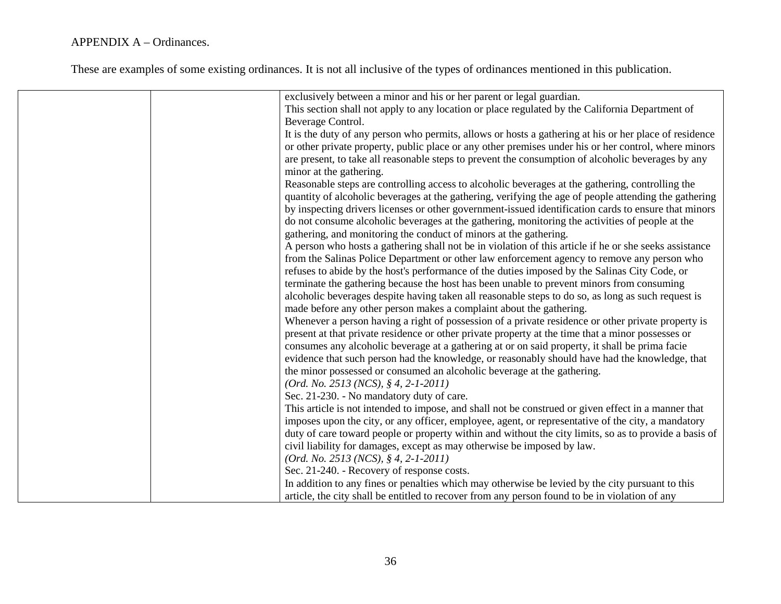| exclusively between a minor and his or her parent or legal guardian.                                   |
|--------------------------------------------------------------------------------------------------------|
| This section shall not apply to any location or place regulated by the California Department of        |
| Beverage Control.                                                                                      |
| It is the duty of any person who permits, allows or hosts a gathering at his or her place of residence |
| or other private property, public place or any other premises under his or her control, where minors   |
| are present, to take all reasonable steps to prevent the consumption of alcoholic beverages by any     |
| minor at the gathering.                                                                                |
| Reasonable steps are controlling access to alcoholic beverages at the gathering, controlling the       |
| quantity of alcoholic beverages at the gathering, verifying the age of people attending the gathering  |
| by inspecting drivers licenses or other government-issued identification cards to ensure that minors   |
| do not consume alcoholic beverages at the gathering, monitoring the activities of people at the        |
| gathering, and monitoring the conduct of minors at the gathering.                                      |
| A person who hosts a gathering shall not be in violation of this article if he or she seeks assistance |
| from the Salinas Police Department or other law enforcement agency to remove any person who            |
| refuses to abide by the host's performance of the duties imposed by the Salinas City Code, or          |
| terminate the gathering because the host has been unable to prevent minors from consuming              |
| alcoholic beverages despite having taken all reasonable steps to do so, as long as such request is     |
| made before any other person makes a complaint about the gathering.                                    |
| Whenever a person having a right of possession of a private residence or other private property is     |
| present at that private residence or other private property at the time that a minor possesses or      |
| consumes any alcoholic beverage at a gathering at or on said property, it shall be prima facie         |
| evidence that such person had the knowledge, or reasonably should have had the knowledge, that         |
| the minor possessed or consumed an alcoholic beverage at the gathering.                                |
| $(Ord. No. 2513 (NCS), § 4, 2-1-2011)$                                                                 |
| Sec. 21-230. - No mandatory duty of care.                                                              |
| This article is not intended to impose, and shall not be construed or given effect in a manner that    |
| imposes upon the city, or any officer, employee, agent, or representative of the city, a mandatory     |
| duty of care toward people or property within and without the city limits, so as to provide a basis of |
| civil liability for damages, except as may otherwise be imposed by law.                                |
| $(Ord. No. 2513 (NCS), § 4, 2-1-2011)$                                                                 |
| Sec. 21-240. - Recovery of response costs.                                                             |
|                                                                                                        |
| In addition to any fines or penalties which may otherwise be levied by the city pursuant to this       |
| article, the city shall be entitled to recover from any person found to be in violation of any         |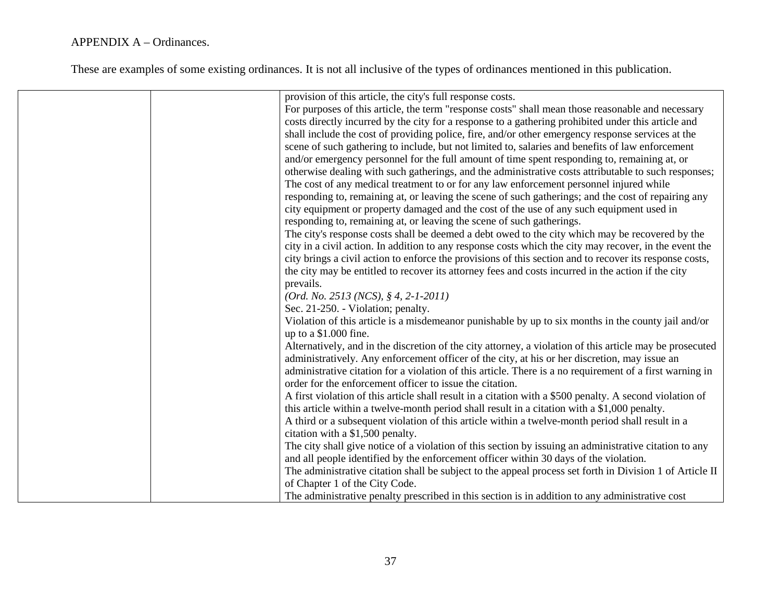| provision of this article, the city's full response costs.                                               |
|----------------------------------------------------------------------------------------------------------|
| For purposes of this article, the term "response costs" shall mean those reasonable and necessary        |
| costs directly incurred by the city for a response to a gathering prohibited under this article and      |
| shall include the cost of providing police, fire, and/or other emergency response services at the        |
| scene of such gathering to include, but not limited to, salaries and benefits of law enforcement         |
| and/or emergency personnel for the full amount of time spent responding to, remaining at, or             |
| otherwise dealing with such gatherings, and the administrative costs attributable to such responses;     |
| The cost of any medical treatment to or for any law enforcement personnel injured while                  |
| responding to, remaining at, or leaving the scene of such gatherings; and the cost of repairing any      |
| city equipment or property damaged and the cost of the use of any such equipment used in                 |
|                                                                                                          |
| responding to, remaining at, or leaving the scene of such gatherings.                                    |
| The city's response costs shall be deemed a debt owed to the city which may be recovered by the          |
| city in a civil action. In addition to any response costs which the city may recover, in the event the   |
| city brings a civil action to enforce the provisions of this section and to recover its response costs,  |
| the city may be entitled to recover its attorney fees and costs incurred in the action if the city       |
| prevails.                                                                                                |
| $(Ord. No. 2513 (NCS), § 4, 2-1-2011)$                                                                   |
| Sec. 21-250. - Violation; penalty.                                                                       |
| Violation of this article is a misdemeanor punishable by up to six months in the county jail and/or      |
| up to a \$1.000 fine.                                                                                    |
| Alternatively, and in the discretion of the city attorney, a violation of this article may be prosecuted |
| administratively. Any enforcement officer of the city, at his or her discretion, may issue an            |
| administrative citation for a violation of this article. There is a no requirement of a first warning in |
| order for the enforcement officer to issue the citation.                                                 |
| A first violation of this article shall result in a citation with a \$500 penalty. A second violation of |
| this article within a twelve-month period shall result in a citation with a \$1,000 penalty.             |
| A third or a subsequent violation of this article within a twelve-month period shall result in a         |
| citation with a \$1,500 penalty.                                                                         |
| The city shall give notice of a violation of this section by issuing an administrative citation to any   |
| and all people identified by the enforcement officer within 30 days of the violation.                    |
| The administrative citation shall be subject to the appeal process set forth in Division 1 of Article II |
| of Chapter 1 of the City Code.                                                                           |
| The administrative penalty prescribed in this section is in addition to any administrative cost          |
|                                                                                                          |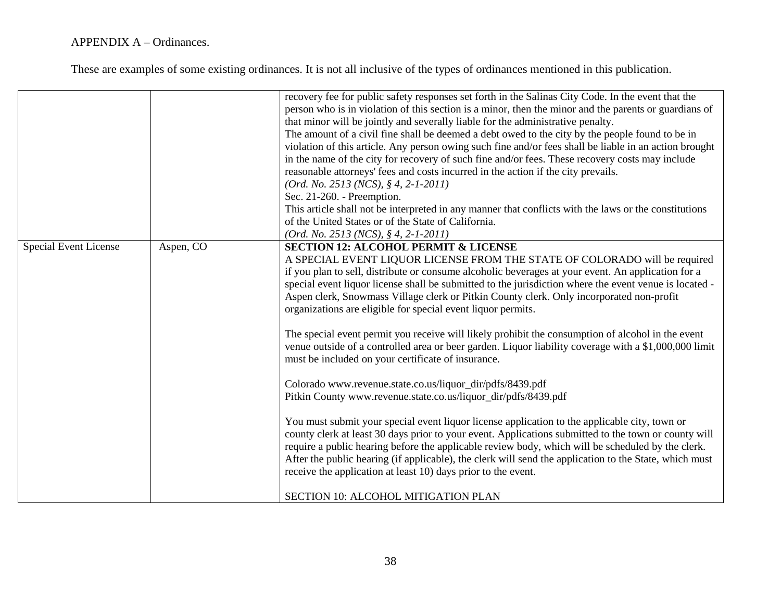|                       |           | recovery fee for public safety responses set forth in the Salinas City Code. In the event that the<br>person who is in violation of this section is a minor, then the minor and the parents or guardians of<br>that minor will be jointly and severally liable for the administrative penalty.<br>The amount of a civil fine shall be deemed a debt owed to the city by the people found to be in<br>violation of this article. Any person owing such fine and/or fees shall be liable in an action brought<br>in the name of the city for recovery of such fine and/or fees. These recovery costs may include<br>reasonable attorneys' fees and costs incurred in the action if the city prevails.<br>$(Ord. No. 2513 (NCS), § 4, 2-1-2011)$<br>Sec. 21-260. - Preemption.<br>This article shall not be interpreted in any manner that conflicts with the laws or the constitutions<br>of the United States or of the State of California.<br>(Ord. No. 2513 (NCS), § 4, 2-1-2011) |
|-----------------------|-----------|-------------------------------------------------------------------------------------------------------------------------------------------------------------------------------------------------------------------------------------------------------------------------------------------------------------------------------------------------------------------------------------------------------------------------------------------------------------------------------------------------------------------------------------------------------------------------------------------------------------------------------------------------------------------------------------------------------------------------------------------------------------------------------------------------------------------------------------------------------------------------------------------------------------------------------------------------------------------------------------|
| Special Event License | Aspen, CO | <b>SECTION 12: ALCOHOL PERMIT &amp; LICENSE</b><br>A SPECIAL EVENT LIQUOR LICENSE FROM THE STATE OF COLORADO will be required<br>if you plan to sell, distribute or consume alcoholic beverages at your event. An application for a<br>special event liquor license shall be submitted to the jurisdiction where the event venue is located -<br>Aspen clerk, Snowmass Village clerk or Pitkin County clerk. Only incorporated non-profit<br>organizations are eligible for special event liquor permits.                                                                                                                                                                                                                                                                                                                                                                                                                                                                           |
|                       |           | The special event permit you receive will likely prohibit the consumption of alcohol in the event<br>venue outside of a controlled area or beer garden. Liquor liability coverage with a \$1,000,000 limit<br>must be included on your certificate of insurance.<br>Colorado www.revenue.state.co.us/liquor_dir/pdfs/8439.pdf                                                                                                                                                                                                                                                                                                                                                                                                                                                                                                                                                                                                                                                       |
|                       |           | Pitkin County www.revenue.state.co.us/liquor_dir/pdfs/8439.pdf<br>You must submit your special event liquor license application to the applicable city, town or<br>county clerk at least 30 days prior to your event. Applications submitted to the town or county will<br>require a public hearing before the applicable review body, which will be scheduled by the clerk.<br>After the public hearing (if applicable), the clerk will send the application to the State, which must<br>receive the application at least 10) days prior to the event.                                                                                                                                                                                                                                                                                                                                                                                                                             |
|                       |           | SECTION 10: ALCOHOL MITIGATION PLAN                                                                                                                                                                                                                                                                                                                                                                                                                                                                                                                                                                                                                                                                                                                                                                                                                                                                                                                                                 |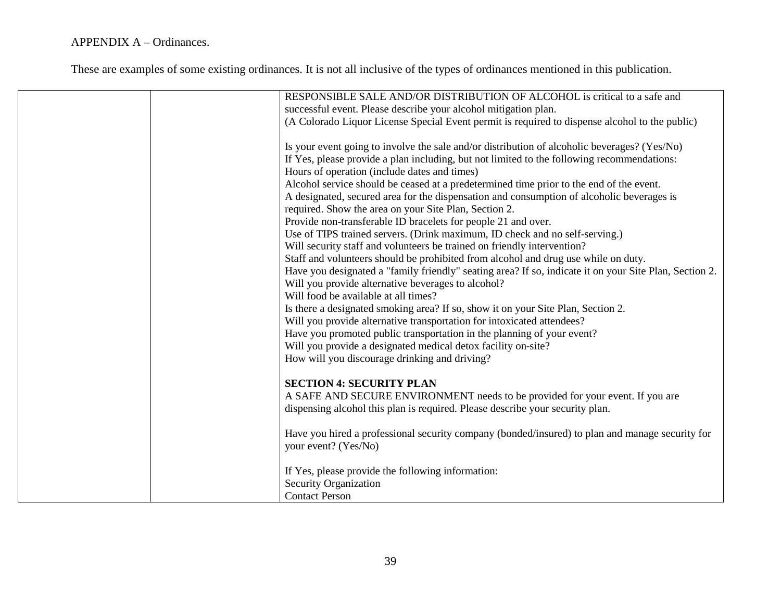| RESPONSIBLE SALE AND/OR DISTRIBUTION OF ALCOHOL is critical to a safe and                              |
|--------------------------------------------------------------------------------------------------------|
| successful event. Please describe your alcohol mitigation plan.                                        |
| (A Colorado Liquor License Special Event permit is required to dispense alcohol to the public)         |
| Is your event going to involve the sale and/or distribution of alcoholic beverages? (Yes/No)           |
| If Yes, please provide a plan including, but not limited to the following recommendations:             |
| Hours of operation (include dates and times)                                                           |
| Alcohol service should be ceased at a predetermined time prior to the end of the event.                |
| A designated, secured area for the dispensation and consumption of alcoholic beverages is              |
| required. Show the area on your Site Plan, Section 2.                                                  |
| Provide non-transferable ID bracelets for people 21 and over.                                          |
| Use of TIPS trained servers. (Drink maximum, ID check and no self-serving.)                            |
| Will security staff and volunteers be trained on friendly intervention?                                |
| Staff and volunteers should be prohibited from alcohol and drug use while on duty.                     |
| Have you designated a "family friendly" seating area? If so, indicate it on your Site Plan, Section 2. |
| Will you provide alternative beverages to alcohol?                                                     |
| Will food be available at all times?                                                                   |
| Is there a designated smoking area? If so, show it on your Site Plan, Section 2.                       |
| Will you provide alternative transportation for intoxicated attendees?                                 |
| Have you promoted public transportation in the planning of your event?                                 |
| Will you provide a designated medical detox facility on-site?                                          |
| How will you discourage drinking and driving?                                                          |
| <b>SECTION 4: SECURITY PLAN</b>                                                                        |
| A SAFE AND SECURE ENVIRONMENT needs to be provided for your event. If you are                          |
| dispensing alcohol this plan is required. Please describe your security plan.                          |
|                                                                                                        |
| Have you hired a professional security company (bonded/insured) to plan and manage security for        |
| your event? (Yes/No)                                                                                   |
| If Yes, please provide the following information:                                                      |
| Security Organization                                                                                  |
| <b>Contact Person</b>                                                                                  |
|                                                                                                        |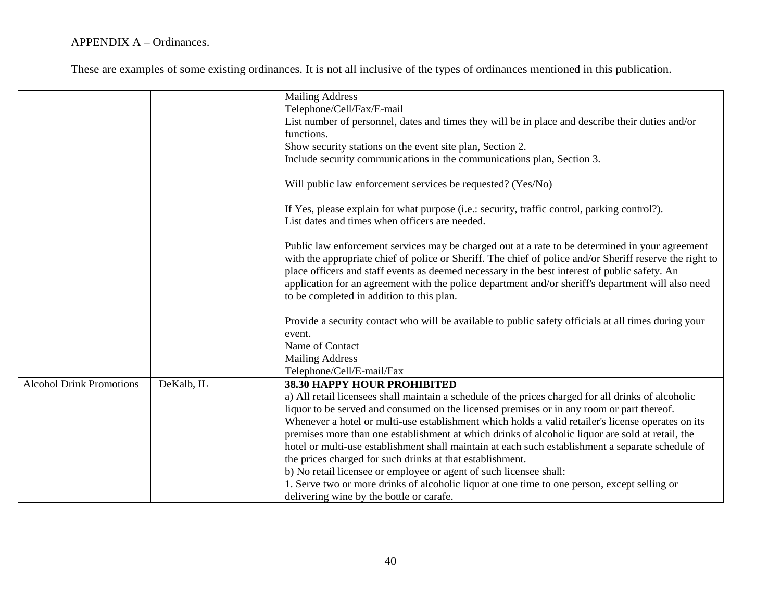|                                 |            | <b>Mailing Address</b>                                                                                                                                                                                                                                                                                                                                                                                                                                          |
|---------------------------------|------------|-----------------------------------------------------------------------------------------------------------------------------------------------------------------------------------------------------------------------------------------------------------------------------------------------------------------------------------------------------------------------------------------------------------------------------------------------------------------|
|                                 |            | Telephone/Cell/Fax/E-mail                                                                                                                                                                                                                                                                                                                                                                                                                                       |
|                                 |            | List number of personnel, dates and times they will be in place and describe their duties and/or                                                                                                                                                                                                                                                                                                                                                                |
|                                 |            | functions.                                                                                                                                                                                                                                                                                                                                                                                                                                                      |
|                                 |            | Show security stations on the event site plan, Section 2.                                                                                                                                                                                                                                                                                                                                                                                                       |
|                                 |            | Include security communications in the communications plan, Section 3.                                                                                                                                                                                                                                                                                                                                                                                          |
|                                 |            |                                                                                                                                                                                                                                                                                                                                                                                                                                                                 |
|                                 |            | Will public law enforcement services be requested? (Yes/No)                                                                                                                                                                                                                                                                                                                                                                                                     |
|                                 |            | If Yes, please explain for what purpose (i.e.: security, traffic control, parking control?).<br>List dates and times when officers are needed.                                                                                                                                                                                                                                                                                                                  |
|                                 |            | Public law enforcement services may be charged out at a rate to be determined in your agreement<br>with the appropriate chief of police or Sheriff. The chief of police and/or Sheriff reserve the right to<br>place officers and staff events as deemed necessary in the best interest of public safety. An<br>application for an agreement with the police department and/or sheriff's department will also need<br>to be completed in addition to this plan. |
|                                 |            | Provide a security contact who will be available to public safety officials at all times during your<br>event.                                                                                                                                                                                                                                                                                                                                                  |
|                                 |            | Name of Contact                                                                                                                                                                                                                                                                                                                                                                                                                                                 |
|                                 |            | <b>Mailing Address</b>                                                                                                                                                                                                                                                                                                                                                                                                                                          |
|                                 |            | Telephone/Cell/E-mail/Fax                                                                                                                                                                                                                                                                                                                                                                                                                                       |
| <b>Alcohol Drink Promotions</b> | DeKalb, IL | 38.30 HAPPY HOUR PROHIBITED                                                                                                                                                                                                                                                                                                                                                                                                                                     |
|                                 |            | a) All retail licensees shall maintain a schedule of the prices charged for all drinks of alcoholic                                                                                                                                                                                                                                                                                                                                                             |
|                                 |            | liquor to be served and consumed on the licensed premises or in any room or part thereof.                                                                                                                                                                                                                                                                                                                                                                       |
|                                 |            | Whenever a hotel or multi-use establishment which holds a valid retailer's license operates on its                                                                                                                                                                                                                                                                                                                                                              |
|                                 |            | premises more than one establishment at which drinks of alcoholic liquor are sold at retail, the                                                                                                                                                                                                                                                                                                                                                                |
|                                 |            | hotel or multi-use establishment shall maintain at each such establishment a separate schedule of                                                                                                                                                                                                                                                                                                                                                               |
|                                 |            | the prices charged for such drinks at that establishment.                                                                                                                                                                                                                                                                                                                                                                                                       |
|                                 |            | b) No retail licensee or employee or agent of such licensee shall:                                                                                                                                                                                                                                                                                                                                                                                              |
|                                 |            | 1. Serve two or more drinks of alcoholic liquor at one time to one person, except selling or                                                                                                                                                                                                                                                                                                                                                                    |
|                                 |            | delivering wine by the bottle or carafe.                                                                                                                                                                                                                                                                                                                                                                                                                        |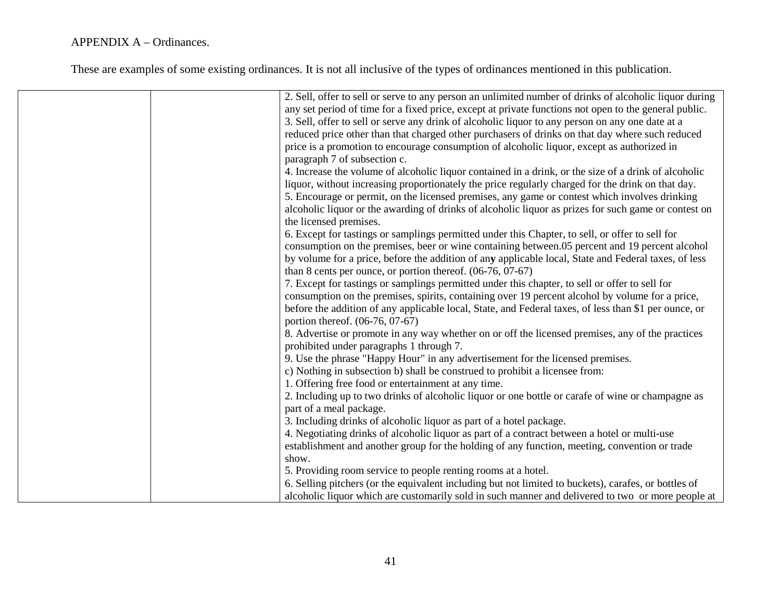| 2. Sell, offer to sell or serve to any person an unlimited number of drinks of alcoholic liquor during<br>any set period of time for a fixed price, except at private functions not open to the general public. |
|-----------------------------------------------------------------------------------------------------------------------------------------------------------------------------------------------------------------|
| 3. Sell, offer to sell or serve any drink of alcoholic liquor to any person on any one date at a                                                                                                                |
| reduced price other than that charged other purchasers of drinks on that day where such reduced                                                                                                                 |
| price is a promotion to encourage consumption of alcoholic liquor, except as authorized in                                                                                                                      |
| paragraph 7 of subsection c.                                                                                                                                                                                    |
| 4. Increase the volume of alcoholic liquor contained in a drink, or the size of a drink of alcoholic                                                                                                            |
| liquor, without increasing proportionately the price regularly charged for the drink on that day.                                                                                                               |
| 5. Encourage or permit, on the licensed premises, any game or contest which involves drinking                                                                                                                   |
| alcoholic liquor or the awarding of drinks of alcoholic liquor as prizes for such game or contest on                                                                                                            |
| the licensed premises.                                                                                                                                                                                          |
| 6. Except for tastings or samplings permitted under this Chapter, to sell, or offer to sell for                                                                                                                 |
| consumption on the premises, beer or wine containing between.05 percent and 19 percent alcohol                                                                                                                  |
| by volume for a price, before the addition of any applicable local, State and Federal taxes, of less                                                                                                            |
| than 8 cents per ounce, or portion thereof. $(06-76, 07-67)$                                                                                                                                                    |
| 7. Except for tastings or samplings permitted under this chapter, to sell or offer to sell for                                                                                                                  |
| consumption on the premises, spirits, containing over 19 percent alcohol by volume for a price,                                                                                                                 |
| before the addition of any applicable local, State, and Federal taxes, of less than \$1 per ounce, or                                                                                                           |
| portion thereof. (06-76, 07-67)                                                                                                                                                                                 |
| 8. Advertise or promote in any way whether on or off the licensed premises, any of the practices<br>prohibited under paragraphs 1 through 7.                                                                    |
| 9. Use the phrase "Happy Hour" in any advertisement for the licensed premises.                                                                                                                                  |
| c) Nothing in subsection b) shall be construed to prohibit a licensee from:                                                                                                                                     |
| 1. Offering free food or entertainment at any time.                                                                                                                                                             |
| 2. Including up to two drinks of alcoholic liquor or one bottle or carafe of wine or champagne as                                                                                                               |
| part of a meal package.                                                                                                                                                                                         |
| 3. Including drinks of alcoholic liquor as part of a hotel package.                                                                                                                                             |
| 4. Negotiating drinks of alcoholic liquor as part of a contract between a hotel or multi-use                                                                                                                    |
| establishment and another group for the holding of any function, meeting, convention or trade                                                                                                                   |
| show.                                                                                                                                                                                                           |
| 5. Providing room service to people renting rooms at a hotel.                                                                                                                                                   |
| 6. Selling pitchers (or the equivalent including but not limited to buckets), carafes, or bottles of                                                                                                            |
| alcoholic liquor which are customarily sold in such manner and delivered to two or more people at                                                                                                               |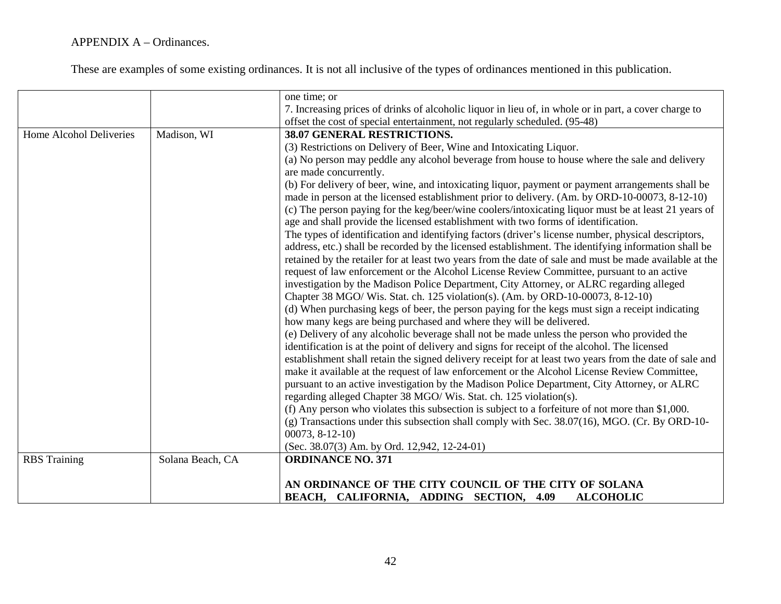|                         |                  | one time; or                                                                                            |
|-------------------------|------------------|---------------------------------------------------------------------------------------------------------|
|                         |                  | 7. Increasing prices of drinks of alcoholic liquor in lieu of, in whole or in part, a cover charge to   |
|                         |                  | offset the cost of special entertainment, not regularly scheduled. (95-48)                              |
| Home Alcohol Deliveries | Madison, WI      | 38.07 GENERAL RESTRICTIONS.                                                                             |
|                         |                  | (3) Restrictions on Delivery of Beer, Wine and Intoxicating Liquor.                                     |
|                         |                  | (a) No person may peddle any alcohol beverage from house to house where the sale and delivery           |
|                         |                  | are made concurrently.                                                                                  |
|                         |                  | (b) For delivery of beer, wine, and intoxicating liquor, payment or payment arrangements shall be       |
|                         |                  | made in person at the licensed establishment prior to delivery. (Am. by ORD-10-00073, 8-12-10)          |
|                         |                  | (c) The person paying for the keg/beer/wine coolers/intoxicating liquor must be at least 21 years of    |
|                         |                  | age and shall provide the licensed establishment with two forms of identification.                      |
|                         |                  | The types of identification and identifying factors (driver's license number, physical descriptors,     |
|                         |                  | address, etc.) shall be recorded by the licensed establishment. The identifying information shall be    |
|                         |                  | retained by the retailer for at least two years from the date of sale and must be made available at the |
|                         |                  | request of law enforcement or the Alcohol License Review Committee, pursuant to an active               |
|                         |                  | investigation by the Madison Police Department, City Attorney, or ALRC regarding alleged                |
|                         |                  | Chapter 38 MGO/ Wis. Stat. ch. 125 violation(s). (Am. by ORD-10-00073, 8-12-10)                         |
|                         |                  | (d) When purchasing kegs of beer, the person paying for the kegs must sign a receipt indicating         |
|                         |                  | how many kegs are being purchased and where they will be delivered.                                     |
|                         |                  | (e) Delivery of any alcoholic beverage shall not be made unless the person who provided the             |
|                         |                  | identification is at the point of delivery and signs for receipt of the alcohol. The licensed           |
|                         |                  | establishment shall retain the signed delivery receipt for at least two years from the date of sale and |
|                         |                  | make it available at the request of law enforcement or the Alcohol License Review Committee,            |
|                         |                  | pursuant to an active investigation by the Madison Police Department, City Attorney, or ALRC            |
|                         |                  | regarding alleged Chapter 38 MGO/ Wis. Stat. ch. 125 violation(s).                                      |
|                         |                  | (f) Any person who violates this subsection is subject to a forfeiture of not more than $$1,000$ .      |
|                         |                  | $(g)$ Transactions under this subsection shall comply with Sec. 38.07(16), MGO. (Cr. By ORD-10-         |
|                         |                  | $00073, 8-12-10$                                                                                        |
|                         |                  | (Sec. 38.07(3) Am. by Ord. 12,942, 12-24-01)                                                            |
| <b>RBS</b> Training     | Solana Beach, CA | <b>ORDINANCE NO. 371</b>                                                                                |
|                         |                  |                                                                                                         |
|                         |                  | AN ORDINANCE OF THE CITY COUNCIL OF THE CITY OF SOLANA                                                  |
|                         |                  | BEACH, CALIFORNIA, ADDING SECTION, 4.09<br><b>ALCOHOLIC</b>                                             |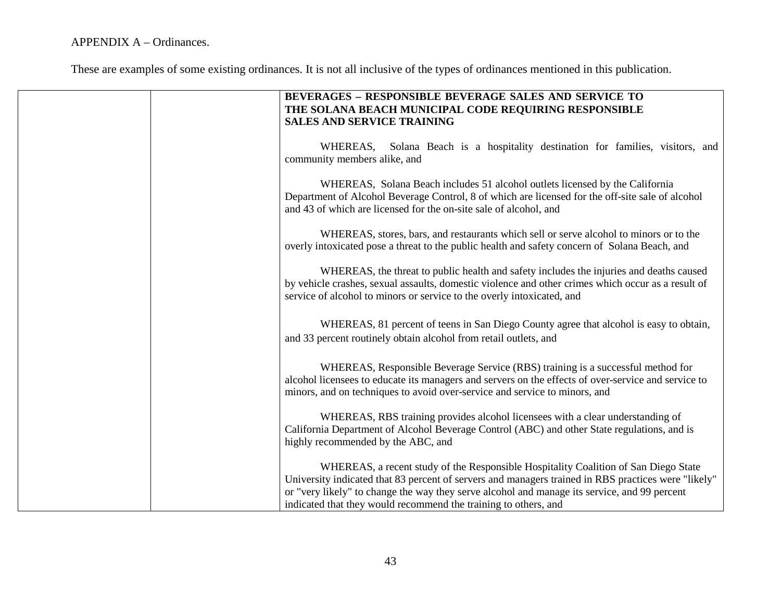| BEVERAGES - RESPONSIBLE BEVERAGE SALES AND SERVICE TO<br>THE SOLANA BEACH MUNICIPAL CODE REQUIRING RESPONSIBLE<br><b>SALES AND SERVICE TRAINING</b>                                                                                                                                                                                                           |
|---------------------------------------------------------------------------------------------------------------------------------------------------------------------------------------------------------------------------------------------------------------------------------------------------------------------------------------------------------------|
| WHEREAS,<br>Solana Beach is a hospitality destination for families, visitors, and<br>community members alike, and                                                                                                                                                                                                                                             |
| WHEREAS, Solana Beach includes 51 alcohol outlets licensed by the California<br>Department of Alcohol Beverage Control, 8 of which are licensed for the off-site sale of alcohol<br>and 43 of which are licensed for the on-site sale of alcohol, and                                                                                                         |
| WHEREAS, stores, bars, and restaurants which sell or serve alcohol to minors or to the<br>overly intoxicated pose a threat to the public health and safety concern of Solana Beach, and                                                                                                                                                                       |
| WHEREAS, the threat to public health and safety includes the injuries and deaths caused<br>by vehicle crashes, sexual assaults, domestic violence and other crimes which occur as a result of<br>service of alcohol to minors or service to the overly intoxicated, and                                                                                       |
| WHEREAS, 81 percent of teens in San Diego County agree that alcohol is easy to obtain,<br>and 33 percent routinely obtain alcohol from retail outlets, and                                                                                                                                                                                                    |
| WHEREAS, Responsible Beverage Service (RBS) training is a successful method for<br>alcohol licensees to educate its managers and servers on the effects of over-service and service to<br>minors, and on techniques to avoid over-service and service to minors, and                                                                                          |
| WHEREAS, RBS training provides alcohol licensees with a clear understanding of<br>California Department of Alcohol Beverage Control (ABC) and other State regulations, and is<br>highly recommended by the ABC, and                                                                                                                                           |
| WHEREAS, a recent study of the Responsible Hospitality Coalition of San Diego State<br>University indicated that 83 percent of servers and managers trained in RBS practices were "likely"<br>or "very likely" to change the way they serve alcohol and manage its service, and 99 percent<br>indicated that they would recommend the training to others, and |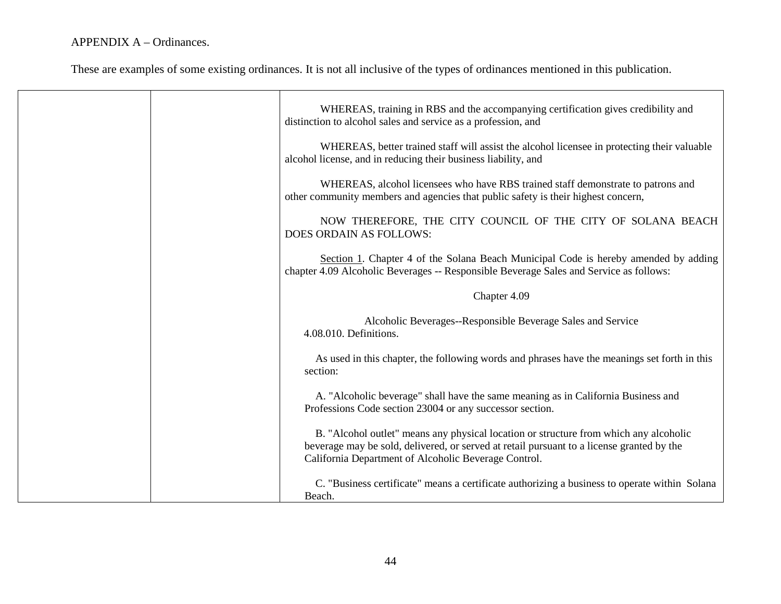|  | WHEREAS, training in RBS and the accompanying certification gives credibility and<br>distinction to alcohol sales and service as a profession, and                                                                                         |
|--|--------------------------------------------------------------------------------------------------------------------------------------------------------------------------------------------------------------------------------------------|
|  | WHEREAS, better trained staff will assist the alcohol licensee in protecting their valuable<br>alcohol license, and in reducing their business liability, and                                                                              |
|  | WHEREAS, alcohol licensees who have RBS trained staff demonstrate to patrons and<br>other community members and agencies that public safety is their highest concern,                                                                      |
|  | NOW THEREFORE, THE CITY COUNCIL OF THE CITY OF SOLANA BEACH<br><b>DOES ORDAIN AS FOLLOWS:</b>                                                                                                                                              |
|  | Section 1. Chapter 4 of the Solana Beach Municipal Code is hereby amended by adding<br>chapter 4.09 Alcoholic Beverages -- Responsible Beverage Sales and Service as follows:                                                              |
|  | Chapter 4.09                                                                                                                                                                                                                               |
|  | Alcoholic Beverages--Responsible Beverage Sales and Service<br>4.08.010. Definitions.                                                                                                                                                      |
|  | As used in this chapter, the following words and phrases have the meanings set forth in this<br>section:                                                                                                                                   |
|  | A. "Alcoholic beverage" shall have the same meaning as in California Business and<br>Professions Code section 23004 or any successor section.                                                                                              |
|  | B. "Alcohol outlet" means any physical location or structure from which any alcoholic<br>beverage may be sold, delivered, or served at retail pursuant to a license granted by the<br>California Department of Alcoholic Beverage Control. |
|  | C. "Business certificate" means a certificate authorizing a business to operate within Solana<br>Beach.                                                                                                                                    |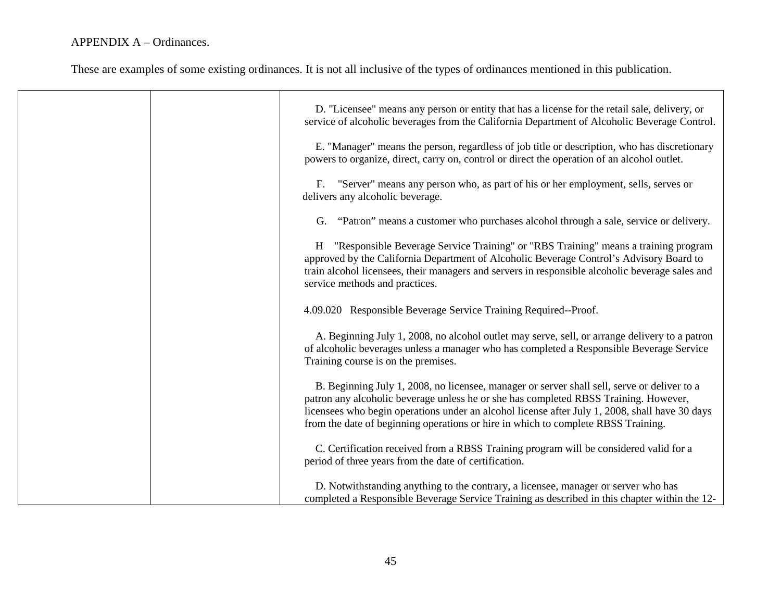|  | D. "Licensee" means any person or entity that has a license for the retail sale, delivery, or<br>service of alcoholic beverages from the California Department of Alcoholic Beverage Control.                                                                                                                                                                              |
|--|----------------------------------------------------------------------------------------------------------------------------------------------------------------------------------------------------------------------------------------------------------------------------------------------------------------------------------------------------------------------------|
|  | E. "Manager" means the person, regardless of job title or description, who has discretionary<br>powers to organize, direct, carry on, control or direct the operation of an alcohol outlet.                                                                                                                                                                                |
|  | F. "Server" means any person who, as part of his or her employment, sells, serves or<br>delivers any alcoholic beverage.                                                                                                                                                                                                                                                   |
|  | G. "Patron" means a customer who purchases alcohol through a sale, service or delivery.                                                                                                                                                                                                                                                                                    |
|  | H "Responsible Beverage Service Training" or "RBS Training" means a training program<br>approved by the California Department of Alcoholic Beverage Control's Advisory Board to<br>train alcohol licensees, their managers and servers in responsible alcoholic beverage sales and<br>service methods and practices.                                                       |
|  | 4.09.020 Responsible Beverage Service Training Required--Proof.                                                                                                                                                                                                                                                                                                            |
|  | A. Beginning July 1, 2008, no alcohol outlet may serve, sell, or arrange delivery to a patron<br>of alcoholic beverages unless a manager who has completed a Responsible Beverage Service<br>Training course is on the premises.                                                                                                                                           |
|  | B. Beginning July 1, 2008, no licensee, manager or server shall sell, serve or deliver to a<br>patron any alcoholic beverage unless he or she has completed RBSS Training. However,<br>licensees who begin operations under an alcohol license after July 1, 2008, shall have 30 days<br>from the date of beginning operations or hire in which to complete RBSS Training. |
|  | C. Certification received from a RBSS Training program will be considered valid for a<br>period of three years from the date of certification.                                                                                                                                                                                                                             |
|  | D. Notwithstanding anything to the contrary, a licensee, manager or server who has<br>completed a Responsible Beverage Service Training as described in this chapter within the 12-                                                                                                                                                                                        |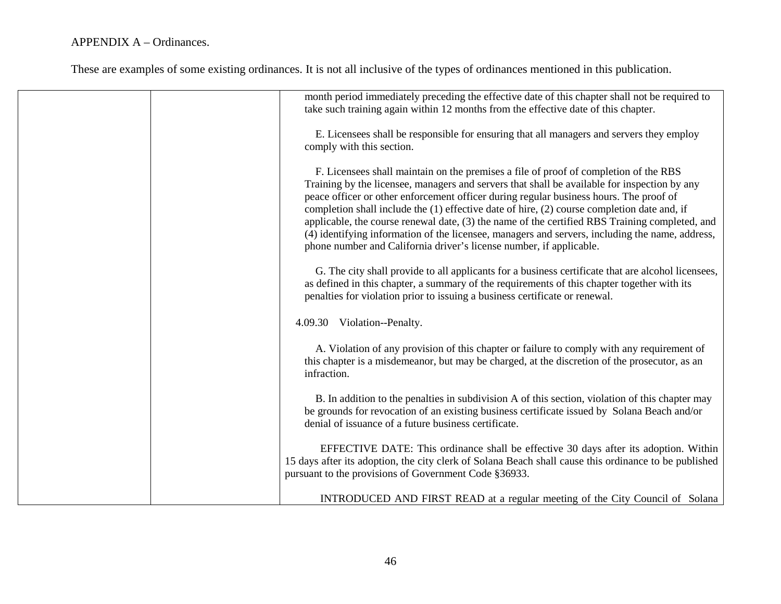| month period immediately preceding the effective date of this chapter shall not be required to<br>take such training again within 12 months from the effective date of this chapter.                                                                                                                                                                                                                                                                                                                                                                                                                                                                      |
|-----------------------------------------------------------------------------------------------------------------------------------------------------------------------------------------------------------------------------------------------------------------------------------------------------------------------------------------------------------------------------------------------------------------------------------------------------------------------------------------------------------------------------------------------------------------------------------------------------------------------------------------------------------|
| E. Licensees shall be responsible for ensuring that all managers and servers they employ<br>comply with this section.                                                                                                                                                                                                                                                                                                                                                                                                                                                                                                                                     |
| F. Licensees shall maintain on the premises a file of proof of completion of the RBS<br>Training by the licensee, managers and servers that shall be available for inspection by any<br>peace officer or other enforcement officer during regular business hours. The proof of<br>completion shall include the (1) effective date of hire, (2) course completion date and, if<br>applicable, the course renewal date, (3) the name of the certified RBS Training completed, and<br>(4) identifying information of the licensee, managers and servers, including the name, address,<br>phone number and California driver's license number, if applicable. |
| G. The city shall provide to all applicants for a business certificate that are alcohol licensees,<br>as defined in this chapter, a summary of the requirements of this chapter together with its<br>penalties for violation prior to issuing a business certificate or renewal.                                                                                                                                                                                                                                                                                                                                                                          |
| 4.09.30 Violation--Penalty.                                                                                                                                                                                                                                                                                                                                                                                                                                                                                                                                                                                                                               |
| A. Violation of any provision of this chapter or failure to comply with any requirement of<br>this chapter is a misdemeanor, but may be charged, at the discretion of the prosecutor, as an<br>infraction.                                                                                                                                                                                                                                                                                                                                                                                                                                                |
| B. In addition to the penalties in subdivision A of this section, violation of this chapter may<br>be grounds for revocation of an existing business certificate issued by Solana Beach and/or<br>denial of issuance of a future business certificate.                                                                                                                                                                                                                                                                                                                                                                                                    |
| EFFECTIVE DATE: This ordinance shall be effective 30 days after its adoption. Within<br>15 days after its adoption, the city clerk of Solana Beach shall cause this ordinance to be published<br>pursuant to the provisions of Government Code §36933.                                                                                                                                                                                                                                                                                                                                                                                                    |
| INTRODUCED AND FIRST READ at a regular meeting of the City Council of Solana                                                                                                                                                                                                                                                                                                                                                                                                                                                                                                                                                                              |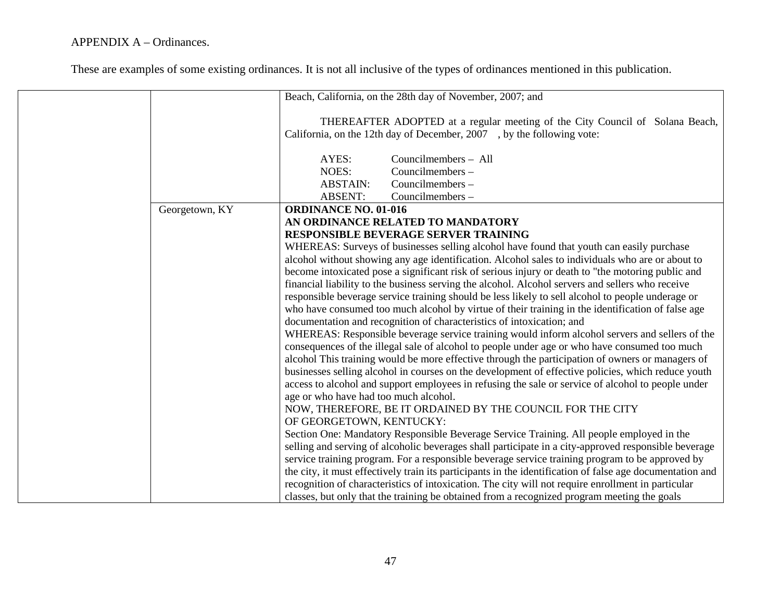|                | Beach, California, on the 28th day of November, 2007; and                                                                                                                                             |
|----------------|-------------------------------------------------------------------------------------------------------------------------------------------------------------------------------------------------------|
|                | THEREAFTER ADOPTED at a regular meeting of the City Council of Solana Beach,                                                                                                                          |
|                | California, on the 12th day of December, 2007, by the following vote:                                                                                                                                 |
|                |                                                                                                                                                                                                       |
|                | AYES:<br>Councilmembers - All                                                                                                                                                                         |
|                | NOES:<br>Councilmembers -                                                                                                                                                                             |
|                | Councilmembers -<br><b>ABSTAIN:</b>                                                                                                                                                                   |
|                | <b>ABSENT:</b><br>Councilmembers -                                                                                                                                                                    |
| Georgetown, KY | <b>ORDINANCE NO. 01-016</b>                                                                                                                                                                           |
|                | AN ORDINANCE RELATED TO MANDATORY                                                                                                                                                                     |
|                | RESPONSIBLE BEVERAGE SERVER TRAINING                                                                                                                                                                  |
|                | WHEREAS: Surveys of businesses selling alcohol have found that youth can easily purchase                                                                                                              |
|                | alcohol without showing any age identification. Alcohol sales to individuals who are or about to                                                                                                      |
|                | become intoxicated pose a significant risk of serious injury or death to "the motoring public and                                                                                                     |
|                | financial liability to the business serving the alcohol. Alcohol servers and sellers who receive<br>responsible beverage service training should be less likely to sell alcohol to people underage or |
|                | who have consumed too much alcohol by virtue of their training in the identification of false age                                                                                                     |
|                | documentation and recognition of characteristics of intoxication; and                                                                                                                                 |
|                | WHEREAS: Responsible beverage service training would inform alcohol servers and sellers of the                                                                                                        |
|                | consequences of the illegal sale of alcohol to people under age or who have consumed too much                                                                                                         |
|                | alcohol This training would be more effective through the participation of owners or managers of                                                                                                      |
|                | businesses selling alcohol in courses on the development of effective policies, which reduce youth                                                                                                    |
|                | access to alcohol and support employees in refusing the sale or service of alcohol to people under                                                                                                    |
|                | age or who have had too much alcohol.                                                                                                                                                                 |
|                | NOW, THEREFORE, BE IT ORDAINED BY THE COUNCIL FOR THE CITY                                                                                                                                            |
|                | OF GEORGETOWN, KENTUCKY:                                                                                                                                                                              |
|                | Section One: Mandatory Responsible Beverage Service Training. All people employed in the                                                                                                              |
|                | selling and serving of alcoholic beverages shall participate in a city-approved responsible beverage                                                                                                  |
|                | service training program. For a responsible beverage service training program to be approved by                                                                                                       |
|                | the city, it must effectively train its participants in the identification of false age documentation and                                                                                             |
|                | recognition of characteristics of intoxication. The city will not require enrollment in particular                                                                                                    |
|                | classes, but only that the training be obtained from a recognized program meeting the goals                                                                                                           |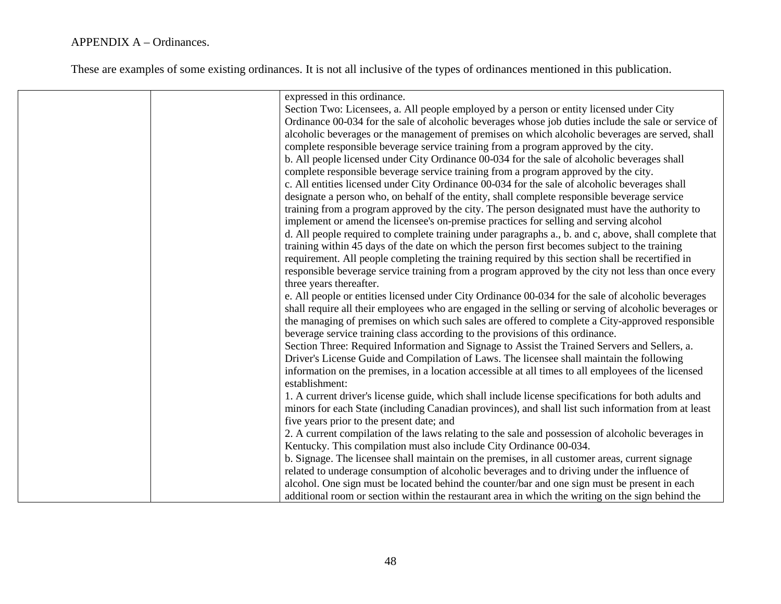| expressed in this ordinance.                                                                                                                                                                                                                                                                                                                                                                                                                                                                                                                                                                                                                                                              |
|-------------------------------------------------------------------------------------------------------------------------------------------------------------------------------------------------------------------------------------------------------------------------------------------------------------------------------------------------------------------------------------------------------------------------------------------------------------------------------------------------------------------------------------------------------------------------------------------------------------------------------------------------------------------------------------------|
| Section Two: Licensees, a. All people employed by a person or entity licensed under City                                                                                                                                                                                                                                                                                                                                                                                                                                                                                                                                                                                                  |
|                                                                                                                                                                                                                                                                                                                                                                                                                                                                                                                                                                                                                                                                                           |
| Ordinance 00-034 for the sale of alcoholic beverages whose job duties include the sale or service of                                                                                                                                                                                                                                                                                                                                                                                                                                                                                                                                                                                      |
| alcoholic beverages or the management of premises on which alcoholic beverages are served, shall                                                                                                                                                                                                                                                                                                                                                                                                                                                                                                                                                                                          |
| complete responsible beverage service training from a program approved by the city.                                                                                                                                                                                                                                                                                                                                                                                                                                                                                                                                                                                                       |
| b. All people licensed under City Ordinance 00-034 for the sale of alcoholic beverages shall                                                                                                                                                                                                                                                                                                                                                                                                                                                                                                                                                                                              |
| complete responsible beverage service training from a program approved by the city.                                                                                                                                                                                                                                                                                                                                                                                                                                                                                                                                                                                                       |
| c. All entities licensed under City Ordinance 00-034 for the sale of alcoholic beverages shall                                                                                                                                                                                                                                                                                                                                                                                                                                                                                                                                                                                            |
| designate a person who, on behalf of the entity, shall complete responsible beverage service                                                                                                                                                                                                                                                                                                                                                                                                                                                                                                                                                                                              |
| training from a program approved by the city. The person designated must have the authority to                                                                                                                                                                                                                                                                                                                                                                                                                                                                                                                                                                                            |
| implement or amend the licensee's on-premise practices for selling and serving alcohol                                                                                                                                                                                                                                                                                                                                                                                                                                                                                                                                                                                                    |
| d. All people required to complete training under paragraphs a., b. and c, above, shall complete that                                                                                                                                                                                                                                                                                                                                                                                                                                                                                                                                                                                     |
| training within 45 days of the date on which the person first becomes subject to the training                                                                                                                                                                                                                                                                                                                                                                                                                                                                                                                                                                                             |
| requirement. All people completing the training required by this section shall be recertified in                                                                                                                                                                                                                                                                                                                                                                                                                                                                                                                                                                                          |
| responsible beverage service training from a program approved by the city not less than once every                                                                                                                                                                                                                                                                                                                                                                                                                                                                                                                                                                                        |
| three years thereafter.                                                                                                                                                                                                                                                                                                                                                                                                                                                                                                                                                                                                                                                                   |
|                                                                                                                                                                                                                                                                                                                                                                                                                                                                                                                                                                                                                                                                                           |
| e. All people or entities licensed under City Ordinance 00-034 for the sale of alcoholic beverages                                                                                                                                                                                                                                                                                                                                                                                                                                                                                                                                                                                        |
| shall require all their employees who are engaged in the selling or serving of alcoholic beverages or                                                                                                                                                                                                                                                                                                                                                                                                                                                                                                                                                                                     |
| the managing of premises on which such sales are offered to complete a City-approved responsible                                                                                                                                                                                                                                                                                                                                                                                                                                                                                                                                                                                          |
| beverage service training class according to the provisions of this ordinance.                                                                                                                                                                                                                                                                                                                                                                                                                                                                                                                                                                                                            |
| Section Three: Required Information and Signage to Assist the Trained Servers and Sellers, a.                                                                                                                                                                                                                                                                                                                                                                                                                                                                                                                                                                                             |
| Driver's License Guide and Compilation of Laws. The licensee shall maintain the following                                                                                                                                                                                                                                                                                                                                                                                                                                                                                                                                                                                                 |
| information on the premises, in a location accessible at all times to all employees of the licensed                                                                                                                                                                                                                                                                                                                                                                                                                                                                                                                                                                                       |
| establishment:                                                                                                                                                                                                                                                                                                                                                                                                                                                                                                                                                                                                                                                                            |
| 1. A current driver's license guide, which shall include license specifications for both adults and                                                                                                                                                                                                                                                                                                                                                                                                                                                                                                                                                                                       |
|                                                                                                                                                                                                                                                                                                                                                                                                                                                                                                                                                                                                                                                                                           |
| five years prior to the present date; and                                                                                                                                                                                                                                                                                                                                                                                                                                                                                                                                                                                                                                                 |
|                                                                                                                                                                                                                                                                                                                                                                                                                                                                                                                                                                                                                                                                                           |
|                                                                                                                                                                                                                                                                                                                                                                                                                                                                                                                                                                                                                                                                                           |
|                                                                                                                                                                                                                                                                                                                                                                                                                                                                                                                                                                                                                                                                                           |
|                                                                                                                                                                                                                                                                                                                                                                                                                                                                                                                                                                                                                                                                                           |
|                                                                                                                                                                                                                                                                                                                                                                                                                                                                                                                                                                                                                                                                                           |
|                                                                                                                                                                                                                                                                                                                                                                                                                                                                                                                                                                                                                                                                                           |
| minors for each State (including Canadian provinces), and shall list such information from at least<br>2. A current compilation of the laws relating to the sale and possession of alcoholic beverages in<br>Kentucky. This compilation must also include City Ordinance 00-034.<br>b. Signage. The licensee shall maintain on the premises, in all customer areas, current signage<br>related to underage consumption of alcoholic beverages and to driving under the influence of<br>alcohol. One sign must be located behind the counter/bar and one sign must be present in each<br>additional room or section within the restaurant area in which the writing on the sign behind the |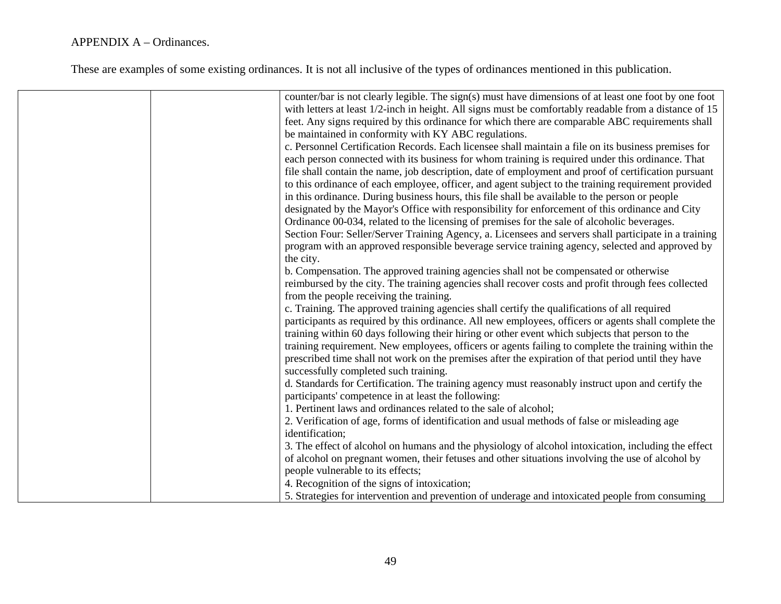| counter/bar is not clearly legible. The sign(s) must have dimensions of at least one foot by one foot  |
|--------------------------------------------------------------------------------------------------------|
| with letters at least 1/2-inch in height. All signs must be comfortably readable from a distance of 15 |
| feet. Any signs required by this ordinance for which there are comparable ABC requirements shall       |
| be maintained in conformity with KY ABC regulations.                                                   |
| c. Personnel Certification Records. Each licensee shall maintain a file on its business premises for   |
| each person connected with its business for whom training is required under this ordinance. That       |
| file shall contain the name, job description, date of employment and proof of certification pursuant   |
| to this ordinance of each employee, officer, and agent subject to the training requirement provided    |
| in this ordinance. During business hours, this file shall be available to the person or people         |
| designated by the Mayor's Office with responsibility for enforcement of this ordinance and City        |
| Ordinance 00-034, related to the licensing of premises for the sale of alcoholic beverages.            |
| Section Four: Seller/Server Training Agency, a. Licensees and servers shall participate in a training  |
| program with an approved responsible beverage service training agency, selected and approved by        |
| the city.                                                                                              |
| b. Compensation. The approved training agencies shall not be compensated or otherwise                  |
| reimbursed by the city. The training agencies shall recover costs and profit through fees collected    |
| from the people receiving the training.                                                                |
| c. Training. The approved training agencies shall certify the qualifications of all required           |
| participants as required by this ordinance. All new employees, officers or agents shall complete the   |
| training within 60 days following their hiring or other event which subjects that person to the        |
| training requirement. New employees, officers or agents failing to complete the training within the    |
| prescribed time shall not work on the premises after the expiration of that period until they have     |
| successfully completed such training.                                                                  |
| d. Standards for Certification. The training agency must reasonably instruct upon and certify the      |
| participants' competence in at least the following:                                                    |
| 1. Pertinent laws and ordinances related to the sale of alcohol;                                       |
| 2. Verification of age, forms of identification and usual methods of false or misleading age           |
| identification;                                                                                        |
| 3. The effect of alcohol on humans and the physiology of alcohol intoxication, including the effect    |
| of alcohol on pregnant women, their fetuses and other situations involving the use of alcohol by       |
| people vulnerable to its effects;                                                                      |
| 4. Recognition of the signs of intoxication;                                                           |
| 5. Strategies for intervention and prevention of underage and intoxicated people from consuming        |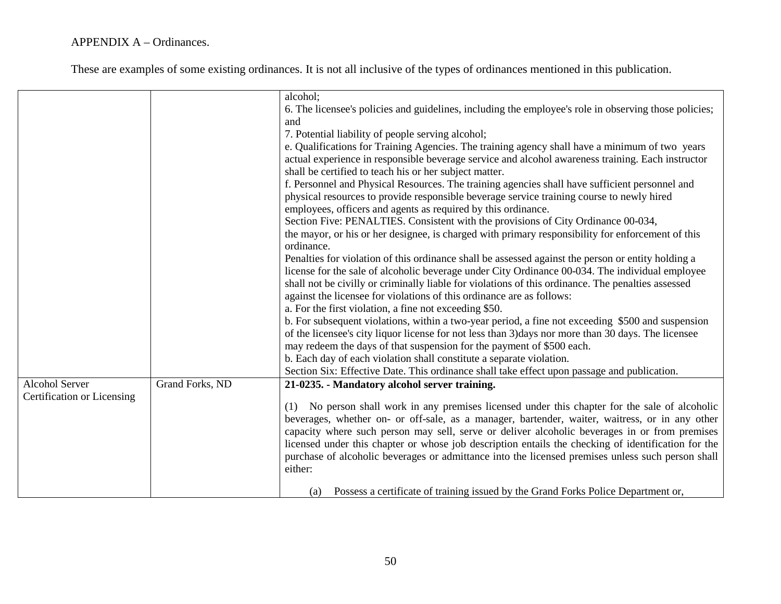|                            |                 | alcohol;                                                                                              |
|----------------------------|-----------------|-------------------------------------------------------------------------------------------------------|
|                            |                 | 6. The licensee's policies and guidelines, including the employee's role in observing those policies; |
|                            |                 | and                                                                                                   |
|                            |                 | 7. Potential liability of people serving alcohol;                                                     |
|                            |                 | e. Qualifications for Training Agencies. The training agency shall have a minimum of two years        |
|                            |                 | actual experience in responsible beverage service and alcohol awareness training. Each instructor     |
|                            |                 | shall be certified to teach his or her subject matter.                                                |
|                            |                 | f. Personnel and Physical Resources. The training agencies shall have sufficient personnel and        |
|                            |                 | physical resources to provide responsible beverage service training course to newly hired             |
|                            |                 | employees, officers and agents as required by this ordinance.                                         |
|                            |                 | Section Five: PENALTIES. Consistent with the provisions of City Ordinance 00-034,                     |
|                            |                 | the mayor, or his or her designee, is charged with primary responsibility for enforcement of this     |
|                            |                 | ordinance.                                                                                            |
|                            |                 | Penalties for violation of this ordinance shall be assessed against the person or entity holding a    |
|                            |                 | license for the sale of alcoholic beverage under City Ordinance 00-034. The individual employee       |
|                            |                 | shall not be civilly or criminally liable for violations of this ordinance. The penalties assessed    |
|                            |                 | against the licensee for violations of this ordinance are as follows:                                 |
|                            |                 | a. For the first violation, a fine not exceeding \$50.                                                |
|                            |                 | b. For subsequent violations, within a two-year period, a fine not exceeding \$500 and suspension     |
|                            |                 | of the licensee's city liquor license for not less than 3) days nor more than 30 days. The licensee   |
|                            |                 | may redeem the days of that suspension for the payment of \$500 each.                                 |
|                            |                 | b. Each day of each violation shall constitute a separate violation.                                  |
|                            |                 | Section Six: Effective Date. This ordinance shall take effect upon passage and publication.           |
| <b>Alcohol Server</b>      | Grand Forks, ND | 21-0235. - Mandatory alcohol server training.                                                         |
| Certification or Licensing |                 |                                                                                                       |
|                            |                 | (1) No person shall work in any premises licensed under this chapter for the sale of alcoholic        |
|                            |                 | beverages, whether on- or off-sale, as a manager, bartender, waiter, waitress, or in any other        |
|                            |                 | capacity where such person may sell, serve or deliver alcoholic beverages in or from premises         |
|                            |                 | licensed under this chapter or whose job description entails the checking of identification for the   |
|                            |                 | purchase of alcoholic beverages or admittance into the licensed premises unless such person shall     |
|                            |                 | either:                                                                                               |
|                            |                 |                                                                                                       |
|                            |                 | Possess a certificate of training issued by the Grand Forks Police Department or,<br>(a)              |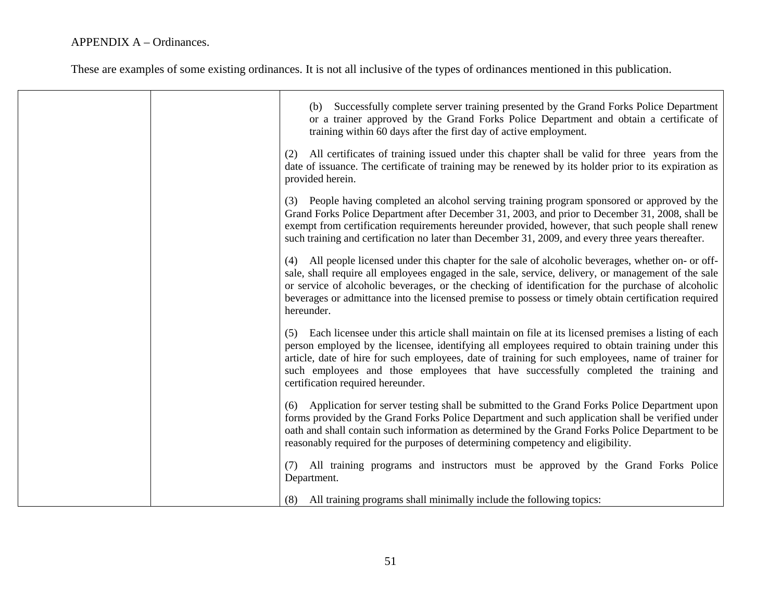| Successfully complete server training presented by the Grand Forks Police Department<br>(b)<br>or a trainer approved by the Grand Forks Police Department and obtain a certificate of<br>training within 60 days after the first day of active employment.                                                                                                                                                                                        |
|---------------------------------------------------------------------------------------------------------------------------------------------------------------------------------------------------------------------------------------------------------------------------------------------------------------------------------------------------------------------------------------------------------------------------------------------------|
| All certificates of training issued under this chapter shall be valid for three years from the<br>(2)<br>date of issuance. The certificate of training may be renewed by its holder prior to its expiration as<br>provided herein.                                                                                                                                                                                                                |
| (3) People having completed an alcohol serving training program sponsored or approved by the<br>Grand Forks Police Department after December 31, 2003, and prior to December 31, 2008, shall be<br>exempt from certification requirements hereunder provided, however, that such people shall renew<br>such training and certification no later than December 31, 2009, and every three years thereafter.                                         |
| All people licensed under this chapter for the sale of alcoholic beverages, whether on- or off-<br>(4)<br>sale, shall require all employees engaged in the sale, service, delivery, or management of the sale<br>or service of alcoholic beverages, or the checking of identification for the purchase of alcoholic<br>beverages or admittance into the licensed premise to possess or timely obtain certification required<br>hereunder.         |
| Each licensee under this article shall maintain on file at its licensed premises a listing of each<br>(5)<br>person employed by the licensee, identifying all employees required to obtain training under this<br>article, date of hire for such employees, date of training for such employees, name of trainer for<br>such employees and those employees that have successfully completed the training and<br>certification required hereunder. |
| Application for server testing shall be submitted to the Grand Forks Police Department upon<br>(6)<br>forms provided by the Grand Forks Police Department and such application shall be verified under<br>oath and shall contain such information as determined by the Grand Forks Police Department to be<br>reasonably required for the purposes of determining competency and eligibility.                                                     |
| All training programs and instructors must be approved by the Grand Forks Police<br>(7)<br>Department.                                                                                                                                                                                                                                                                                                                                            |
| All training programs shall minimally include the following topics:<br>(8)                                                                                                                                                                                                                                                                                                                                                                        |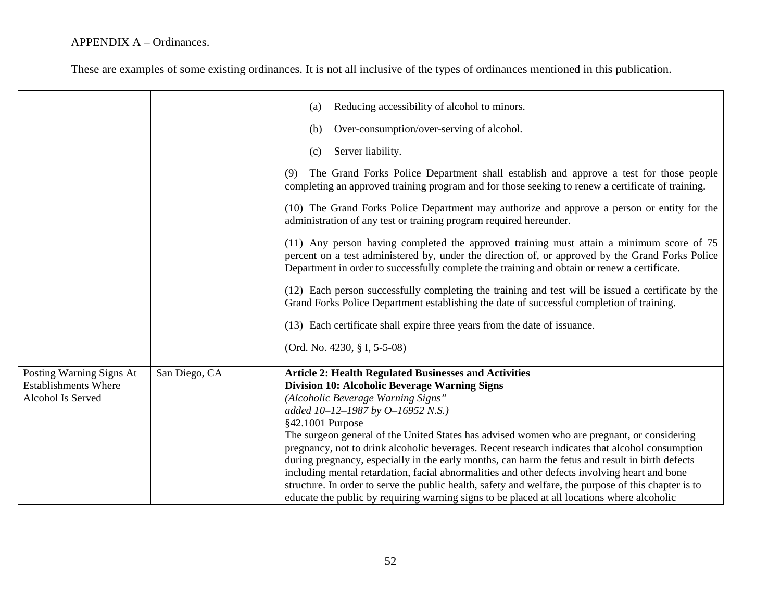|                             |               | Reducing accessibility of alcohol to minors.<br>(a)                                                                                                                                                                                                                                          |
|-----------------------------|---------------|----------------------------------------------------------------------------------------------------------------------------------------------------------------------------------------------------------------------------------------------------------------------------------------------|
|                             |               | Over-consumption/over-serving of alcohol.<br>(b)                                                                                                                                                                                                                                             |
|                             |               | Server liability.<br>(c)                                                                                                                                                                                                                                                                     |
|                             |               | The Grand Forks Police Department shall establish and approve a test for those people<br>(9)<br>completing an approved training program and for those seeking to renew a certificate of training.                                                                                            |
|                             |               | (10) The Grand Forks Police Department may authorize and approve a person or entity for the<br>administration of any test or training program required hereunder.                                                                                                                            |
|                             |               | (11) Any person having completed the approved training must attain a minimum score of 75<br>percent on a test administered by, under the direction of, or approved by the Grand Forks Police<br>Department in order to successfully complete the training and obtain or renew a certificate. |
|                             |               | (12) Each person successfully completing the training and test will be issued a certificate by the<br>Grand Forks Police Department establishing the date of successful completion of training.                                                                                              |
|                             |               | (13) Each certificate shall expire three years from the date of issuance.                                                                                                                                                                                                                    |
|                             |               | (Ord. No. 4230, § I, 5-5-08)                                                                                                                                                                                                                                                                 |
| Posting Warning Signs At    | San Diego, CA | <b>Article 2: Health Regulated Businesses and Activities</b>                                                                                                                                                                                                                                 |
| <b>Establishments Where</b> |               | <b>Division 10: Alcoholic Beverage Warning Signs</b>                                                                                                                                                                                                                                         |
| Alcohol Is Served           |               | (Alcoholic Beverage Warning Signs"                                                                                                                                                                                                                                                           |
|                             |               | added 10-12-1987 by O-16952 N.S.)                                                                                                                                                                                                                                                            |
|                             |               | §42.1001 Purpose                                                                                                                                                                                                                                                                             |
|                             |               | The surgeon general of the United States has advised women who are pregnant, or considering                                                                                                                                                                                                  |
|                             |               | pregnancy, not to drink alcoholic beverages. Recent research indicates that alcohol consumption                                                                                                                                                                                              |
|                             |               | during pregnancy, especially in the early months, can harm the fetus and result in birth defects<br>including mental retardation, facial abnormalities and other defects involving heart and bone                                                                                            |
|                             |               | structure. In order to serve the public health, safety and welfare, the purpose of this chapter is to                                                                                                                                                                                        |
|                             |               | educate the public by requiring warning signs to be placed at all locations where alcoholic                                                                                                                                                                                                  |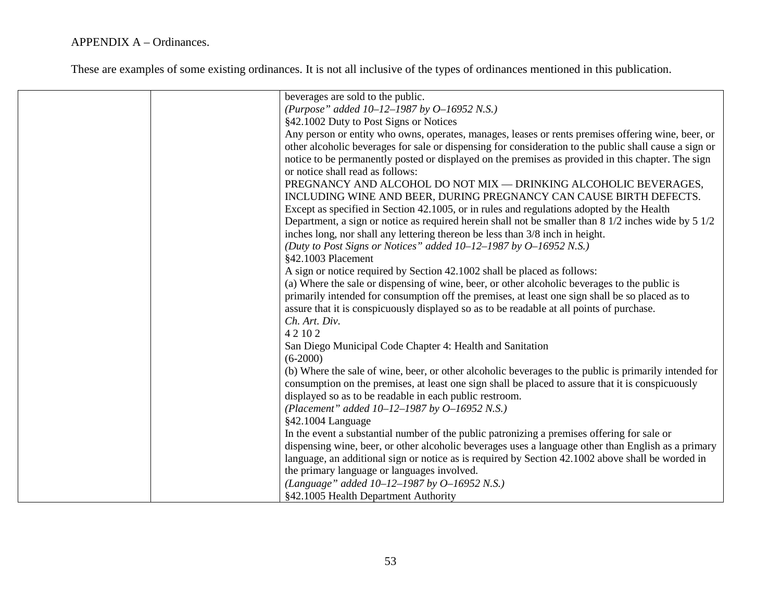| beverages are sold to the public.                                                                                      |
|------------------------------------------------------------------------------------------------------------------------|
| (Purpose" added $10-12-1987$ by $0-16952$ N.S.)                                                                        |
| §42.1002 Duty to Post Signs or Notices                                                                                 |
| Any person or entity who owns, operates, manages, leases or rents premises offering wine, beer, or                     |
| other alcoholic beverages for sale or dispensing for consideration to the public shall cause a sign or                 |
| notice to be permanently posted or displayed on the premises as provided in this chapter. The sign                     |
| or notice shall read as follows:                                                                                       |
| PREGNANCY AND ALCOHOL DO NOT MIX - DRINKING ALCOHOLIC BEVERAGES,                                                       |
| INCLUDING WINE AND BEER, DURING PREGNANCY CAN CAUSE BIRTH DEFECTS.                                                     |
| Except as specified in Section 42.1005, or in rules and regulations adopted by the Health                              |
| Department, a sign or notice as required herein shall not be smaller than $8\frac{1}{2}$ inches wide by $5\frac{1}{2}$ |
| inches long, nor shall any lettering thereon be less than 3/8 inch in height.                                          |
| (Duty to Post Signs or Notices" added $10-12-1987$ by $0-16952$ N.S.)                                                  |
| §42.1003 Placement                                                                                                     |
| A sign or notice required by Section 42.1002 shall be placed as follows:                                               |
| (a) Where the sale or dispensing of wine, beer, or other alcoholic beverages to the public is                          |
| primarily intended for consumption off the premises, at least one sign shall be so placed as to                        |
| assure that it is conspicuously displayed so as to be readable at all points of purchase.                              |
| Ch. Art. Div.                                                                                                          |
| 4 2 10 2                                                                                                               |
| San Diego Municipal Code Chapter 4: Health and Sanitation                                                              |
| $(6-2000)$                                                                                                             |
| (b) Where the sale of wine, beer, or other alcoholic beverages to the public is primarily intended for                 |
| consumption on the premises, at least one sign shall be placed to assure that it is conspicuously                      |
| displayed so as to be readable in each public restroom.                                                                |
| (Placement" added $10-12-1987$ by $0-16952$ N.S.)                                                                      |
| §42.1004 Language                                                                                                      |
| In the event a substantial number of the public patronizing a premises offering for sale or                            |
| dispensing wine, beer, or other alcoholic beverages uses a language other than English as a primary                    |
| language, an additional sign or notice as is required by Section 42.1002 above shall be worded in                      |
| the primary language or languages involved.                                                                            |
| (Language" added $10-12-1987$ by $0-16952$ N.S.)                                                                       |
| §42.1005 Health Department Authority                                                                                   |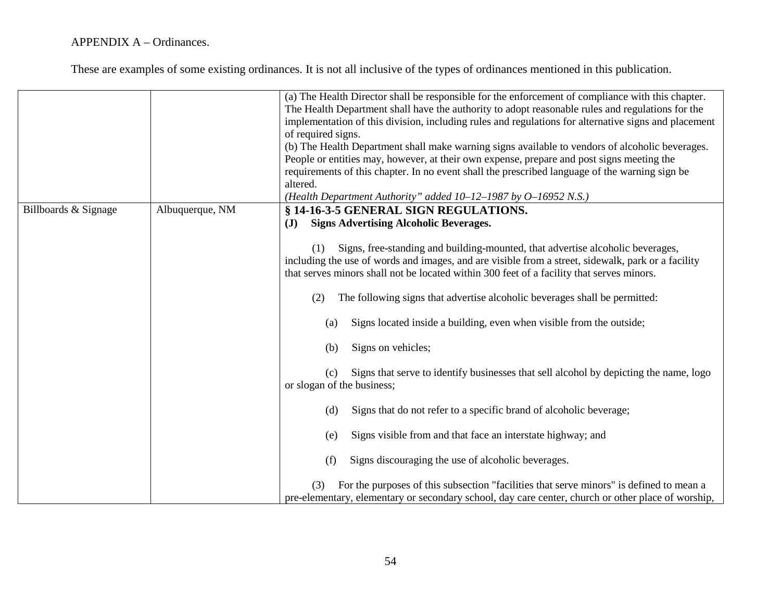|                      |                 | (a) The Health Director shall be responsible for the enforcement of compliance with this chapter.<br>The Health Department shall have the authority to adopt reasonable rules and regulations for the<br>implementation of this division, including rules and regulations for alternative signs and placement<br>of required signs.<br>(b) The Health Department shall make warning signs available to vendors of alcoholic beverages.<br>People or entities may, however, at their own expense, prepare and post signs meeting the<br>requirements of this chapter. In no event shall the prescribed language of the warning sign be<br>altered.<br>(Health Department Authority" added 10-12-1987 by O-16952 N.S.) |
|----------------------|-----------------|----------------------------------------------------------------------------------------------------------------------------------------------------------------------------------------------------------------------------------------------------------------------------------------------------------------------------------------------------------------------------------------------------------------------------------------------------------------------------------------------------------------------------------------------------------------------------------------------------------------------------------------------------------------------------------------------------------------------|
| Billboards & Signage | Albuquerque, NM | § 14-16-3-5 GENERAL SIGN REGULATIONS.                                                                                                                                                                                                                                                                                                                                                                                                                                                                                                                                                                                                                                                                                |
|                      |                 | <b>Signs Advertising Alcoholic Beverages.</b><br>( <b>J</b> )                                                                                                                                                                                                                                                                                                                                                                                                                                                                                                                                                                                                                                                        |
|                      |                 | Signs, free-standing and building-mounted, that advertise alcoholic beverages,<br>(1)<br>including the use of words and images, and are visible from a street, sidewalk, park or a facility<br>that serves minors shall not be located within 300 feet of a facility that serves minors.<br>The following signs that advertise alcoholic beverages shall be permitted:<br>(2)                                                                                                                                                                                                                                                                                                                                        |
|                      |                 | Signs located inside a building, even when visible from the outside;<br>(a)                                                                                                                                                                                                                                                                                                                                                                                                                                                                                                                                                                                                                                          |
|                      |                 | Signs on vehicles;<br>(b)                                                                                                                                                                                                                                                                                                                                                                                                                                                                                                                                                                                                                                                                                            |
|                      |                 | Signs that serve to identify businesses that sell alcohol by depicting the name, logo<br>(c)<br>or slogan of the business;                                                                                                                                                                                                                                                                                                                                                                                                                                                                                                                                                                                           |
|                      |                 | Signs that do not refer to a specific brand of alcoholic beverage;<br>(d)                                                                                                                                                                                                                                                                                                                                                                                                                                                                                                                                                                                                                                            |
|                      |                 | Signs visible from and that face an interstate highway; and<br>(e)                                                                                                                                                                                                                                                                                                                                                                                                                                                                                                                                                                                                                                                   |
|                      |                 | Signs discouraging the use of alcoholic beverages.<br>(f)                                                                                                                                                                                                                                                                                                                                                                                                                                                                                                                                                                                                                                                            |
|                      |                 | For the purposes of this subsection "facilities that serve minors" is defined to mean a<br>(3)<br>pre-elementary, elementary or secondary school, day care center, church or other place of worship,                                                                                                                                                                                                                                                                                                                                                                                                                                                                                                                 |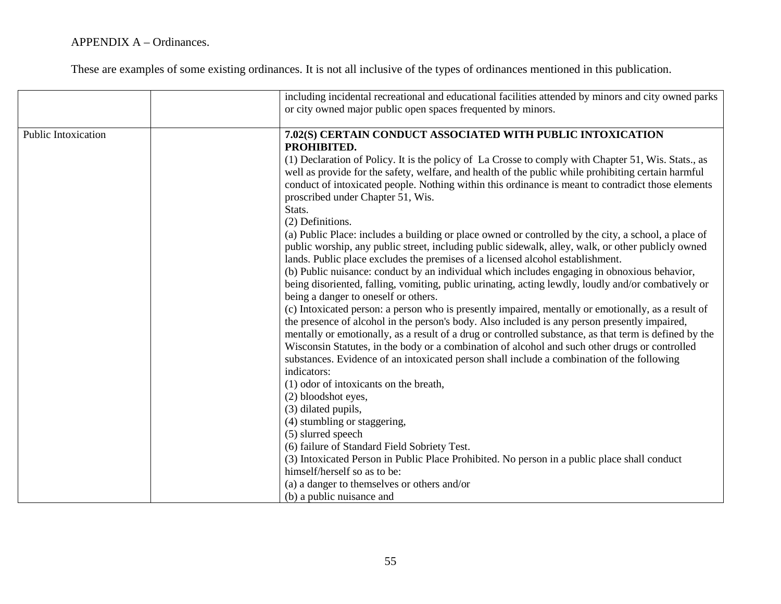|                     | including incidental recreational and educational facilities attended by minors and city owned parks<br>or city owned major public open spaces frequented by minors.                                                                                                                                                                                                                                                                                                                                                                                                                                                                                                                                                                                                                                                                                                                                                                                                                                                                                                                                                                                                                                                                                                                                                                                                                                                                                                                                                                                                                                                                                                                            |
|---------------------|-------------------------------------------------------------------------------------------------------------------------------------------------------------------------------------------------------------------------------------------------------------------------------------------------------------------------------------------------------------------------------------------------------------------------------------------------------------------------------------------------------------------------------------------------------------------------------------------------------------------------------------------------------------------------------------------------------------------------------------------------------------------------------------------------------------------------------------------------------------------------------------------------------------------------------------------------------------------------------------------------------------------------------------------------------------------------------------------------------------------------------------------------------------------------------------------------------------------------------------------------------------------------------------------------------------------------------------------------------------------------------------------------------------------------------------------------------------------------------------------------------------------------------------------------------------------------------------------------------------------------------------------------------------------------------------------------|
| Public Intoxication | 7.02(S) CERTAIN CONDUCT ASSOCIATED WITH PUBLIC INTOXICATION<br>PROHIBITED.<br>(1) Declaration of Policy. It is the policy of La Crosse to comply with Chapter 51, Wis. Stats., as<br>well as provide for the safety, welfare, and health of the public while prohibiting certain harmful<br>conduct of intoxicated people. Nothing within this ordinance is meant to contradict those elements<br>proscribed under Chapter 51, Wis.<br>Stats.<br>(2) Definitions.<br>(a) Public Place: includes a building or place owned or controlled by the city, a school, a place of<br>public worship, any public street, including public sidewalk, alley, walk, or other publicly owned<br>lands. Public place excludes the premises of a licensed alcohol establishment.<br>(b) Public nuisance: conduct by an individual which includes engaging in obnoxious behavior,<br>being disoriented, falling, vomiting, public urinating, acting lewdly, loudly and/or combatively or<br>being a danger to oneself or others.<br>(c) Intoxicated person: a person who is presently impaired, mentally or emotionally, as a result of<br>the presence of alcohol in the person's body. Also included is any person presently impaired,<br>mentally or emotionally, as a result of a drug or controlled substance, as that term is defined by the<br>Wisconsin Statutes, in the body or a combination of alcohol and such other drugs or controlled<br>substances. Evidence of an intoxicated person shall include a combination of the following<br>indicators:<br>(1) odor of intoxicants on the breath,<br>(2) bloodshot eyes,<br>(3) dilated pupils,<br>(4) stumbling or staggering,<br>(5) slurred speech |
|                     | (6) failure of Standard Field Sobriety Test.<br>(3) Intoxicated Person in Public Place Prohibited. No person in a public place shall conduct<br>himself/herself so as to be:<br>(a) a danger to themselves or others and/or<br>(b) a public nuisance and                                                                                                                                                                                                                                                                                                                                                                                                                                                                                                                                                                                                                                                                                                                                                                                                                                                                                                                                                                                                                                                                                                                                                                                                                                                                                                                                                                                                                                        |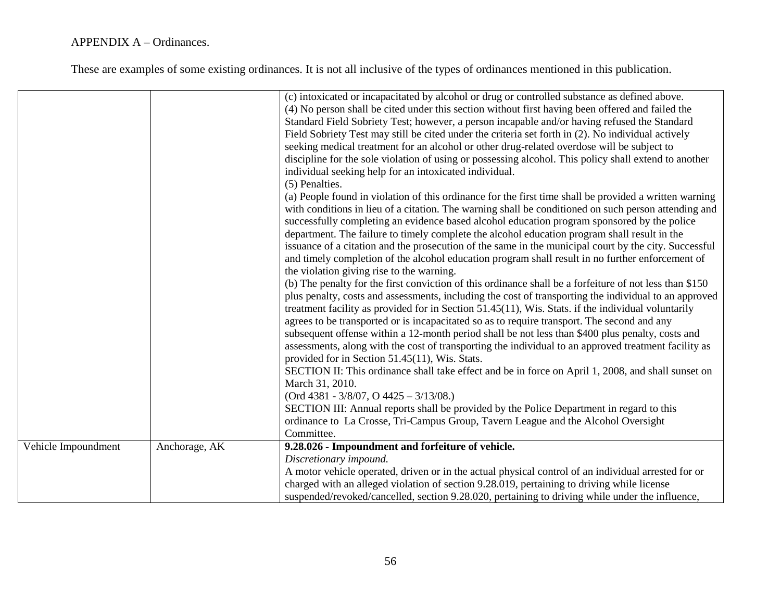|                     |               | (c) intoxicated or incapacitated by alcohol or drug or controlled substance as defined above.<br>(4) No person shall be cited under this section without first having been offered and failed the<br>Standard Field Sobriety Test; however, a person incapable and/or having refused the Standard<br>Field Sobriety Test may still be cited under the criteria set forth in (2). No individual actively<br>seeking medical treatment for an alcohol or other drug-related overdose will be subject to<br>discipline for the sole violation of using or possessing alcohol. This policy shall extend to another<br>individual seeking help for an intoxicated individual.<br>(5) Penalties.<br>(a) People found in violation of this ordinance for the first time shall be provided a written warning<br>with conditions in lieu of a citation. The warning shall be conditioned on such person attending and<br>successfully completing an evidence based alcohol education program sponsored by the police<br>department. The failure to timely complete the alcohol education program shall result in the<br>issuance of a citation and the prosecution of the same in the municipal court by the city. Successful<br>and timely completion of the alcohol education program shall result in no further enforcement of<br>the violation giving rise to the warning.<br>(b) The penalty for the first conviction of this ordinance shall be a forfeiture of not less than \$150<br>plus penalty, costs and assessments, including the cost of transporting the individual to an approved<br>treatment facility as provided for in Section 51.45(11), Wis. Stats. if the individual voluntarily<br>agrees to be transported or is incapacitated so as to require transport. The second and any<br>subsequent offense within a 12-month period shall be not less than \$400 plus penalty, costs and<br>assessments, along with the cost of transporting the individual to an approved treatment facility as<br>provided for in Section 51.45(11), Wis. Stats.<br>SECTION II: This ordinance shall take effect and be in force on April 1, 2008, and shall sunset on<br>March 31, 2010.<br>$(Ord 4381 - 3/8/07, O 4425 - 3/13/08.)$<br>SECTION III: Annual reports shall be provided by the Police Department in regard to this<br>ordinance to La Crosse, Tri-Campus Group, Tavern League and the Alcohol Oversight<br>Committee. |
|---------------------|---------------|----------------------------------------------------------------------------------------------------------------------------------------------------------------------------------------------------------------------------------------------------------------------------------------------------------------------------------------------------------------------------------------------------------------------------------------------------------------------------------------------------------------------------------------------------------------------------------------------------------------------------------------------------------------------------------------------------------------------------------------------------------------------------------------------------------------------------------------------------------------------------------------------------------------------------------------------------------------------------------------------------------------------------------------------------------------------------------------------------------------------------------------------------------------------------------------------------------------------------------------------------------------------------------------------------------------------------------------------------------------------------------------------------------------------------------------------------------------------------------------------------------------------------------------------------------------------------------------------------------------------------------------------------------------------------------------------------------------------------------------------------------------------------------------------------------------------------------------------------------------------------------------------------------------------------------------------------------------------------------------------------------------------------------------------------------------------------------------------------------------------------------------------------------------------------------------------------------------------------------------------------------------------------------------------------------------------------------------------------------------------------------------------------------------------------------|
| Vehicle Impoundment | Anchorage, AK | 9.28.026 - Impoundment and forfeiture of vehicle.                                                                                                                                                                                                                                                                                                                                                                                                                                                                                                                                                                                                                                                                                                                                                                                                                                                                                                                                                                                                                                                                                                                                                                                                                                                                                                                                                                                                                                                                                                                                                                                                                                                                                                                                                                                                                                                                                                                                                                                                                                                                                                                                                                                                                                                                                                                                                                                |
|                     |               | Discretionary impound.                                                                                                                                                                                                                                                                                                                                                                                                                                                                                                                                                                                                                                                                                                                                                                                                                                                                                                                                                                                                                                                                                                                                                                                                                                                                                                                                                                                                                                                                                                                                                                                                                                                                                                                                                                                                                                                                                                                                                                                                                                                                                                                                                                                                                                                                                                                                                                                                           |
|                     |               | A motor vehicle operated, driven or in the actual physical control of an individual arrested for or                                                                                                                                                                                                                                                                                                                                                                                                                                                                                                                                                                                                                                                                                                                                                                                                                                                                                                                                                                                                                                                                                                                                                                                                                                                                                                                                                                                                                                                                                                                                                                                                                                                                                                                                                                                                                                                                                                                                                                                                                                                                                                                                                                                                                                                                                                                              |
|                     |               | charged with an alleged violation of section 9.28.019, pertaining to driving while license                                                                                                                                                                                                                                                                                                                                                                                                                                                                                                                                                                                                                                                                                                                                                                                                                                                                                                                                                                                                                                                                                                                                                                                                                                                                                                                                                                                                                                                                                                                                                                                                                                                                                                                                                                                                                                                                                                                                                                                                                                                                                                                                                                                                                                                                                                                                       |
|                     |               | suspended/revoked/cancelled, section 9.28.020, pertaining to driving while under the influence,                                                                                                                                                                                                                                                                                                                                                                                                                                                                                                                                                                                                                                                                                                                                                                                                                                                                                                                                                                                                                                                                                                                                                                                                                                                                                                                                                                                                                                                                                                                                                                                                                                                                                                                                                                                                                                                                                                                                                                                                                                                                                                                                                                                                                                                                                                                                  |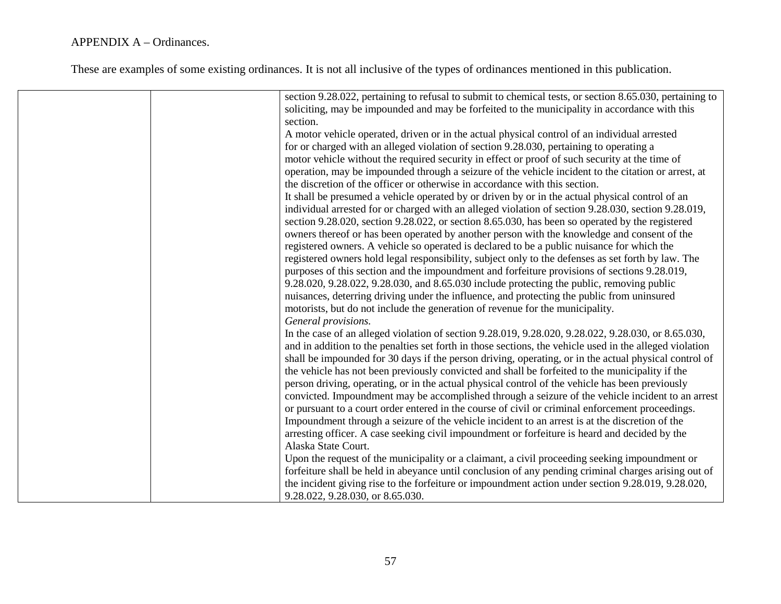| section 9.28.022, pertaining to refusal to submit to chemical tests, or section 8.65.030, pertaining to |
|---------------------------------------------------------------------------------------------------------|
| soliciting, may be impounded and may be forfeited to the municipality in accordance with this           |
| section.                                                                                                |
| A motor vehicle operated, driven or in the actual physical control of an individual arrested            |
| for or charged with an alleged violation of section 9.28.030, pertaining to operating a                 |
| motor vehicle without the required security in effect or proof of such security at the time of          |
| operation, may be impounded through a seizure of the vehicle incident to the citation or arrest, at     |
| the discretion of the officer or otherwise in accordance with this section.                             |
| It shall be presumed a vehicle operated by or driven by or in the actual physical control of an         |
| individual arrested for or charged with an alleged violation of section 9.28.030, section 9.28.019,     |
| section 9.28.020, section 9.28.022, or section 8.65.030, has been so operated by the registered         |
| owners thereof or has been operated by another person with the knowledge and consent of the             |
| registered owners. A vehicle so operated is declared to be a public nuisance for which the              |
| registered owners hold legal responsibility, subject only to the defenses as set forth by law. The      |
| purposes of this section and the impoundment and forfeiture provisions of sections 9.28.019,            |
| 9.28.020, 9.28.022, 9.28.030, and 8.65.030 include protecting the public, removing public               |
| nuisances, deterring driving under the influence, and protecting the public from uninsured              |
| motorists, but do not include the generation of revenue for the municipality.                           |
| General provisions.                                                                                     |
| In the case of an alleged violation of section 9.28.019, 9.28.020, 9.28.022, 9.28.030, or 8.65.030,     |
| and in addition to the penalties set forth in those sections, the vehicle used in the alleged violation |
| shall be impounded for 30 days if the person driving, operating, or in the actual physical control of   |
| the vehicle has not been previously convicted and shall be forfeited to the municipality if the         |
| person driving, operating, or in the actual physical control of the vehicle has been previously         |
| convicted. Impoundment may be accomplished through a seizure of the vehicle incident to an arrest       |
| or pursuant to a court order entered in the course of civil or criminal enforcement proceedings.        |
| Impoundment through a seizure of the vehicle incident to an arrest is at the discretion of the          |
| arresting officer. A case seeking civil impoundment or forfeiture is heard and decided by the           |
| Alaska State Court.                                                                                     |
| Upon the request of the municipality or a claimant, a civil proceeding seeking impoundment or           |
| forfeiture shall be held in abeyance until conclusion of any pending criminal charges arising out of    |
| the incident giving rise to the forfeiture or impoundment action under section 9.28.019, 9.28.020,      |
| 9.28.022, 9.28.030, or 8.65.030.                                                                        |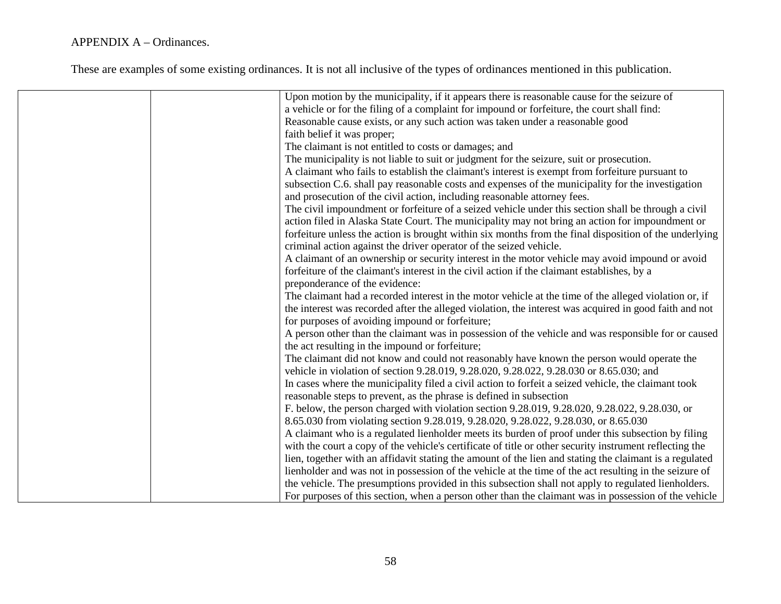| Upon motion by the municipality, if it appears there is reasonable cause for the seizure of             |
|---------------------------------------------------------------------------------------------------------|
| a vehicle or for the filing of a complaint for impound or forfeiture, the court shall find:             |
| Reasonable cause exists, or any such action was taken under a reasonable good                           |
| faith belief it was proper;                                                                             |
| The claimant is not entitled to costs or damages; and                                                   |
| The municipality is not liable to suit or judgment for the seizure, suit or prosecution.                |
| A claimant who fails to establish the claimant's interest is exempt from forfeiture pursuant to         |
| subsection C.6. shall pay reasonable costs and expenses of the municipality for the investigation       |
| and prosecution of the civil action, including reasonable attorney fees.                                |
| The civil impoundment or forfeiture of a seized vehicle under this section shall be through a civil     |
| action filed in Alaska State Court. The municipality may not bring an action for impoundment or         |
| forfeiture unless the action is brought within six months from the final disposition of the underlying  |
| criminal action against the driver operator of the seized vehicle.                                      |
| A claimant of an ownership or security interest in the motor vehicle may avoid impound or avoid         |
| forfeiture of the claimant's interest in the civil action if the claimant establishes, by a             |
| preponderance of the evidence:                                                                          |
| The claimant had a recorded interest in the motor vehicle at the time of the alleged violation or, if   |
| the interest was recorded after the alleged violation, the interest was acquired in good faith and not  |
| for purposes of avoiding impound or forfeiture;                                                         |
| A person other than the claimant was in possession of the vehicle and was responsible for or caused     |
| the act resulting in the impound or forfeiture;                                                         |
| The claimant did not know and could not reasonably have known the person would operate the              |
| vehicle in violation of section 9.28.019, 9.28.020, 9.28.022, 9.28.030 or 8.65.030; and                 |
| In cases where the municipality filed a civil action to forfeit a seized vehicle, the claimant took     |
| reasonable steps to prevent, as the phrase is defined in subsection                                     |
| F. below, the person charged with violation section 9.28.019, 9.28.020, 9.28.022, 9.28.030, or          |
| 8.65.030 from violating section 9.28.019, 9.28.020, 9.28.022, 9.28.030, or 8.65.030                     |
| A claimant who is a regulated lienholder meets its burden of proof under this subsection by filing      |
| with the court a copy of the vehicle's certificate of title or other security instrument reflecting the |
| lien, together with an affidavit stating the amount of the lien and stating the claimant is a regulated |
| lienholder and was not in possession of the vehicle at the time of the act resulting in the seizure of  |
| the vehicle. The presumptions provided in this subsection shall not apply to regulated lienholders.     |
| For purposes of this section, when a person other than the claimant was in possession of the vehicle    |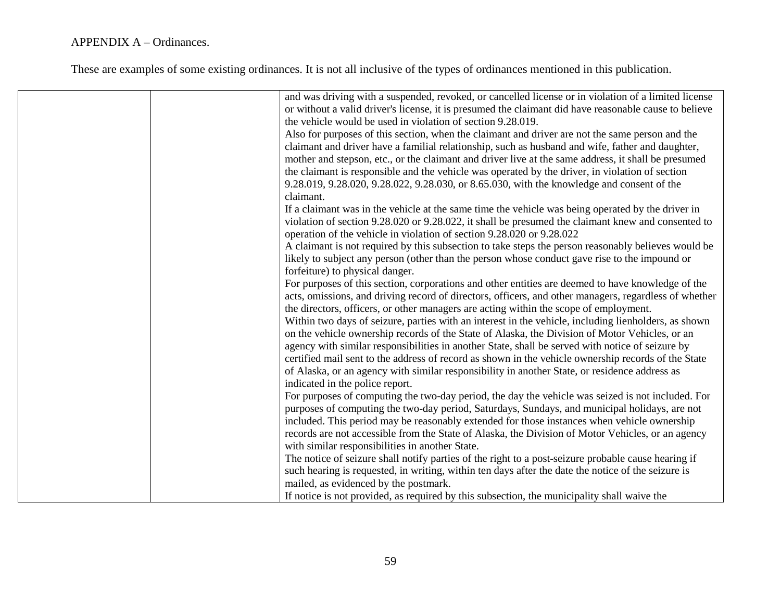|  | and was driving with a suspended, revoked, or cancelled license or in violation of a limited license  |
|--|-------------------------------------------------------------------------------------------------------|
|  | or without a valid driver's license, it is presumed the claimant did have reasonable cause to believe |
|  | the vehicle would be used in violation of section 9.28.019.                                           |
|  | Also for purposes of this section, when the claimant and driver are not the same person and the       |
|  | claimant and driver have a familial relationship, such as husband and wife, father and daughter,      |
|  | mother and stepson, etc., or the claimant and driver live at the same address, it shall be presumed   |
|  | the claimant is responsible and the vehicle was operated by the driver, in violation of section       |
|  | 9.28.019, 9.28.020, 9.28.022, 9.28.030, or 8.65.030, with the knowledge and consent of the            |
|  | claimant.                                                                                             |
|  | If a claimant was in the vehicle at the same time the vehicle was being operated by the driver in     |
|  | violation of section 9.28.020 or 9.28.022, it shall be presumed the claimant knew and consented to    |
|  | operation of the vehicle in violation of section 9.28.020 or 9.28.022                                 |
|  | A claimant is not required by this subsection to take steps the person reasonably believes would be   |
|  | likely to subject any person (other than the person whose conduct gave rise to the impound or         |
|  | forfeiture) to physical danger.                                                                       |
|  | For purposes of this section, corporations and other entities are deemed to have knowledge of the     |
|  | acts, omissions, and driving record of directors, officers, and other managers, regardless of whether |
|  | the directors, officers, or other managers are acting within the scope of employment.                 |
|  | Within two days of seizure, parties with an interest in the vehicle, including lienholders, as shown  |
|  | on the vehicle ownership records of the State of Alaska, the Division of Motor Vehicles, or an        |
|  | agency with similar responsibilities in another State, shall be served with notice of seizure by      |
|  | certified mail sent to the address of record as shown in the vehicle ownership records of the State   |
|  | of Alaska, or an agency with similar responsibility in another State, or residence address as         |
|  | indicated in the police report.                                                                       |
|  | For purposes of computing the two-day period, the day the vehicle was seized is not included. For     |
|  |                                                                                                       |
|  | purposes of computing the two-day period, Saturdays, Sundays, and municipal holidays, are not         |
|  | included. This period may be reasonably extended for those instances when vehicle ownership           |
|  | records are not accessible from the State of Alaska, the Division of Motor Vehicles, or an agency     |
|  | with similar responsibilities in another State.                                                       |
|  | The notice of seizure shall notify parties of the right to a post-seizure probable cause hearing if   |
|  | such hearing is requested, in writing, within ten days after the date the notice of the seizure is    |
|  | mailed, as evidenced by the postmark.                                                                 |
|  | If notice is not provided, as required by this subsection, the municipality shall waive the           |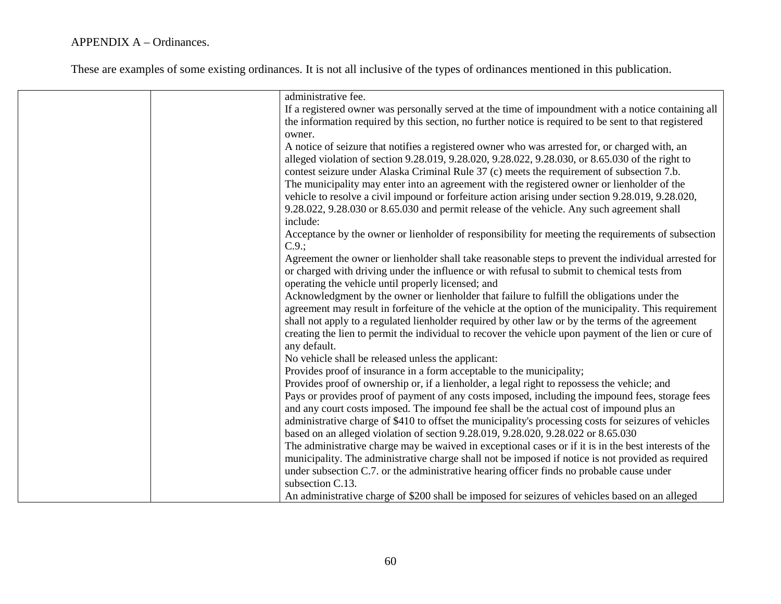| administrative fee.                                                                                   |
|-------------------------------------------------------------------------------------------------------|
| If a registered owner was personally served at the time of impoundment with a notice containing all   |
| the information required by this section, no further notice is required to be sent to that registered |
| owner.                                                                                                |
| A notice of seizure that notifies a registered owner who was arrested for, or charged with, an        |
| alleged violation of section 9.28.019, 9.28.020, 9.28.022, 9.28.030, or 8.65.030 of the right to      |
| contest seizure under Alaska Criminal Rule 37 (c) meets the requirement of subsection 7.b.            |
| The municipality may enter into an agreement with the registered owner or lienholder of the           |
| vehicle to resolve a civil impound or forfeiture action arising under section 9.28.019, 9.28.020,     |
| 9.28.022, 9.28.030 or 8.65.030 and permit release of the vehicle. Any such agreement shall            |
| include:                                                                                              |
| Acceptance by the owner or lienholder of responsibility for meeting the requirements of subsection    |
| $C.9$ .                                                                                               |
| Agreement the owner or lienholder shall take reasonable steps to prevent the individual arrested for  |
| or charged with driving under the influence or with refusal to submit to chemical tests from          |
|                                                                                                       |
| operating the vehicle until properly licensed; and                                                    |
| Acknowledgment by the owner or lienholder that failure to fulfill the obligations under the           |
| agreement may result in forfeiture of the vehicle at the option of the municipality. This requirement |
| shall not apply to a regulated lienholder required by other law or by the terms of the agreement      |
| creating the lien to permit the individual to recover the vehicle upon payment of the lien or cure of |
| any default.                                                                                          |
| No vehicle shall be released unless the applicant:                                                    |
| Provides proof of insurance in a form acceptable to the municipality;                                 |
| Provides proof of ownership or, if a lienholder, a legal right to repossess the vehicle; and          |
| Pays or provides proof of payment of any costs imposed, including the impound fees, storage fees      |
| and any court costs imposed. The impound fee shall be the actual cost of impound plus an              |
| administrative charge of \$410 to offset the municipality's processing costs for seizures of vehicles |
| based on an alleged violation of section 9.28.019, 9.28.020, 9.28.022 or 8.65.030                     |
| The administrative charge may be waived in exceptional cases or if it is in the best interests of the |
| municipality. The administrative charge shall not be imposed if notice is not provided as required    |
| under subsection C.7. or the administrative hearing officer finds no probable cause under             |
| subsection C.13.                                                                                      |
| An administrative charge of \$200 shall be imposed for seizures of vehicles based on an alleged       |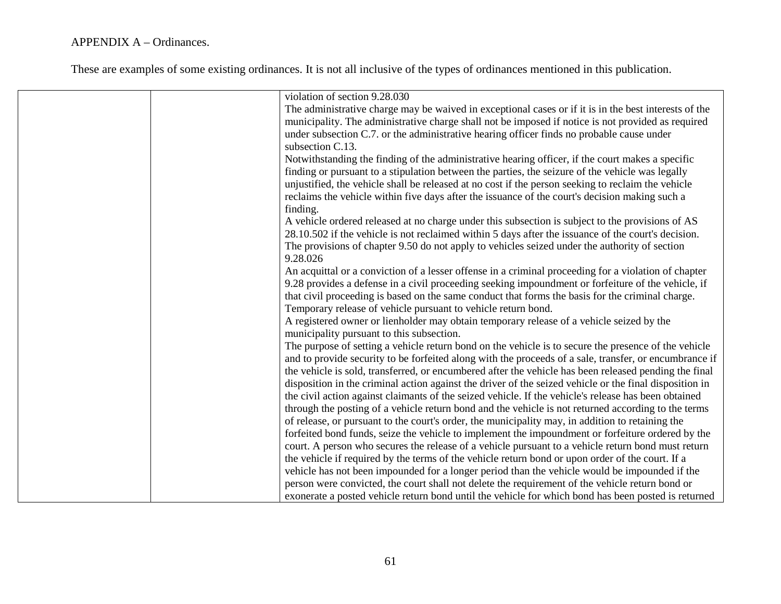| violation of section 9.28.030                                                                           |
|---------------------------------------------------------------------------------------------------------|
| The administrative charge may be waived in exceptional cases or if it is in the best interests of the   |
| municipality. The administrative charge shall not be imposed if notice is not provided as required      |
| under subsection C.7. or the administrative hearing officer finds no probable cause under               |
| subsection C.13.                                                                                        |
| Notwithstanding the finding of the administrative hearing officer, if the court makes a specific        |
| finding or pursuant to a stipulation between the parties, the seizure of the vehicle was legally        |
| unjustified, the vehicle shall be released at no cost if the person seeking to reclaim the vehicle      |
|                                                                                                         |
| reclaims the vehicle within five days after the issuance of the court's decision making such a          |
| finding.                                                                                                |
| A vehicle ordered released at no charge under this subsection is subject to the provisions of AS        |
| 28.10.502 if the vehicle is not reclaimed within 5 days after the issuance of the court's decision.     |
| The provisions of chapter 9.50 do not apply to vehicles seized under the authority of section           |
| 9.28.026                                                                                                |
| An acquittal or a conviction of a lesser offense in a criminal proceeding for a violation of chapter    |
| 9.28 provides a defense in a civil proceeding seeking impoundment or forfeiture of the vehicle, if      |
| that civil proceeding is based on the same conduct that forms the basis for the criminal charge.        |
| Temporary release of vehicle pursuant to vehicle return bond.                                           |
| A registered owner or lienholder may obtain temporary release of a vehicle seized by the                |
| municipality pursuant to this subsection.                                                               |
| The purpose of setting a vehicle return bond on the vehicle is to secure the presence of the vehicle    |
| and to provide security to be forfeited along with the proceeds of a sale, transfer, or encumbrance if  |
| the vehicle is sold, transferred, or encumbered after the vehicle has been released pending the final   |
| disposition in the criminal action against the driver of the seized vehicle or the final disposition in |
| the civil action against claimants of the seized vehicle. If the vehicle's release has been obtained    |
| through the posting of a vehicle return bond and the vehicle is not returned according to the terms     |
| of release, or pursuant to the court's order, the municipality may, in addition to retaining the        |
| forfeited bond funds, seize the vehicle to implement the impoundment or forfeiture ordered by the       |
| court. A person who secures the release of a vehicle pursuant to a vehicle return bond must return      |
| the vehicle if required by the terms of the vehicle return bond or upon order of the court. If a        |
|                                                                                                         |
| vehicle has not been impounded for a longer period than the vehicle would be impounded if the           |
| person were convicted, the court shall not delete the requirement of the vehicle return bond or         |
| exonerate a posted vehicle return bond until the vehicle for which bond has been posted is returned     |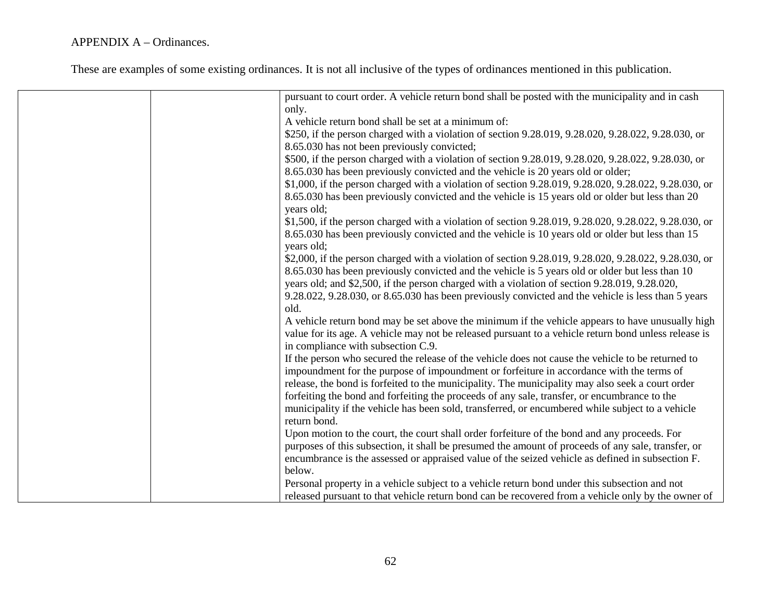| pursuant to court order. A vehicle return bond shall be posted with the municipality and in cash      |
|-------------------------------------------------------------------------------------------------------|
| only.                                                                                                 |
| A vehicle return bond shall be set at a minimum of:                                                   |
| \$250, if the person charged with a violation of section 9.28.019, 9.28.020, 9.28.022, 9.28.030, or   |
| 8.65.030 has not been previously convicted;                                                           |
| \$500, if the person charged with a violation of section 9.28.019, 9.28.020, 9.28.022, 9.28.030, or   |
| 8.65.030 has been previously convicted and the vehicle is 20 years old or older;                      |
| \$1,000, if the person charged with a violation of section 9.28.019, 9.28.020, 9.28.022, 9.28.030, or |
| 8.65.030 has been previously convicted and the vehicle is 15 years old or older but less than 20      |
| years old;                                                                                            |
| \$1,500, if the person charged with a violation of section 9.28.019, 9.28.020, 9.28.022, 9.28.030, or |
| 8.65.030 has been previously convicted and the vehicle is 10 years old or older but less than 15      |
| years old;                                                                                            |
|                                                                                                       |
| \$2,000, if the person charged with a violation of section 9.28.019, 9.28.020, 9.28.022, 9.28.030, or |
| 8.65.030 has been previously convicted and the vehicle is 5 years old or older but less than 10       |
| years old; and \$2,500, if the person charged with a violation of section 9.28.019, 9.28.020,         |
| 9.28.022, 9.28.030, or 8.65.030 has been previously convicted and the vehicle is less than 5 years    |
| old.                                                                                                  |
| A vehicle return bond may be set above the minimum if the vehicle appears to have unusually high      |
| value for its age. A vehicle may not be released pursuant to a vehicle return bond unless release is  |
| in compliance with subsection C.9.                                                                    |
| If the person who secured the release of the vehicle does not cause the vehicle to be returned to     |
| impoundment for the purpose of impoundment or forfeiture in accordance with the terms of              |
| release, the bond is forfeited to the municipality. The municipality may also seek a court order      |
| forfeiting the bond and forfeiting the proceeds of any sale, transfer, or encumbrance to the          |
| municipality if the vehicle has been sold, transferred, or encumbered while subject to a vehicle      |
| return bond.                                                                                          |
| Upon motion to the court, the court shall order forfeiture of the bond and any proceeds. For          |
| purposes of this subsection, it shall be presumed the amount of proceeds of any sale, transfer, or    |
| encumbrance is the assessed or appraised value of the seized vehicle as defined in subsection F.      |
| below.                                                                                                |
| Personal property in a vehicle subject to a vehicle return bond under this subsection and not         |
|                                                                                                       |
| released pursuant to that vehicle return bond can be recovered from a vehicle only by the owner of    |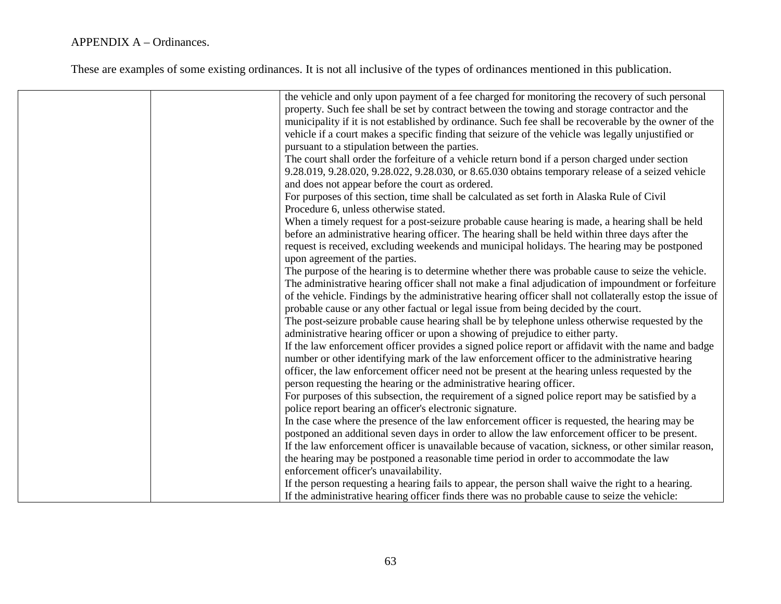|                                                                                     | the vehicle and only upon payment of a fee charged for monitoring the recovery of such personal          |
|-------------------------------------------------------------------------------------|----------------------------------------------------------------------------------------------------------|
|                                                                                     | property. Such fee shall be set by contract between the towing and storage contractor and the            |
|                                                                                     | municipality if it is not established by ordinance. Such fee shall be recoverable by the owner of the    |
|                                                                                     | vehicle if a court makes a specific finding that seizure of the vehicle was legally unjustified or       |
| pursuant to a stipulation between the parties.                                      |                                                                                                          |
|                                                                                     | The court shall order the forfeiture of a vehicle return bond if a person charged under section          |
|                                                                                     | 9.28.019, 9.28.020, 9.28.022, 9.28.030, or 8.65.030 obtains temporary release of a seized vehicle        |
| and does not appear before the court as ordered.                                    |                                                                                                          |
|                                                                                     | For purposes of this section, time shall be calculated as set forth in Alaska Rule of Civil              |
| Procedure 6, unless otherwise stated.                                               |                                                                                                          |
|                                                                                     | When a timely request for a post-seizure probable cause hearing is made, a hearing shall be held         |
|                                                                                     | before an administrative hearing officer. The hearing shall be held within three days after the          |
|                                                                                     | request is received, excluding weekends and municipal holidays. The hearing may be postponed             |
| upon agreement of the parties.                                                      |                                                                                                          |
|                                                                                     | The purpose of the hearing is to determine whether there was probable cause to seize the vehicle.        |
|                                                                                     | The administrative hearing officer shall not make a final adjudication of impoundment or forfeiture      |
|                                                                                     | of the vehicle. Findings by the administrative hearing officer shall not collaterally estop the issue of |
| probable cause or any other factual or legal issue from being decided by the court. |                                                                                                          |
|                                                                                     | The post-seizure probable cause hearing shall be by telephone unless otherwise requested by the          |
| administrative hearing officer or upon a showing of prejudice to either party.      |                                                                                                          |
|                                                                                     | If the law enforcement officer provides a signed police report or affidavit with the name and badge      |
|                                                                                     | number or other identifying mark of the law enforcement officer to the administrative hearing            |
|                                                                                     | officer, the law enforcement officer need not be present at the hearing unless requested by the          |
| person requesting the hearing or the administrative hearing officer.                |                                                                                                          |
|                                                                                     | For purposes of this subsection, the requirement of a signed police report may be satisfied by a         |
| police report bearing an officer's electronic signature.                            |                                                                                                          |
|                                                                                     | In the case where the presence of the law enforcement officer is requested, the hearing may be           |
|                                                                                     | postponed an additional seven days in order to allow the law enforcement officer to be present.          |
|                                                                                     | If the law enforcement officer is unavailable because of vacation, sickness, or other similar reason,    |
|                                                                                     | the hearing may be postponed a reasonable time period in order to accommodate the law                    |
| enforcement officer's unavailability.                                               |                                                                                                          |
|                                                                                     | If the person requesting a hearing fails to appear, the person shall waive the right to a hearing.       |
|                                                                                     | If the administrative hearing officer finds there was no probable cause to seize the vehicle:            |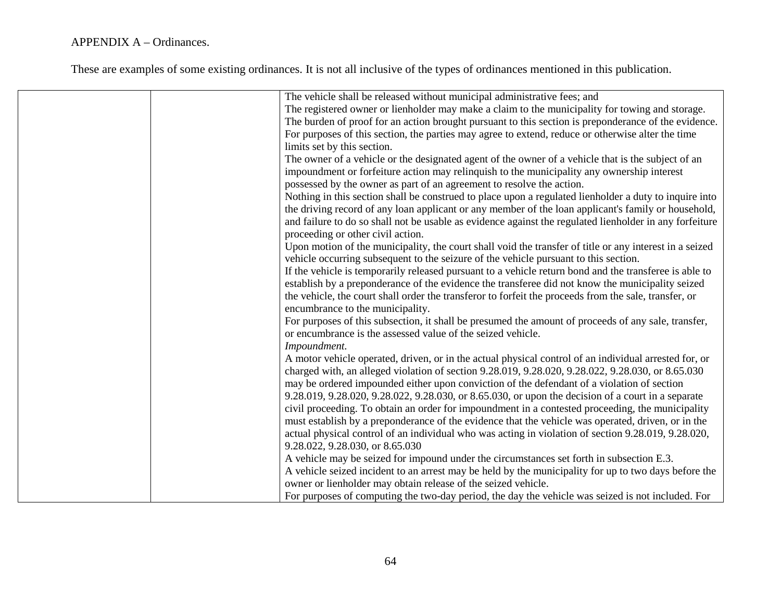| The vehicle shall be released without municipal administrative fees; and                                |
|---------------------------------------------------------------------------------------------------------|
| The registered owner or lienholder may make a claim to the municipality for towing and storage.         |
| The burden of proof for an action brought pursuant to this section is preponderance of the evidence.    |
| For purposes of this section, the parties may agree to extend, reduce or otherwise alter the time       |
| limits set by this section.                                                                             |
| The owner of a vehicle or the designated agent of the owner of a vehicle that is the subject of an      |
| impoundment or forfeiture action may relinquish to the municipality any ownership interest              |
| possessed by the owner as part of an agreement to resolve the action.                                   |
| Nothing in this section shall be construed to place upon a regulated lienholder a duty to inquire into  |
| the driving record of any loan applicant or any member of the loan applicant's family or household,     |
| and failure to do so shall not be usable as evidence against the regulated lienholder in any forfeiture |
| proceeding or other civil action.                                                                       |
| Upon motion of the municipality, the court shall void the transfer of title or any interest in a seized |
| vehicle occurring subsequent to the seizure of the vehicle pursuant to this section.                    |
| If the vehicle is temporarily released pursuant to a vehicle return bond and the transferee is able to  |
| establish by a preponderance of the evidence the transferee did not know the municipality seized        |
| the vehicle, the court shall order the transferor to forfeit the proceeds from the sale, transfer, or   |
| encumbrance to the municipality.                                                                        |
| For purposes of this subsection, it shall be presumed the amount of proceeds of any sale, transfer,     |
| or encumbrance is the assessed value of the seized vehicle.                                             |
| Impoundment.                                                                                            |
| A motor vehicle operated, driven, or in the actual physical control of an individual arrested for, or   |
| charged with, an alleged violation of section 9.28.019, 9.28.020, 9.28.022, 9.28.030, or 8.65.030       |
| may be ordered impounded either upon conviction of the defendant of a violation of section              |
| 9.28.019, 9.28.020, 9.28.022, 9.28.030, or 8.65.030, or upon the decision of a court in a separate      |
| civil proceeding. To obtain an order for impoundment in a contested proceeding, the municipality        |
| must establish by a preponderance of the evidence that the vehicle was operated, driven, or in the      |
| actual physical control of an individual who was acting in violation of section 9.28.019, 9.28.020,     |
| 9.28.022, 9.28.030, or 8.65.030                                                                         |
| A vehicle may be seized for impound under the circumstances set forth in subsection E.3.                |
| A vehicle seized incident to an arrest may be held by the municipality for up to two days before the    |
| owner or lienholder may obtain release of the seized vehicle.                                           |
| For purposes of computing the two-day period, the day the vehicle was seized is not included. For       |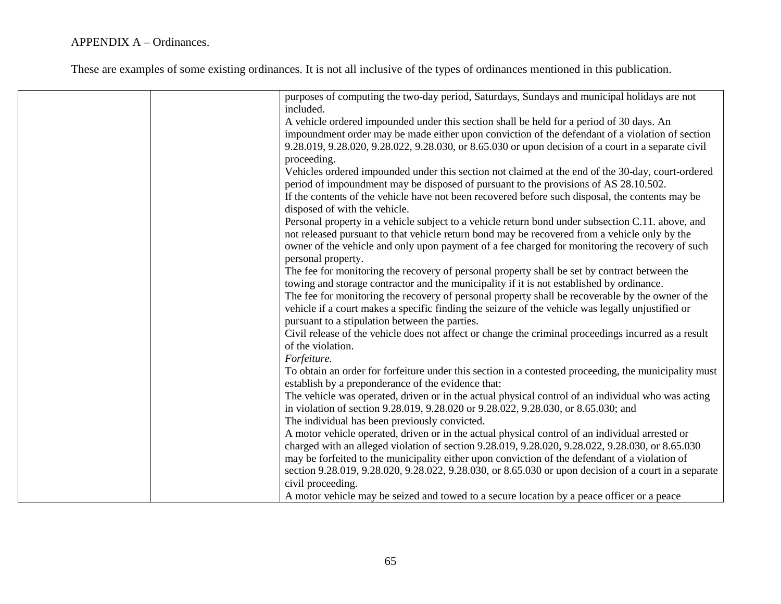| purposes of computing the two-day period, Saturdays, Sundays and municipal holidays are not<br>included.                                                 |
|----------------------------------------------------------------------------------------------------------------------------------------------------------|
| A vehicle ordered impounded under this section shall be held for a period of 30 days. An                                                                 |
| impoundment order may be made either upon conviction of the defendant of a violation of section                                                          |
| 9.28.019, 9.28.020, 9.28.022, 9.28.030, or 8.65.030 or upon decision of a court in a separate civil                                                      |
| proceeding.                                                                                                                                              |
| Vehicles ordered impounded under this section not claimed at the end of the 30-day, court-ordered                                                        |
| period of impoundment may be disposed of pursuant to the provisions of AS 28.10.502.                                                                     |
| If the contents of the vehicle have not been recovered before such disposal, the contents may be                                                         |
| disposed of with the vehicle.                                                                                                                            |
| Personal property in a vehicle subject to a vehicle return bond under subsection C.11. above, and                                                        |
| not released pursuant to that vehicle return bond may be recovered from a vehicle only by the                                                            |
| owner of the vehicle and only upon payment of a fee charged for monitoring the recovery of such                                                          |
| personal property.                                                                                                                                       |
| The fee for monitoring the recovery of personal property shall be set by contract between the                                                            |
| towing and storage contractor and the municipality if it is not established by ordinance.                                                                |
| The fee for monitoring the recovery of personal property shall be recoverable by the owner of the                                                        |
| vehicle if a court makes a specific finding the seizure of the vehicle was legally unjustified or                                                        |
| pursuant to a stipulation between the parties.                                                                                                           |
| Civil release of the vehicle does not affect or change the criminal proceedings incurred as a result                                                     |
| of the violation.                                                                                                                                        |
| Forfeiture.                                                                                                                                              |
| To obtain an order for forfeiture under this section in a contested proceeding, the municipality must                                                    |
| establish by a preponderance of the evidence that:<br>The vehicle was operated, driven or in the actual physical control of an individual who was acting |
| in violation of section 9.28.019, 9.28.020 or 9.28.022, 9.28.030, or 8.65.030; and                                                                       |
| The individual has been previously convicted.                                                                                                            |
| A motor vehicle operated, driven or in the actual physical control of an individual arrested or                                                          |
| charged with an alleged violation of section 9.28.019, 9.28.020, 9.28.022, 9.28.030, or 8.65.030                                                         |
| may be forfeited to the municipality either upon conviction of the defendant of a violation of                                                           |
| section 9.28.019, 9.28.020, 9.28.022, 9.28.030, or 8.65.030 or upon decision of a court in a separate                                                    |
| civil proceeding.                                                                                                                                        |
| A motor vehicle may be seized and towed to a secure location by a peace officer or a peace                                                               |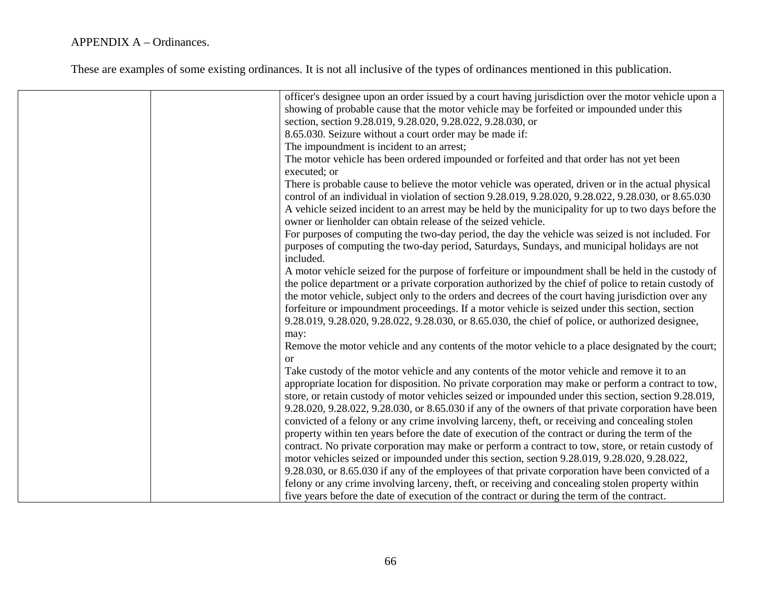| officer's designee upon an order issued by a court having jurisdiction over the motor vehicle upon a  |
|-------------------------------------------------------------------------------------------------------|
| showing of probable cause that the motor vehicle may be forfeited or impounded under this             |
| section, section 9.28.019, 9.28.020, 9.28.022, 9.28.030, or                                           |
| 8.65.030. Seizure without a court order may be made if:                                               |
| The impoundment is incident to an arrest;                                                             |
| The motor vehicle has been ordered impounded or forfeited and that order has not yet been             |
| executed; or                                                                                          |
| There is probable cause to believe the motor vehicle was operated, driven or in the actual physical   |
| control of an individual in violation of section 9.28.019, 9.28.020, 9.28.022, 9.28.030, or 8.65.030  |
| A vehicle seized incident to an arrest may be held by the municipality for up to two days before the  |
| owner or lienholder can obtain release of the seized vehicle.                                         |
| For purposes of computing the two-day period, the day the vehicle was seized is not included. For     |
| purposes of computing the two-day period, Saturdays, Sundays, and municipal holidays are not          |
| included.                                                                                             |
| A motor vehicle seized for the purpose of forfeiture or impoundment shall be held in the custody of   |
| the police department or a private corporation authorized by the chief of police to retain custody of |
| the motor vehicle, subject only to the orders and decrees of the court having jurisdiction over any   |
| forfeiture or impoundment proceedings. If a motor vehicle is seized under this section, section       |
| 9.28.019, 9.28.020, 9.28.022, 9.28.030, or 8.65.030, the chief of police, or authorized designee,     |
| may:                                                                                                  |
| Remove the motor vehicle and any contents of the motor vehicle to a place designated by the court;    |
| or                                                                                                    |
| Take custody of the motor vehicle and any contents of the motor vehicle and remove it to an           |
| appropriate location for disposition. No private corporation may make or perform a contract to tow,   |
| store, or retain custody of motor vehicles seized or impounded under this section, section 9.28.019,  |
| 9.28.020, 9.28.022, 9.28.030, or 8.65.030 if any of the owners of that private corporation have been  |
| convicted of a felony or any crime involving larceny, theft, or receiving and concealing stolen       |
| property within ten years before the date of execution of the contract or during the term of the      |
| contract. No private corporation may make or perform a contract to tow, store, or retain custody of   |
| motor vehicles seized or impounded under this section, section 9.28.019, 9.28.020, 9.28.022,          |
| 9.28.030, or 8.65.030 if any of the employees of that private corporation have been convicted of a    |
| felony or any crime involving larceny, theft, or receiving and concealing stolen property within      |
| five years before the date of execution of the contract or during the term of the contract.           |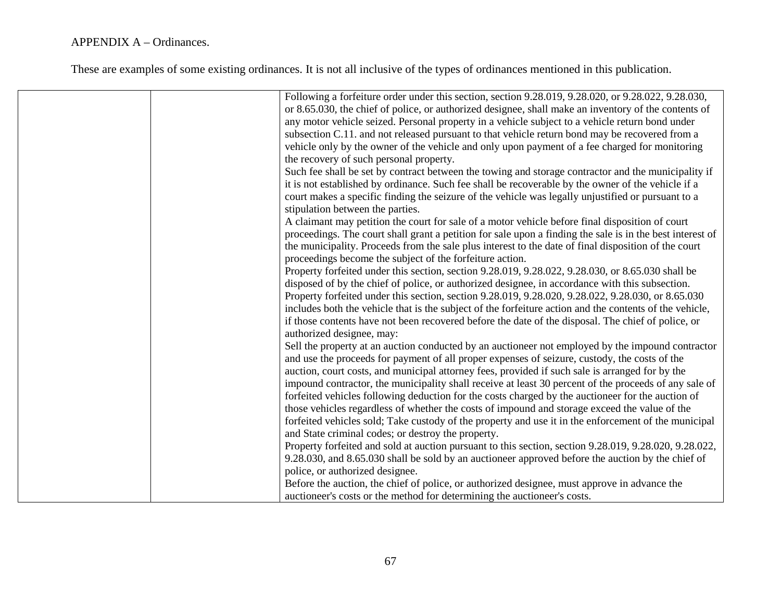|  | Following a forfeiture order under this section, section 9.28.019, 9.28.020, or 9.28.022, 9.28.030,       |
|--|-----------------------------------------------------------------------------------------------------------|
|  |                                                                                                           |
|  | or 8.65.030, the chief of police, or authorized designee, shall make an inventory of the contents of      |
|  | any motor vehicle seized. Personal property in a vehicle subject to a vehicle return bond under           |
|  | subsection C.11. and not released pursuant to that vehicle return bond may be recovered from a            |
|  | vehicle only by the owner of the vehicle and only upon payment of a fee charged for monitoring            |
|  | the recovery of such personal property.                                                                   |
|  | Such fee shall be set by contract between the towing and storage contractor and the municipality if       |
|  | it is not established by ordinance. Such fee shall be recoverable by the owner of the vehicle if a        |
|  | court makes a specific finding the seizure of the vehicle was legally unjustified or pursuant to a        |
|  | stipulation between the parties.                                                                          |
|  | A claimant may petition the court for sale of a motor vehicle before final disposition of court           |
|  | proceedings. The court shall grant a petition for sale upon a finding the sale is in the best interest of |
|  | the municipality. Proceeds from the sale plus interest to the date of final disposition of the court      |
|  |                                                                                                           |
|  | proceedings become the subject of the forfeiture action.                                                  |
|  | Property forfeited under this section, section 9.28.019, 9.28.022, 9.28.030, or 8.65.030 shall be         |
|  | disposed of by the chief of police, or authorized designee, in accordance with this subsection.           |
|  | Property forfeited under this section, section 9.28.019, 9.28.020, 9.28.022, 9.28.030, or 8.65.030        |
|  | includes both the vehicle that is the subject of the forfeiture action and the contents of the vehicle,   |
|  | if those contents have not been recovered before the date of the disposal. The chief of police, or        |
|  | authorized designee, may:                                                                                 |
|  | Sell the property at an auction conducted by an auctioneer not employed by the impound contractor         |
|  | and use the proceeds for payment of all proper expenses of seizure, custody, the costs of the             |
|  | auction, court costs, and municipal attorney fees, provided if such sale is arranged for by the           |
|  | impound contractor, the municipality shall receive at least 30 percent of the proceeds of any sale of     |
|  |                                                                                                           |
|  | forfeited vehicles following deduction for the costs charged by the auctioneer for the auction of         |
|  | those vehicles regardless of whether the costs of impound and storage exceed the value of the             |
|  | forfeited vehicles sold; Take custody of the property and use it in the enforcement of the municipal      |
|  | and State criminal codes; or destroy the property.                                                        |
|  | Property forfeited and sold at auction pursuant to this section, section 9.28.019, 9.28.020, 9.28.022,    |
|  | 9.28.030, and 8.65.030 shall be sold by an auctioneer approved before the auction by the chief of         |
|  | police, or authorized designee.                                                                           |
|  | Before the auction, the chief of police, or authorized designee, must approve in advance the              |
|  | auctioneer's costs or the method for determining the auctioneer's costs.                                  |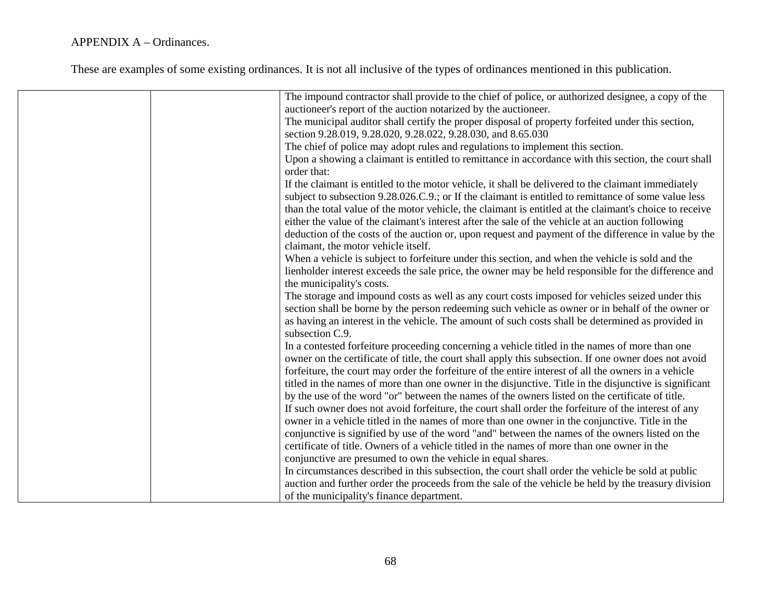| The impound contractor shall provide to the chief of police, or authorized designee, a copy of the                   |
|----------------------------------------------------------------------------------------------------------------------|
| auctioneer's report of the auction notarized by the auctioneer.                                                      |
| The municipal auditor shall certify the proper disposal of property forfeited under this section,                    |
| section 9.28.019, 9.28.020, 9.28.022, 9.28.030, and 8.65.030                                                         |
| The chief of police may adopt rules and regulations to implement this section.                                       |
| Upon a showing a claimant is entitled to remittance in accordance with this section, the court shall<br>order that:  |
| If the claimant is entitled to the motor vehicle, it shall be delivered to the claimant immediately                  |
| subject to subsection 9.28.026.C.9.; or If the claimant is entitled to remittance of some value less                 |
| than the total value of the motor vehicle, the claimant is entitled at the claimant's choice to receive              |
| either the value of the claimant's interest after the sale of the vehicle at an auction following                    |
|                                                                                                                      |
| deduction of the costs of the auction or, upon request and payment of the difference in value by the                 |
| claimant, the motor vehicle itself.                                                                                  |
| When a vehicle is subject to forfeiture under this section, and when the vehicle is sold and the                     |
| lienholder interest exceeds the sale price, the owner may be held responsible for the difference and                 |
| the municipality's costs.                                                                                            |
| The storage and impound costs as well as any court costs imposed for vehicles seized under this                      |
| section shall be borne by the person redeeming such vehicle as owner or in behalf of the owner or                    |
| as having an interest in the vehicle. The amount of such costs shall be determined as provided in<br>subsection C.9. |
| In a contested forfeiture proceeding concerning a vehicle titled in the names of more than one                       |
| owner on the certificate of title, the court shall apply this subsection. If one owner does not avoid                |
| forfeiture, the court may order the forfeiture of the entire interest of all the owners in a vehicle                 |
| titled in the names of more than one owner in the disjunctive. Title in the disjunctive is significant               |
| by the use of the word "or" between the names of the owners listed on the certificate of title.                      |
| If such owner does not avoid forfeiture, the court shall order the forfeiture of the interest of any                 |
| owner in a vehicle titled in the names of more than one owner in the conjunctive. Title in the                       |
| conjunctive is signified by use of the word "and" between the names of the owners listed on the                      |
| certificate of title. Owners of a vehicle titled in the names of more than one owner in the                          |
| conjunctive are presumed to own the vehicle in equal shares.                                                         |
| In circumstances described in this subsection, the court shall order the vehicle be sold at public                   |
| auction and further order the proceeds from the sale of the vehicle be held by the treasury division                 |
| of the municipality's finance department.                                                                            |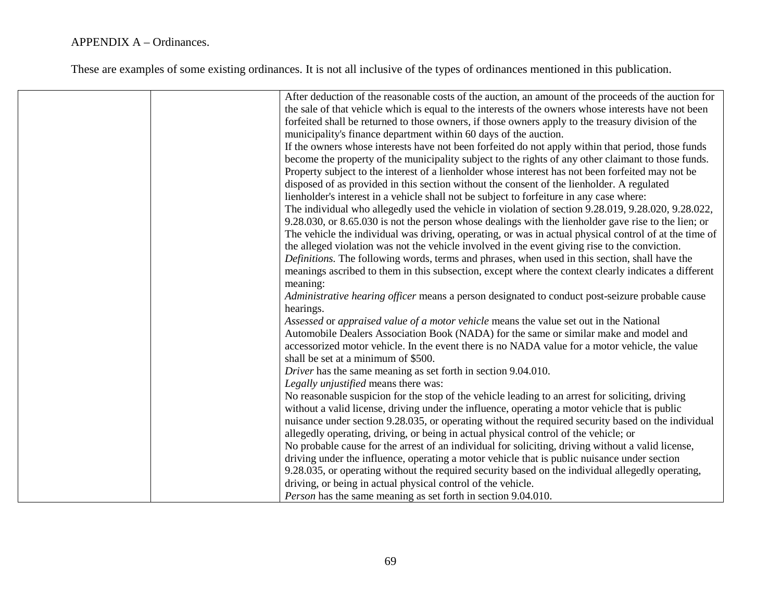## APPENDIX A – Ordinances.

These are examples of some existing ordinances. It is not all inclusive of the types of ordinances mentioned in this publication.

|  | After deduction of the reasonable costs of the auction, an amount of the proceeds of the auction for   |
|--|--------------------------------------------------------------------------------------------------------|
|  | the sale of that vehicle which is equal to the interests of the owners whose interests have not been   |
|  | forfeited shall be returned to those owners, if those owners apply to the treasury division of the     |
|  | municipality's finance department within 60 days of the auction.                                       |
|  | If the owners whose interests have not been forfeited do not apply within that period, those funds     |
|  | become the property of the municipality subject to the rights of any other claimant to those funds.    |
|  | Property subject to the interest of a lienholder whose interest has not been forfeited may not be      |
|  | disposed of as provided in this section without the consent of the lienholder. A regulated             |
|  | lienholder's interest in a vehicle shall not be subject to forfeiture in any case where:               |
|  | The individual who allegedly used the vehicle in violation of section 9.28.019, 9.28.020, 9.28.022,    |
|  | 9.28.030, or 8.65.030 is not the person whose dealings with the lienholder gave rise to the lien; or   |
|  | The vehicle the individual was driving, operating, or was in actual physical control of at the time of |
|  | the alleged violation was not the vehicle involved in the event giving rise to the conviction.         |
|  | <i>Definitions</i> . The following words, terms and phrases, when used in this section, shall have the |
|  | meanings ascribed to them in this subsection, except where the context clearly indicates a different   |
|  | meaning:                                                                                               |
|  | Administrative hearing officer means a person designated to conduct post-seizure probable cause        |
|  | hearings.                                                                                              |
|  | Assessed or appraised value of a motor vehicle means the value set out in the National                 |
|  | Automobile Dealers Association Book (NADA) for the same or similar make and model and                  |
|  | accessorized motor vehicle. In the event there is no NADA value for a motor vehicle, the value         |
|  | shall be set at a minimum of \$500.                                                                    |
|  | Driver has the same meaning as set forth in section 9.04.010.                                          |
|  | Legally unjustified means there was:                                                                   |
|  | No reasonable suspicion for the stop of the vehicle leading to an arrest for soliciting, driving       |
|  | without a valid license, driving under the influence, operating a motor vehicle that is public         |
|  | nuisance under section 9.28.035, or operating without the required security based on the individual    |
|  | allegedly operating, driving, or being in actual physical control of the vehicle; or                   |
|  | No probable cause for the arrest of an individual for soliciting, driving without a valid license,     |
|  | driving under the influence, operating a motor vehicle that is public nuisance under section           |
|  | 9.28.035, or operating without the required security based on the individual allegedly operating,      |
|  | driving, or being in actual physical control of the vehicle.                                           |
|  | <i>Person</i> has the same meaning as set forth in section 9.04.010.                                   |
|  |                                                                                                        |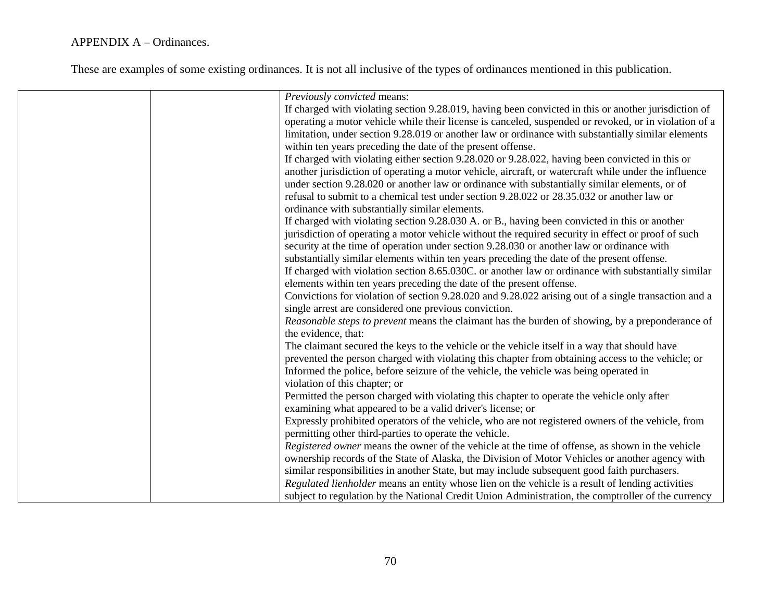## APPENDIX A – Ordinances.

These are examples of some existing ordinances. It is not all inclusive of the types of ordinances mentioned in this publication.

| Previously convicted means:                                                                           |
|-------------------------------------------------------------------------------------------------------|
| If charged with violating section 9.28.019, having been convicted in this or another jurisdiction of  |
| operating a motor vehicle while their license is canceled, suspended or revoked, or in violation of a |
| limitation, under section 9.28.019 or another law or ordinance with substantially similar elements    |
| within ten years preceding the date of the present offense.                                           |
| If charged with violating either section 9.28.020 or 9.28.022, having been convicted in this or       |
| another jurisdiction of operating a motor vehicle, aircraft, or watercraft while under the influence  |
| under section 9.28.020 or another law or ordinance with substantially similar elements, or of         |
| refusal to submit to a chemical test under section 9.28.022 or 28.35.032 or another law or            |
| ordinance with substantially similar elements.                                                        |
| If charged with violating section 9.28.030 A. or B., having been convicted in this or another         |
| jurisdiction of operating a motor vehicle without the required security in effect or proof of such    |
| security at the time of operation under section 9.28.030 or another law or ordinance with             |
| substantially similar elements within ten years preceding the date of the present offense.            |
| If charged with violation section 8.65.030C. or another law or ordinance with substantially similar   |
| elements within ten years preceding the date of the present offense.                                  |
| Convictions for violation of section 9.28.020 and 9.28.022 arising out of a single transaction and a  |
| single arrest are considered one previous conviction.                                                 |
| Reasonable steps to prevent means the claimant has the burden of showing, by a preponderance of       |
| the evidence, that:                                                                                   |
| The claimant secured the keys to the vehicle or the vehicle itself in a way that should have          |
| prevented the person charged with violating this chapter from obtaining access to the vehicle; or     |
| Informed the police, before seizure of the vehicle, the vehicle was being operated in                 |
| violation of this chapter; or                                                                         |
|                                                                                                       |
| Permitted the person charged with violating this chapter to operate the vehicle only after            |
| examining what appeared to be a valid driver's license; or                                            |
| Expressly prohibited operators of the vehicle, who are not registered owners of the vehicle, from     |
| permitting other third-parties to operate the vehicle.                                                |
| Registered owner means the owner of the vehicle at the time of offense, as shown in the vehicle       |
| ownership records of the State of Alaska, the Division of Motor Vehicles or another agency with       |
| similar responsibilities in another State, but may include subsequent good faith purchasers.          |
| Regulated lienholder means an entity whose lien on the vehicle is a result of lending activities      |
| subject to regulation by the National Credit Union Administration, the comptroller of the currency    |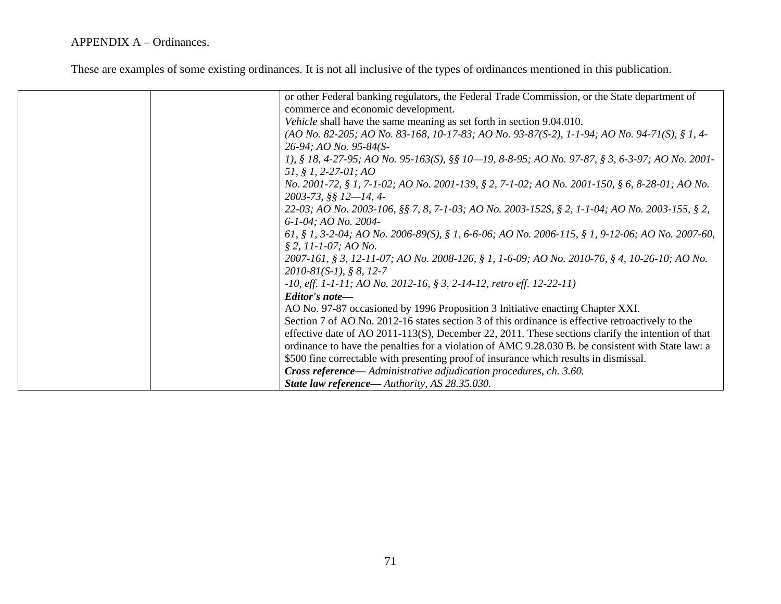## APPENDIX A – Ordinances.

These are examples of some existing ordinances. It is not all inclusive of the types of ordinances mentioned in this publication.

| or other Federal banking regulators, the Federal Trade Commission, or the State department of        |
|------------------------------------------------------------------------------------------------------|
| commerce and economic development.                                                                   |
| Vehicle shall have the same meaning as set forth in section 9.04.010.                                |
| (AO No. 82-205; AO No. 83-168, 10-17-83; AO No. 93-87(S-2), 1-1-94; AO No. 94-71(S), § 1, 4-         |
| 26-94; AO No. 95-84(S-                                                                               |
| 1), § 18, 4-27-95; AO No. 95-163(S), §§ 10—19, 8-8-95; AO No. 97-87, § 3, 6-3-97; AO No. 2001-       |
| 51, § 1, 2-27-01; AO                                                                                 |
| No. 2001-72, § 1, 7-1-02; AO No. 2001-139, § 2, 7-1-02; AO No. 2001-150, § 6, 8-28-01; AO No.        |
| 2003-73, §§ 12-14, 4-                                                                                |
| 22-03; AO No. 2003-106, §§ 7, 8, 7-1-03; AO No. 2003-152S, § 2, 1-1-04; AO No. 2003-155, § 2,        |
| 6-1-04; AO No. 2004-                                                                                 |
| 61, § 1, 3-2-04; AO No. 2006-89(S), § 1, 6-6-06; AO No. 2006-115, § 1, 9-12-06; AO No. 2007-60,      |
| $$2, 11-1-07; AONo.$                                                                                 |
| 2007-161, § 3, 12-11-07; AO No. 2008-126, § 1, 1-6-09; AO No. 2010-76, § 4, 10-26-10; AO No.         |
| $2010-81(S-1), § 8, 12-7$                                                                            |
| $-10$ , eff. 1-1-11; AO No. 2012-16, § 3, 2-14-12, retro eff. 12-22-11)                              |
| Editor's note-                                                                                       |
| AO No. 97-87 occasioned by 1996 Proposition 3 Initiative enacting Chapter XXI.                       |
| Section 7 of AO No. 2012-16 states section 3 of this ordinance is effective retroactively to the     |
| effective date of AO $2011-113(S)$ , December 22, 2011. These sections clarify the intention of that |
| ordinance to have the penalties for a violation of AMC 9.28.030 B. be consistent with State law: a   |
| \$500 fine correctable with presenting proof of insurance which results in dismissal.                |
| Cross reference— Administrative adjudication procedures, ch. 3.60.                                   |
| State law reference— Authority, AS 28.35.030.                                                        |
|                                                                                                      |